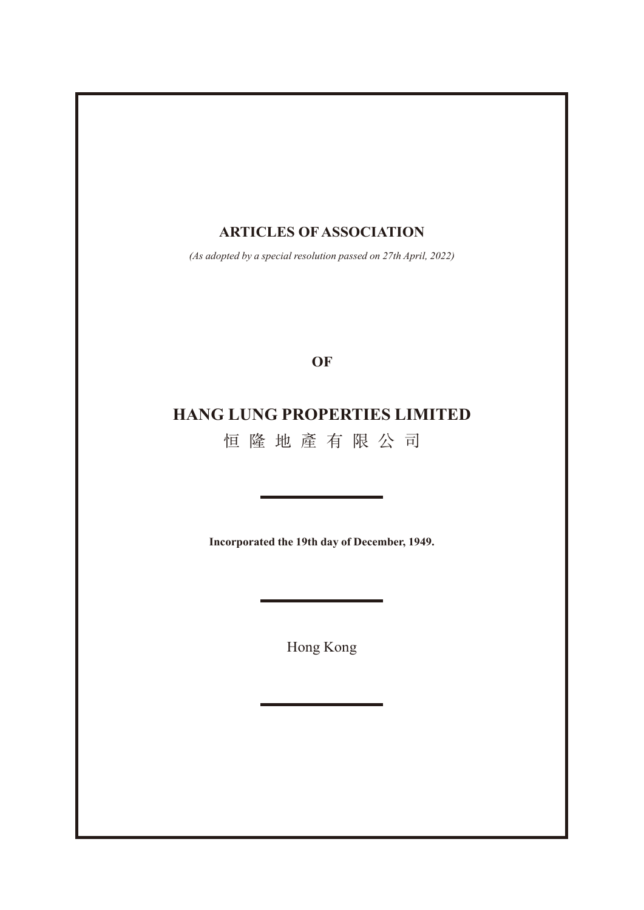# **ARTICLES OF ASSOCIATION**

*(As adopted by a special resolution passed on 27th April, 2022)*

**OF**

# **HANG LUNG PROPERTIES LIMITED**

恒隆地產有限公司

**Incorporated the 19th day of December, 1949.**

Hong Kong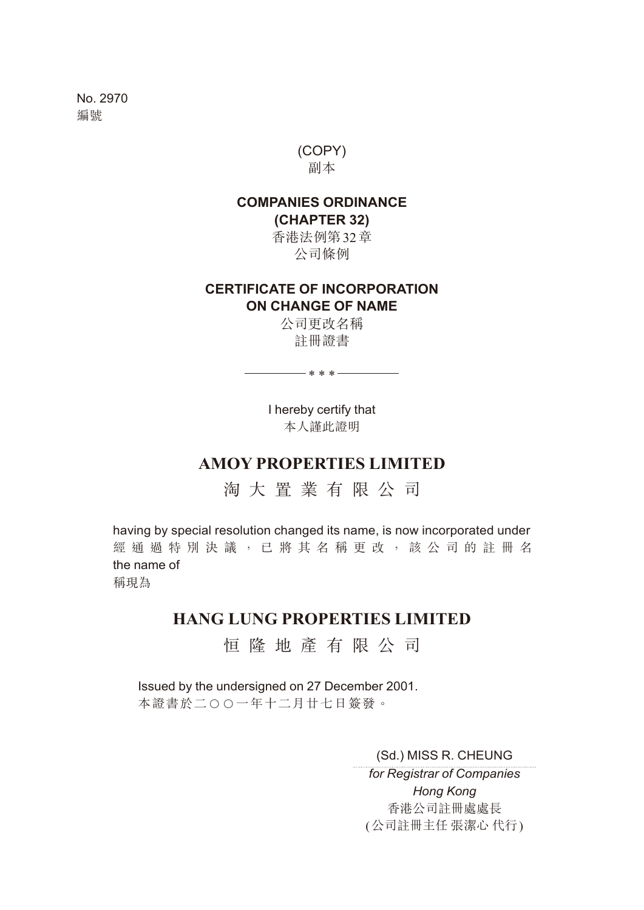No. 2970 編號

> (COPY) 副本

### **COMPANIES ORDINANCE (CHAPTER 32)**

香港法例第32章 公司條例

### **CERTIFICATE OF INCORPORATION ON CHANGE OF NAME**

公司更改名稱 註冊證書

— \* \* \* <del>— — — —</del>

I hereby certify that 本人謹此證明

# **AMOY PROPERTIES LIMITED**

淘大置業有限公司

having by special resolution changed its name, is now incorporated under 經通過特別決議,已將其名稱更改,該公司的註冊名 the name of 稱現為

# **HANG LUNG PROPERTIES LIMITED**

恒隆地產有限公司

Issued by the undersigned on 27 December 2001. 本證書於二○○一年十二月廿七日簽發。

(Sd.) MISS R. CHEUNG

*for Registrar of Companies Hong Kong* 香港公司註冊處處長 (公司註冊主任 張潔心 代行)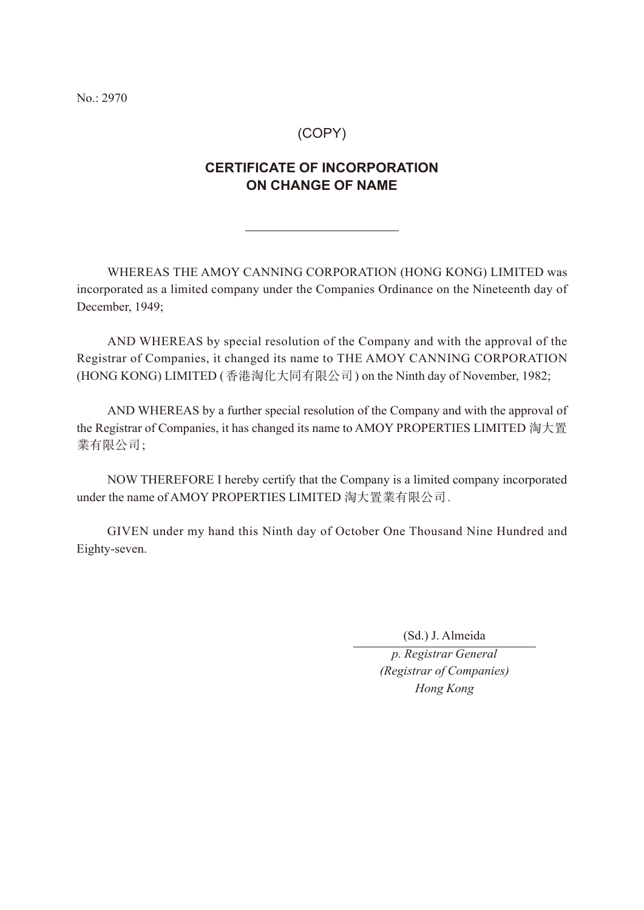No.: 2970

### (COPY)

## **CERTIFICATE OF INCORPORATION ON CHANGE OF NAME**

WHEREAS THE AMOY CANNING CORPORATION (HONG KONG) LIMITED was incorporated as a limited company under the Companies Ordinance on the Nineteenth day of December, 1949;

AND WHEREAS by special resolution of the Company and with the approval of the Registrar of Companies, it changed its name to THE AMOY CANNING CORPORATION (HONG KONG) LIMITED (香港淘化大同有限公司) on the Ninth day of November, 1982;

AND WHEREAS by a further special resolution of the Company and with the approval of the Registrar of Companies, it has changed its name to AMOY PROPERTIES LIMITED 淘大置 業有限公司;

NOW THEREFORE I hereby certify that the Company is a limited company incorporated under the name of AMOY PROPERTIES LIMITED 淘大置業有限公司.

GIVEN under my hand this Ninth day of October One Thousand Nine Hundred and Eighty-seven.

(Sd.) J. Almeida

*p. Registrar General (Registrar of Companies) Hong Kong*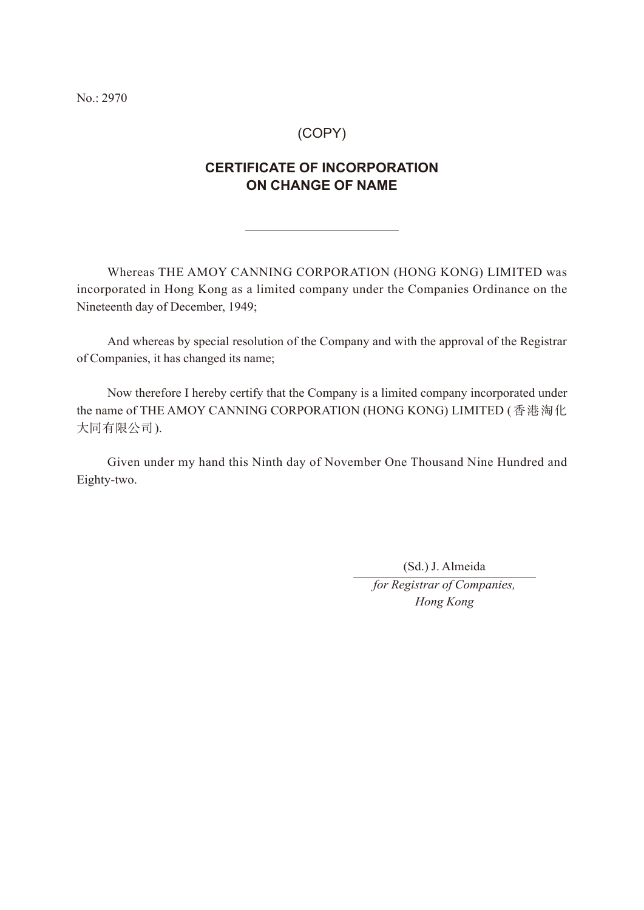No.: 2970

### (COPY)

## **CERTIFICATE OF INCORPORATION ON CHANGE OF NAME**

Whereas THE AMOY CANNING CORPORATION (HONG KONG) LIMITED was incorporated in Hong Kong as a limited company under the Companies Ordinance on the Nineteenth day of December, 1949;

And whereas by special resolution of the Company and with the approval of the Registrar of Companies, it has changed its name;

Now therefore I hereby certify that the Company is a limited company incorporated under the name of THE AMOY CANNING CORPORATION (HONG KONG) LIMITED (香港淘化 大同有限公司).

Given under my hand this Ninth day of November One Thousand Nine Hundred and Eighty-two.

(Sd.) J. Almeida

*for Registrar of Companies, Hong Kong*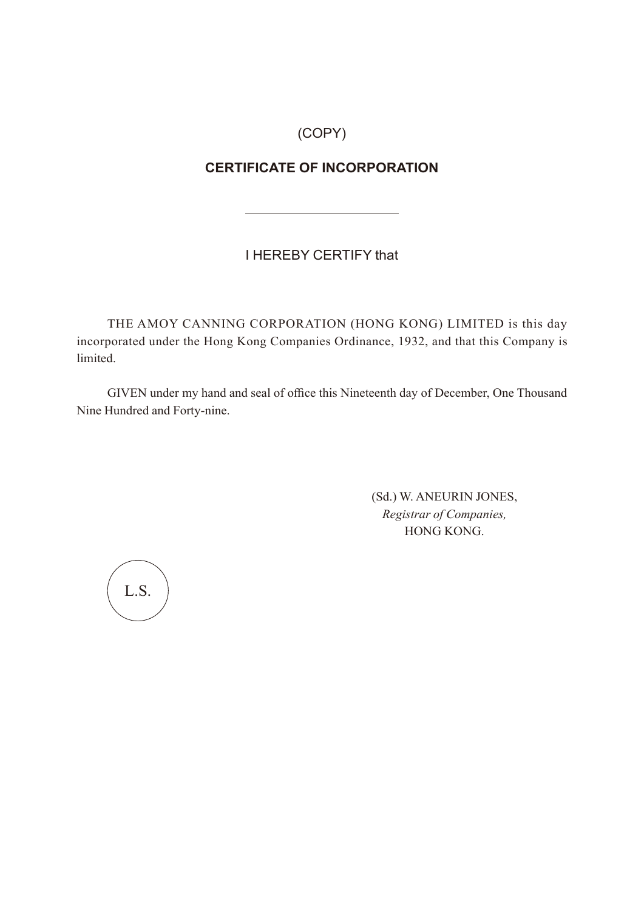(COPY)

# **CERTIFICATE OF INCORPORATION**

I HEREBY CERTIFY that

THE AMOY CANNING CORPORATION (HONG KONG) LIMITED is this day incorporated under the Hong Kong Companies Ordinance, 1932, and that this Company is limited.

GIVEN under my hand and seal of office this Nineteenth day of December, One Thousand Nine Hundred and Forty-nine.

> (Sd.) W. ANEURIN JONES, *Registrar of Companies,* HONG KONG.

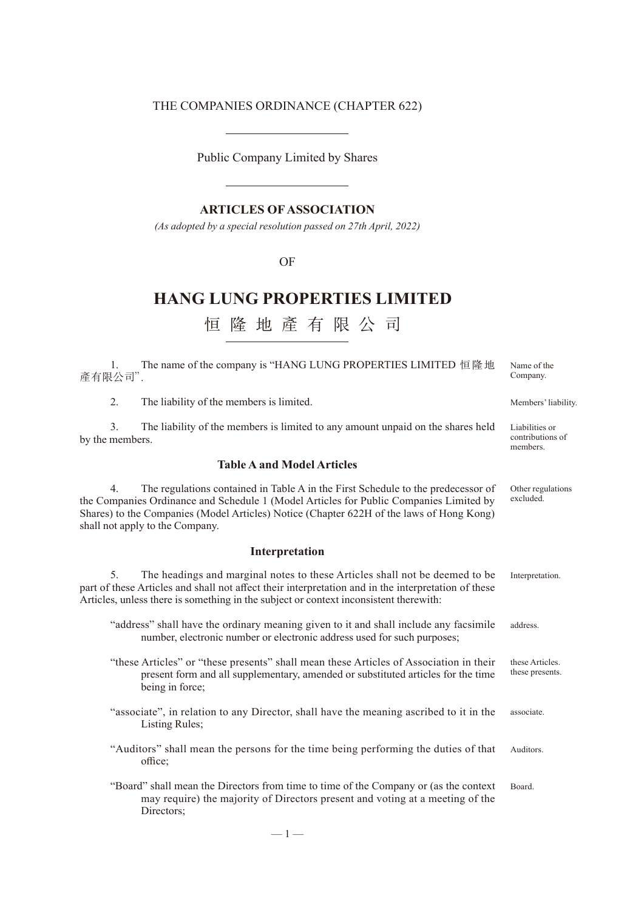## THE COMPANIES ORDINANCE (CHAPTER 622)

Public Company Limited by Shares

### **ARTICLES OF ASSOCIATION**

*(As adopted by a special resolution passed on 27th April, 2022)*

#### OF

# **HANG LUNG PROPERTIES LIMITED**

恒隆地產有限公司

| The name of the company is "HANG LUNG PROPERTIES LIMITED 恒隆地<br>1.<br>產有限公司".                                                                                                                                                                                                                                   | Name of the<br>Company.                        |
|-----------------------------------------------------------------------------------------------------------------------------------------------------------------------------------------------------------------------------------------------------------------------------------------------------------------|------------------------------------------------|
| 2.<br>The liability of the members is limited.                                                                                                                                                                                                                                                                  | Members' liability.                            |
| 3.<br>The liability of the members is limited to any amount unpaid on the shares held<br>by the members.                                                                                                                                                                                                        | Liabilities or<br>contributions of<br>members. |
| <b>Table A and Model Articles</b>                                                                                                                                                                                                                                                                               |                                                |
| 4.<br>The regulations contained in Table A in the First Schedule to the predecessor of<br>the Companies Ordinance and Schedule 1 (Model Articles for Public Companies Limited by<br>Shares) to the Companies (Model Articles) Notice (Chapter 622H of the laws of Hong Kong)<br>shall not apply to the Company. | Other regulations<br>excluded.                 |
| Interpretation                                                                                                                                                                                                                                                                                                  |                                                |
| 5.<br>The headings and marginal notes to these Articles shall not be deemed to be<br>part of these Articles and shall not affect their interpretation and in the interpretation of these<br>Articles, unless there is something in the subject or context inconsistent therewith:                               | Interpretation.                                |
| "address" shall have the ordinary meaning given to it and shall include any facsimile<br>number, electronic number or electronic address used for such purposes;                                                                                                                                                | address.                                       |
| "these Articles" or "these presents" shall mean these Articles of Association in their<br>present form and all supplementary, amended or substituted articles for the time<br>being in force;                                                                                                                   | these Articles.<br>these presents.             |
| "associate", in relation to any Director, shall have the meaning ascribed to it in the<br>Listing Rules;                                                                                                                                                                                                        | associate.                                     |
| "Auditors" shall mean the persons for the time being performing the duties of that<br>office;                                                                                                                                                                                                                   | Auditors.                                      |
| "Board" shall mean the Directors from time to time of the Company or (as the context<br>may require) the majority of Directors present and voting at a meeting of the<br>Directors;                                                                                                                             | Board.                                         |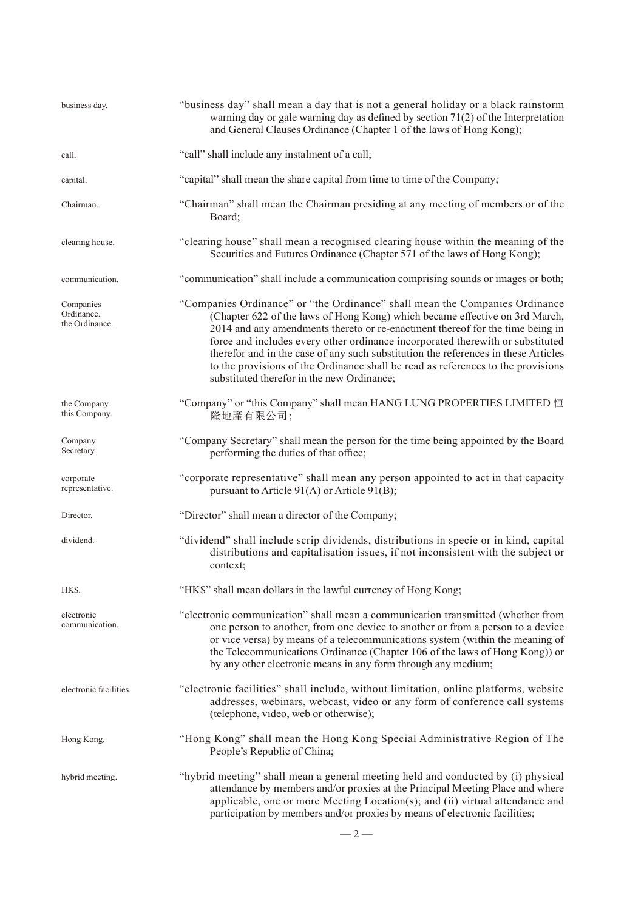| business day.                             | "business day" shall mean a day that is not a general holiday or a black rainstorm<br>warning day or gale warning day as defined by section $71(2)$ of the Interpretation<br>and General Clauses Ordinance (Chapter 1 of the laws of Hong Kong);                                                                                                                                                                                                                                                                                                      |  |  |
|-------------------------------------------|-------------------------------------------------------------------------------------------------------------------------------------------------------------------------------------------------------------------------------------------------------------------------------------------------------------------------------------------------------------------------------------------------------------------------------------------------------------------------------------------------------------------------------------------------------|--|--|
| call.                                     | "call" shall include any instalment of a call;                                                                                                                                                                                                                                                                                                                                                                                                                                                                                                        |  |  |
| capital.                                  | "capital" shall mean the share capital from time to time of the Company;                                                                                                                                                                                                                                                                                                                                                                                                                                                                              |  |  |
| Chairman.                                 | "Chairman" shall mean the Chairman presiding at any meeting of members or of the<br>Board:                                                                                                                                                                                                                                                                                                                                                                                                                                                            |  |  |
| clearing house.                           | "clearing house" shall mean a recognised clearing house within the meaning of the<br>Securities and Futures Ordinance (Chapter 571 of the laws of Hong Kong);                                                                                                                                                                                                                                                                                                                                                                                         |  |  |
| communication.                            | "communication" shall include a communication comprising sounds or images or both;                                                                                                                                                                                                                                                                                                                                                                                                                                                                    |  |  |
| Companies<br>Ordinance.<br>the Ordinance. | "Companies Ordinance" or "the Ordinance" shall mean the Companies Ordinance<br>(Chapter 622 of the laws of Hong Kong) which became effective on 3rd March,<br>2014 and any amendments thereto or re-enactment thereof for the time being in<br>force and includes every other ordinance incorporated therewith or substituted<br>therefor and in the case of any such substitution the references in these Articles<br>to the provisions of the Ordinance shall be read as references to the provisions<br>substituted therefor in the new Ordinance; |  |  |
| the Company.<br>this Company.             | "Company" or "this Company" shall mean HANG LUNG PROPERTIES LIMITED 恒<br>隆地產有限公司;                                                                                                                                                                                                                                                                                                                                                                                                                                                                     |  |  |
| Company<br>Secretary.                     | "Company Secretary" shall mean the person for the time being appointed by the Board<br>performing the duties of that office;                                                                                                                                                                                                                                                                                                                                                                                                                          |  |  |
| corporate<br>representative.              | "corporate representative" shall mean any person appointed to act in that capacity<br>pursuant to Article 91(A) or Article 91(B);                                                                                                                                                                                                                                                                                                                                                                                                                     |  |  |
| Director.                                 | "Director" shall mean a director of the Company;                                                                                                                                                                                                                                                                                                                                                                                                                                                                                                      |  |  |
| dividend.                                 | "dividend" shall include scrip dividends, distributions in specie or in kind, capital<br>distributions and capitalisation issues, if not inconsistent with the subject or<br>context;                                                                                                                                                                                                                                                                                                                                                                 |  |  |
| HK\$.                                     | "HK\$" shall mean dollars in the lawful currency of Hong Kong;                                                                                                                                                                                                                                                                                                                                                                                                                                                                                        |  |  |
| electronic<br>communication.              | "electronic communication" shall mean a communication transmitted (whether from<br>one person to another, from one device to another or from a person to a device<br>or vice versa) by means of a telecommunications system (within the meaning of<br>the Telecommunications Ordinance (Chapter 106 of the laws of Hong Kong)) or<br>by any other electronic means in any form through any medium;                                                                                                                                                    |  |  |
| electronic facilities.                    | "electronic facilities" shall include, without limitation, online platforms, website<br>addresses, webinars, webcast, video or any form of conference call systems<br>(telephone, video, web or otherwise);                                                                                                                                                                                                                                                                                                                                           |  |  |
| Hong Kong.                                | "Hong Kong" shall mean the Hong Kong Special Administrative Region of The<br>People's Republic of China;                                                                                                                                                                                                                                                                                                                                                                                                                                              |  |  |
| hybrid meeting.                           | "hybrid meeting" shall mean a general meeting held and conducted by (i) physical<br>attendance by members and/or proxies at the Principal Meeting Place and where<br>applicable, one or more Meeting Location(s); and (ii) virtual attendance and<br>participation by members and/or proxies by means of electronic facilities;                                                                                                                                                                                                                       |  |  |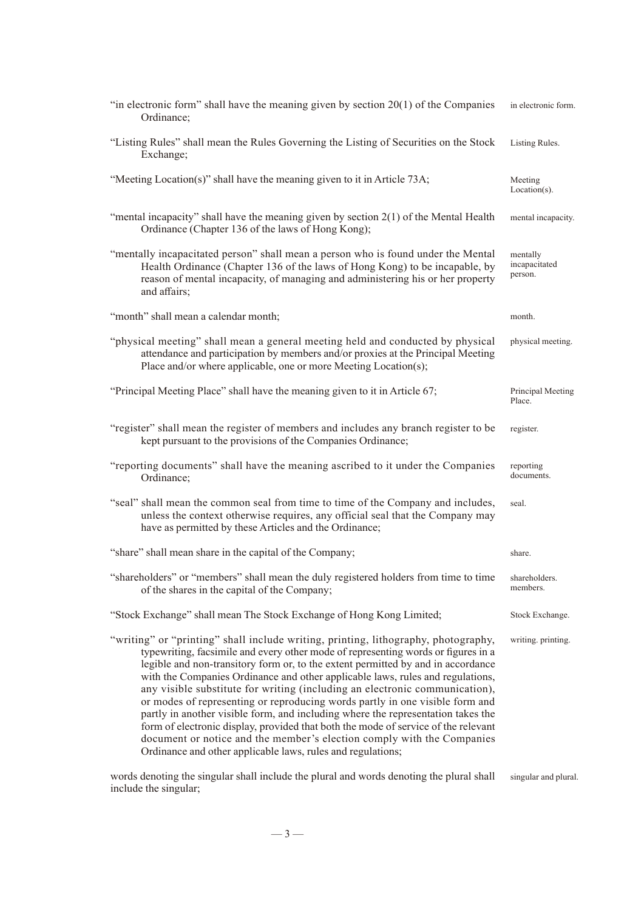| "in electronic form" shall have the meaning given by section $20(1)$ of the Companies<br>Ordinance;                                                                                                                                                                                                                                                                                                                                                                                                                                                                                                                                                                                                                                                                                                                             | in electronic form.                  |
|---------------------------------------------------------------------------------------------------------------------------------------------------------------------------------------------------------------------------------------------------------------------------------------------------------------------------------------------------------------------------------------------------------------------------------------------------------------------------------------------------------------------------------------------------------------------------------------------------------------------------------------------------------------------------------------------------------------------------------------------------------------------------------------------------------------------------------|--------------------------------------|
| "Listing Rules" shall mean the Rules Governing the Listing of Securities on the Stock<br>Exchange;                                                                                                                                                                                                                                                                                                                                                                                                                                                                                                                                                                                                                                                                                                                              | Listing Rules.                       |
| "Meeting Location(s)" shall have the meaning given to it in Article 73A;                                                                                                                                                                                                                                                                                                                                                                                                                                                                                                                                                                                                                                                                                                                                                        | Meeting<br>$Location(s)$ .           |
| "mental incapacity" shall have the meaning given by section $2(1)$ of the Mental Health<br>Ordinance (Chapter 136 of the laws of Hong Kong);                                                                                                                                                                                                                                                                                                                                                                                                                                                                                                                                                                                                                                                                                    | mental incapacity.                   |
| "mentally incapacitated person" shall mean a person who is found under the Mental<br>Health Ordinance (Chapter 136 of the laws of Hong Kong) to be incapable, by<br>reason of mental incapacity, of managing and administering his or her property<br>and affairs;                                                                                                                                                                                                                                                                                                                                                                                                                                                                                                                                                              | mentally<br>incapacitated<br>person. |
| "month" shall mean a calendar month;                                                                                                                                                                                                                                                                                                                                                                                                                                                                                                                                                                                                                                                                                                                                                                                            | month.                               |
| "physical meeting" shall mean a general meeting held and conducted by physical<br>attendance and participation by members and/or proxies at the Principal Meeting<br>Place and/or where applicable, one or more Meeting Location(s);                                                                                                                                                                                                                                                                                                                                                                                                                                                                                                                                                                                            | physical meeting.                    |
| "Principal Meeting Place" shall have the meaning given to it in Article 67;                                                                                                                                                                                                                                                                                                                                                                                                                                                                                                                                                                                                                                                                                                                                                     | Principal Meeting<br>Place.          |
| "register" shall mean the register of members and includes any branch register to be<br>kept pursuant to the provisions of the Companies Ordinance;                                                                                                                                                                                                                                                                                                                                                                                                                                                                                                                                                                                                                                                                             | register.                            |
| "reporting documents" shall have the meaning ascribed to it under the Companies<br>Ordinance;                                                                                                                                                                                                                                                                                                                                                                                                                                                                                                                                                                                                                                                                                                                                   | reporting<br>documents.              |
| "seal" shall mean the common seal from time to time of the Company and includes,<br>unless the context otherwise requires, any official seal that the Company may<br>have as permitted by these Articles and the Ordinance;                                                                                                                                                                                                                                                                                                                                                                                                                                                                                                                                                                                                     | seal.                                |
| "share" shall mean share in the capital of the Company;                                                                                                                                                                                                                                                                                                                                                                                                                                                                                                                                                                                                                                                                                                                                                                         | share.                               |
| "shareholders" or "members" shall mean the duly registered holders from time to time<br>of the shares in the capital of the Company;                                                                                                                                                                                                                                                                                                                                                                                                                                                                                                                                                                                                                                                                                            | shareholders.<br>members.            |
| "Stock Exchange" shall mean The Stock Exchange of Hong Kong Limited;                                                                                                                                                                                                                                                                                                                                                                                                                                                                                                                                                                                                                                                                                                                                                            | Stock Exchange.                      |
| "writing" or "printing" shall include writing, printing, lithography, photography,<br>typewriting, facsimile and every other mode of representing words or figures in a<br>legible and non-transitory form or, to the extent permitted by and in accordance<br>with the Companies Ordinance and other applicable laws, rules and regulations,<br>any visible substitute for writing (including an electronic communication),<br>or modes of representing or reproducing words partly in one visible form and<br>partly in another visible form, and including where the representation takes the<br>form of electronic display, provided that both the mode of service of the relevant<br>document or notice and the member's election comply with the Companies<br>Ordinance and other applicable laws, rules and regulations; | writing. printing.                   |

words denoting the singular shall include the plural and words denoting the plural shall include the singular;

singular and plural.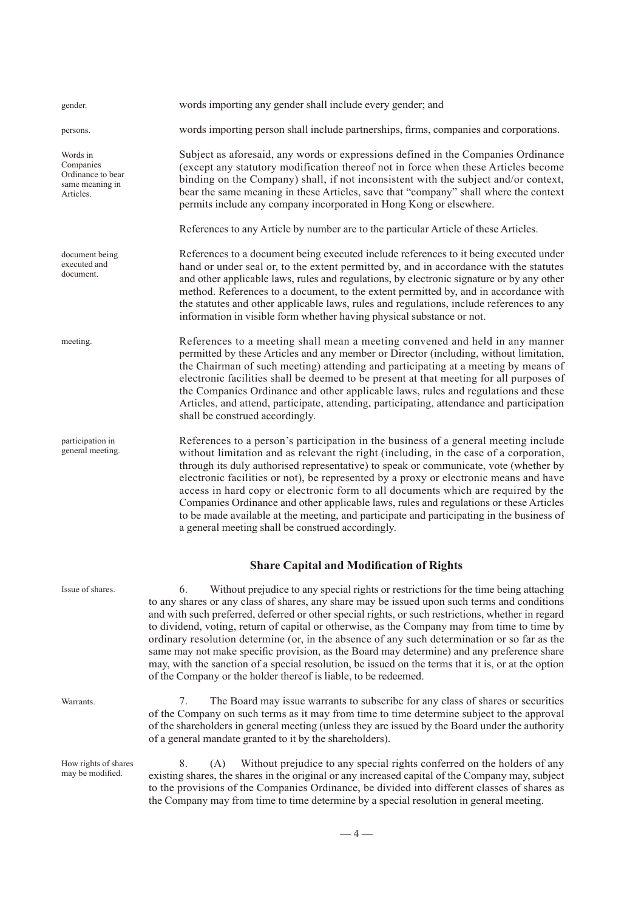| gender.                                                                    | words importing any gender shall include every gender; and                                                                                                                                                                                                                                                                                                                                                                                                                                                                                                                                                                                                                                                                                                                                                                  |
|----------------------------------------------------------------------------|-----------------------------------------------------------------------------------------------------------------------------------------------------------------------------------------------------------------------------------------------------------------------------------------------------------------------------------------------------------------------------------------------------------------------------------------------------------------------------------------------------------------------------------------------------------------------------------------------------------------------------------------------------------------------------------------------------------------------------------------------------------------------------------------------------------------------------|
| persons.                                                                   | words importing person shall include partnerships, firms, companies and corporations.                                                                                                                                                                                                                                                                                                                                                                                                                                                                                                                                                                                                                                                                                                                                       |
| Words in<br>Companies<br>Ordinance to bear<br>same meaning in<br>Articles. | Subject as aforesaid, any words or expressions defined in the Companies Ordinance<br>(except any statutory modification thereof not in force when these Articles become<br>binding on the Company) shall, if not inconsistent with the subject and/or context,<br>bear the same meaning in these Articles, save that "company" shall where the context<br>permits include any company incorporated in Hong Kong or elsewhere.                                                                                                                                                                                                                                                                                                                                                                                               |
|                                                                            | References to any Article by number are to the particular Article of these Articles.                                                                                                                                                                                                                                                                                                                                                                                                                                                                                                                                                                                                                                                                                                                                        |
| document being<br>executed and<br>document.                                | References to a document being executed include references to it being executed under<br>hand or under seal or, to the extent permitted by, and in accordance with the statutes<br>and other applicable laws, rules and regulations, by electronic signature or by any other<br>method. References to a document, to the extent permitted by, and in accordance with<br>the statutes and other applicable laws, rules and regulations, include references to any<br>information in visible form whether having physical substance or not.                                                                                                                                                                                                                                                                                   |
| meeting.                                                                   | References to a meeting shall mean a meeting convened and held in any manner<br>permitted by these Articles and any member or Director (including, without limitation,<br>the Chairman of such meeting) attending and participating at a meeting by means of<br>electronic facilities shall be deemed to be present at that meeting for all purposes of<br>the Companies Ordinance and other applicable laws, rules and regulations and these<br>Articles, and attend, participate, attending, participating, attendance and participation<br>shall be construed accordingly.                                                                                                                                                                                                                                               |
| participation in<br>general meeting.                                       | References to a person's participation in the business of a general meeting include<br>without limitation and as relevant the right (including, in the case of a corporation,<br>through its duly authorised representative) to speak or communicate, vote (whether by<br>electronic facilities or not), be represented by a proxy or electronic means and have<br>access in hard copy or electronic form to all documents which are required by the<br>Companies Ordinance and other applicable laws, rules and regulations or these Articles<br>to be made available at the meeting, and participate and participating in the business of<br>a general meeting shall be construed accordingly.                                                                                                                            |
| Issue of shares.                                                           | <b>Share Capital and Modification of Rights</b><br>Without prejudice to any special rights or restrictions for the time being attaching<br>6.<br>to any shares or any class of shares, any share may be issued upon such terms and conditions<br>and with such preferred, deferred or other special rights, or such restrictions, whether in regard<br>to dividend, voting, return of capital or otherwise, as the Company may from time to time by<br>ordinary resolution determine (or, in the absence of any such determination or so far as the<br>same may not make specific provision, as the Board may determine) and any preference share<br>may, with the sanction of a special resolution, be issued on the terms that it is, or at the option<br>of the Company or the holder thereof is liable, to be redeemed. |
| Warrants.                                                                  | 7.<br>The Board may issue warrants to subscribe for any class of shares or securities<br>of the Company on such terms as it may from time to time determine subject to the approval<br>of the shareholders in general meeting (unless they are issued by the Board under the authority<br>of a general mandate granted to it by the shareholders).                                                                                                                                                                                                                                                                                                                                                                                                                                                                          |
| How rights of shares<br>may be modified.                                   | 8.<br>Without prejudice to any special rights conferred on the holders of any<br>(A)<br>existing shares, the shares in the original or any increased capital of the Company may, subject<br>to the provisions of the Companies Ordinance, be divided into different classes of shares as<br>the Company may from time to time determine by a special resolution in general meeting.                                                                                                                                                                                                                                                                                                                                                                                                                                         |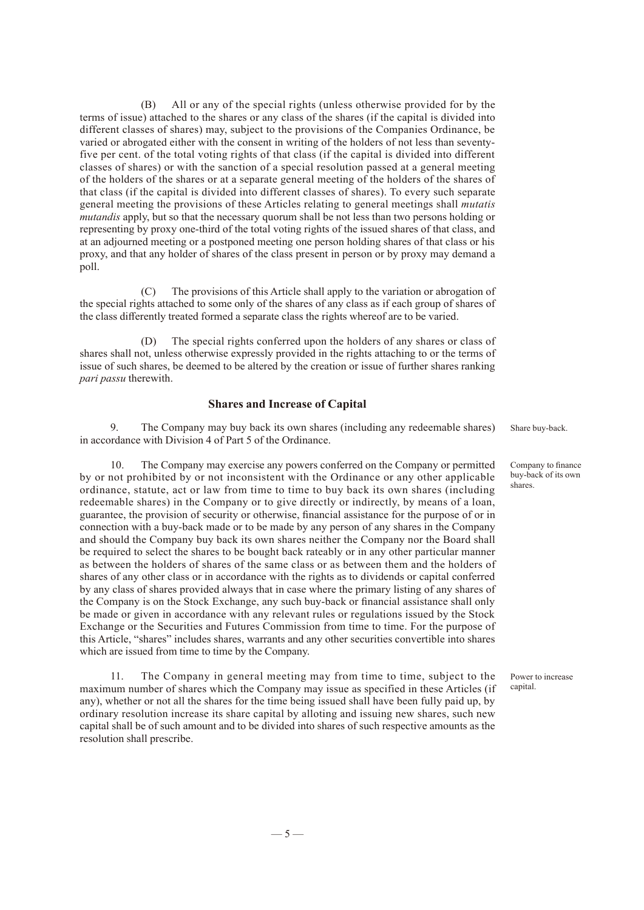(B) All or any of the special rights (unless otherwise provided for by the terms of issue) attached to the shares or any class of the shares (if the capital is divided into different classes of shares) may, subject to the provisions of the Companies Ordinance, be varied or abrogated either with the consent in writing of the holders of not less than seventyfive per cent. of the total voting rights of that class (if the capital is divided into different classes of shares) or with the sanction of a special resolution passed at a general meeting of the holders of the shares or at a separate general meeting of the holders of the shares of that class (if the capital is divided into different classes of shares). To every such separate general meeting the provisions of these Articles relating to general meetings shall *mutatis mutandis* apply, but so that the necessary quorum shall be not less than two persons holding or representing by proxy one-third of the total voting rights of the issued shares of that class, and at an adjourned meeting or a postponed meeting one person holding shares of that class or his proxy, and that any holder of shares of the class present in person or by proxy may demand a poll.

(C) The provisions of this Article shall apply to the variation or abrogation of the special rights attached to some only of the shares of any class as if each group of shares of the class differently treated formed a separate class the rights whereof are to be varied.

(D) The special rights conferred upon the holders of any shares or class of shares shall not, unless otherwise expressly provided in the rights attaching to or the terms of issue of such shares, be deemed to be altered by the creation or issue of further shares ranking *pari passu* therewith.

#### **Shares and Increase of Capital**

9. The Company may buy back its own shares (including any redeemable shares) in accordance with Division 4 of Part 5 of the Ordinance.

10. The Company may exercise any powers conferred on the Company or permitted by or not prohibited by or not inconsistent with the Ordinance or any other applicable ordinance, statute, act or law from time to time to buy back its own shares (including redeemable shares) in the Company or to give directly or indirectly, by means of a loan, guarantee, the provision of security or otherwise, financial assistance for the purpose of or in connection with a buy-back made or to be made by any person of any shares in the Company and should the Company buy back its own shares neither the Company nor the Board shall be required to select the shares to be bought back rateably or in any other particular manner as between the holders of shares of the same class or as between them and the holders of shares of any other class or in accordance with the rights as to dividends or capital conferred by any class of shares provided always that in case where the primary listing of any shares of the Company is on the Stock Exchange, any such buy-back or financial assistance shall only be made or given in accordance with any relevant rules or regulations issued by the Stock Exchange or the Securities and Futures Commission from time to time. For the purpose of this Article, "shares" includes shares, warrants and any other securities convertible into shares which are issued from time to time by the Company.

11. The Company in general meeting may from time to time, subject to the maximum number of shares which the Company may issue as specified in these Articles (if any), whether or not all the shares for the time being issued shall have been fully paid up, by ordinary resolution increase its share capital by alloting and issuing new shares, such new capital shall be of such amount and to be divided into shares of such respective amounts as the resolution shall prescribe.

Share buy-back.

Company to finance buy-back of its own shares.

Power to increase capital.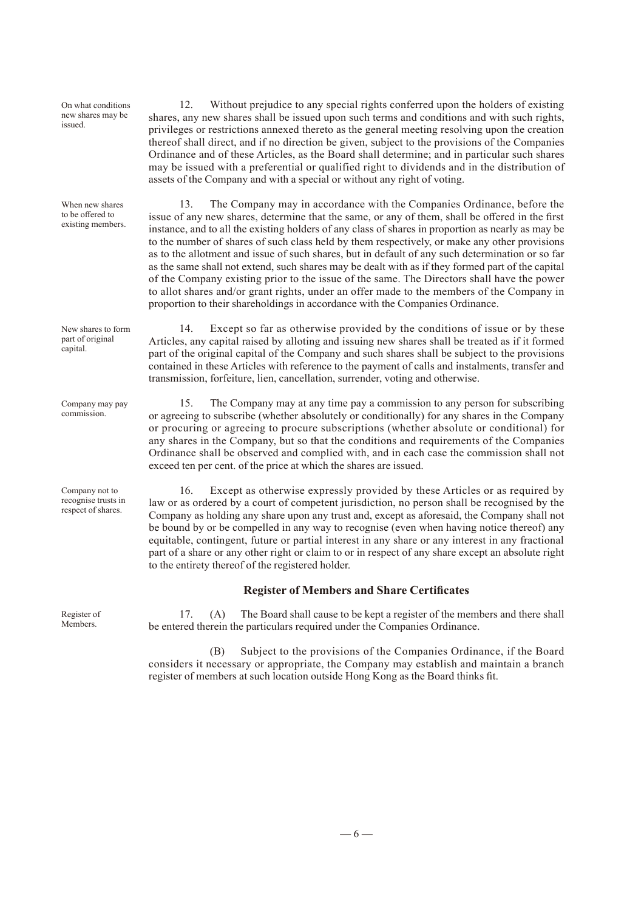On what conditions new shares may be issued.

When new shares to be offered to existing members.

New shares to form part of original capital.

Company may pay commission.

Company not to recognise trusts in respect of shares.

Register of **Members** 

12. Without prejudice to any special rights conferred upon the holders of existing shares, any new shares shall be issued upon such terms and conditions and with such rights, privileges or restrictions annexed thereto as the general meeting resolving upon the creation thereof shall direct, and if no direction be given, subject to the provisions of the Companies Ordinance and of these Articles, as the Board shall determine; and in particular such shares may be issued with a preferential or qualified right to dividends and in the distribution of assets of the Company and with a special or without any right of voting.

13. The Company may in accordance with the Companies Ordinance, before the issue of any new shares, determine that the same, or any of them, shall be offered in the first instance, and to all the existing holders of any class of shares in proportion as nearly as may be to the number of shares of such class held by them respectively, or make any other provisions as to the allotment and issue of such shares, but in default of any such determination or so far as the same shall not extend, such shares may be dealt with as if they formed part of the capital of the Company existing prior to the issue of the same. The Directors shall have the power to allot shares and/or grant rights, under an offer made to the members of the Company in proportion to their shareholdings in accordance with the Companies Ordinance.

14. Except so far as otherwise provided by the conditions of issue or by these Articles, any capital raised by alloting and issuing new shares shall be treated as if it formed part of the original capital of the Company and such shares shall be subject to the provisions contained in these Articles with reference to the payment of calls and instalments, transfer and transmission, forfeiture, lien, cancellation, surrender, voting and otherwise.

15. The Company may at any time pay a commission to any person for subscribing or agreeing to subscribe (whether absolutely or conditionally) for any shares in the Company or procuring or agreeing to procure subscriptions (whether absolute or conditional) for any shares in the Company, but so that the conditions and requirements of the Companies Ordinance shall be observed and complied with, and in each case the commission shall not exceed ten per cent. of the price at which the shares are issued.

16. Except as otherwise expressly provided by these Articles or as required by law or as ordered by a court of competent jurisdiction, no person shall be recognised by the Company as holding any share upon any trust and, except as aforesaid, the Company shall not be bound by or be compelled in any way to recognise (even when having notice thereof) any equitable, contingent, future or partial interest in any share or any interest in any fractional part of a share or any other right or claim to or in respect of any share except an absolute right to the entirety thereof of the registered holder.

#### **Register of Members and Share Certificates**

17. (A) The Board shall cause to be kept a register of the members and there shall be entered therein the particulars required under the Companies Ordinance.

(B) Subject to the provisions of the Companies Ordinance, if the Board considers it necessary or appropriate, the Company may establish and maintain a branch register of members at such location outside Hong Kong as the Board thinks fit.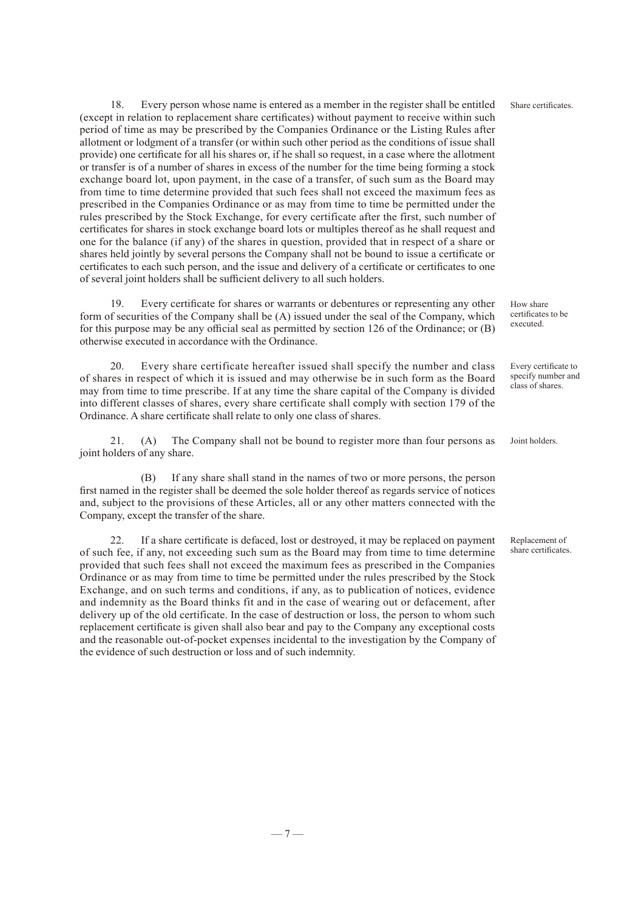18. Every person whose name is entered as a member in the register shall be entitled (except in relation to replacement share certificates) without payment to receive within such period of time as may be prescribed by the Companies Ordinance or the Listing Rules after allotment or lodgment of a transfer (or within such other period as the conditions of issue shall provide) one certificate for all his shares or, if he shall so request, in a case where the allotment or transfer is of a number of shares in excess of the number for the time being forming a stock exchange board lot, upon payment, in the case of a transfer, of such sum as the Board may from time to time determine provided that such fees shall not exceed the maximum fees as prescribed in the Companies Ordinance or as may from time to time be permitted under the rules prescribed by the Stock Exchange, for every certificate after the first, such number of certificates for shares in stock exchange board lots or multiples thereof as he shall request and one for the balance (if any) of the shares in question, provided that in respect of a share or shares held jointly by several persons the Company shall not be bound to issue a certificate or certificates to each such person, and the issue and delivery of a certificate or certificates to one of several joint holders shall be sufficient delivery to all such holders.

Every certificate for shares or warrants or debentures or representing any other form of securities of the Company shall be (A) issued under the seal of the Company, which for this purpose may be any official seal as permitted by section 126 of the Ordinance; or (B) otherwise executed in accordance with the Ordinance.

20. Every share certificate hereafter issued shall specify the number and class of shares in respect of which it is issued and may otherwise be in such form as the Board may from time to time prescribe. If at any time the share capital of the Company is divided into different classes of shares, every share certificate shall comply with section 179 of the Ordinance. A share certificate shall relate to only one class of shares.

21. (A) The Company shall not be bound to register more than four persons as joint holders of any share.

(B) If any share shall stand in the names of two or more persons, the person first named in the register shall be deemed the sole holder thereof as regards service of notices and, subject to the provisions of these Articles, all or any other matters connected with the Company, except the transfer of the share.

22. If a share certificate is defaced, lost or destroyed, it may be replaced on payment of such fee, if any, not exceeding such sum as the Board may from time to time determine provided that such fees shall not exceed the maximum fees as prescribed in the Companies Ordinance or as may from time to time be permitted under the rules prescribed by the Stock Exchange, and on such terms and conditions, if any, as to publication of notices, evidence and indemnity as the Board thinks fit and in the case of wearing out or defacement, after delivery up of the old certificate. In the case of destruction or loss, the person to whom such replacement certificate is given shall also bear and pay to the Company any exceptional costs and the reasonable out-of-pocket expenses incidental to the investigation by the Company of the evidence of such destruction or loss and of such indemnity.

How share certificates to be executed.

Share certificates.

Every certificate to specify number and class of shares.

Joint holders.

Replacement of share certificates.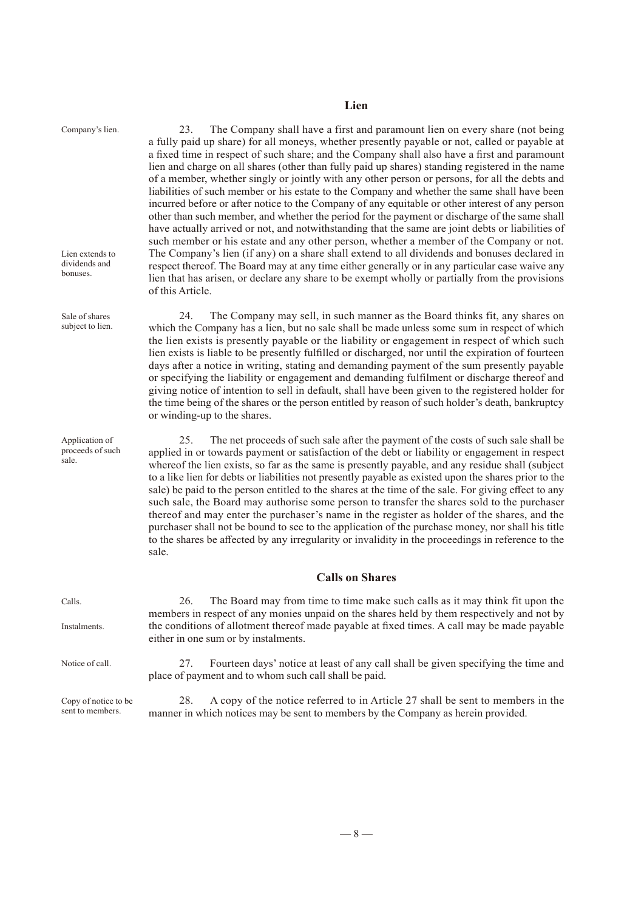### **Lien**

| Company's lien.<br>Lien extends to<br>dividends and<br>bonuses. | 23.<br>The Company shall have a first and paramount lien on every share (not being<br>a fully paid up share) for all moneys, whether presently payable or not, called or payable at<br>a fixed time in respect of such share; and the Company shall also have a first and paramount<br>lien and charge on all shares (other than fully paid up shares) standing registered in the name<br>of a member, whether singly or jointly with any other person or persons, for all the debts and<br>liabilities of such member or his estate to the Company and whether the same shall have been<br>incurred before or after notice to the Company of any equitable or other interest of any person<br>other than such member, and whether the period for the payment or discharge of the same shall<br>have actually arrived or not, and notwithstanding that the same are joint debts or liabilities of<br>such member or his estate and any other person, whether a member of the Company or not.<br>The Company's lien (if any) on a share shall extend to all dividends and bonuses declared in<br>respect thereof. The Board may at any time either generally or in any particular case waive any<br>lien that has arisen, or declare any share to be exempt wholly or partially from the provisions<br>of this Article. |  |  |  |
|-----------------------------------------------------------------|------------------------------------------------------------------------------------------------------------------------------------------------------------------------------------------------------------------------------------------------------------------------------------------------------------------------------------------------------------------------------------------------------------------------------------------------------------------------------------------------------------------------------------------------------------------------------------------------------------------------------------------------------------------------------------------------------------------------------------------------------------------------------------------------------------------------------------------------------------------------------------------------------------------------------------------------------------------------------------------------------------------------------------------------------------------------------------------------------------------------------------------------------------------------------------------------------------------------------------------------------------------------------------------------------------------------|--|--|--|
| Sale of shares<br>subject to lien.                              | 24.<br>The Company may sell, in such manner as the Board thinks fit, any shares on<br>which the Company has a lien, but no sale shall be made unless some sum in respect of which<br>the lien exists is presently payable or the liability or engagement in respect of which such<br>lien exists is liable to be presently fulfilled or discharged, nor until the expiration of fourteen<br>days after a notice in writing, stating and demanding payment of the sum presently payable<br>or specifying the liability or engagement and demanding fulfilment or discharge thereof and<br>giving notice of intention to sell in default, shall have been given to the registered holder for<br>the time being of the shares or the person entitled by reason of such holder's death, bankruptcy<br>or winding-up to the shares.                                                                                                                                                                                                                                                                                                                                                                                                                                                                                         |  |  |  |
| Application of<br>proceeds of such<br>sale.                     | 25.<br>The net proceeds of such sale after the payment of the costs of such sale shall be<br>applied in or towards payment or satisfaction of the debt or liability or engagement in respect<br>whereof the lien exists, so far as the same is presently payable, and any residue shall (subject<br>to a like lien for debts or liabilities not presently payable as existed upon the shares prior to the<br>sale) be paid to the person entitled to the shares at the time of the sale. For giving effect to any<br>such sale, the Board may authorise some person to transfer the shares sold to the purchaser<br>thereof and may enter the purchaser's name in the register as holder of the shares, and the<br>purchaser shall not be bound to see to the application of the purchase money, nor shall his title<br>to the shares be affected by any irregularity or invalidity in the proceedings in reference to the<br>sale.                                                                                                                                                                                                                                                                                                                                                                                    |  |  |  |
|                                                                 | <b>Calls on Shares</b>                                                                                                                                                                                                                                                                                                                                                                                                                                                                                                                                                                                                                                                                                                                                                                                                                                                                                                                                                                                                                                                                                                                                                                                                                                                                                                 |  |  |  |
| Calls.<br>Instalments.                                          | The Board may from time to time make such calls as it may think fit upon the<br>26.<br>members in respect of any monies unpaid on the shares held by them respectively and not by<br>the conditions of allotment thereof made payable at fixed times. A call may be made payable<br>either in one sum or by instalments.                                                                                                                                                                                                                                                                                                                                                                                                                                                                                                                                                                                                                                                                                                                                                                                                                                                                                                                                                                                               |  |  |  |
| Notice of call.                                                 | Fourteen days' notice at least of any call shall be given specifying the time and<br>27.<br>place of payment and to whom such call shall be paid.                                                                                                                                                                                                                                                                                                                                                                                                                                                                                                                                                                                                                                                                                                                                                                                                                                                                                                                                                                                                                                                                                                                                                                      |  |  |  |
| Copy of notice to be<br>sent to members.                        | 28.<br>A copy of the notice referred to in Article 27 shall be sent to members in the<br>manner in which notices may be sent to members by the Company as herein provided.                                                                                                                                                                                                                                                                                                                                                                                                                                                                                                                                                                                                                                                                                                                                                                                                                                                                                                                                                                                                                                                                                                                                             |  |  |  |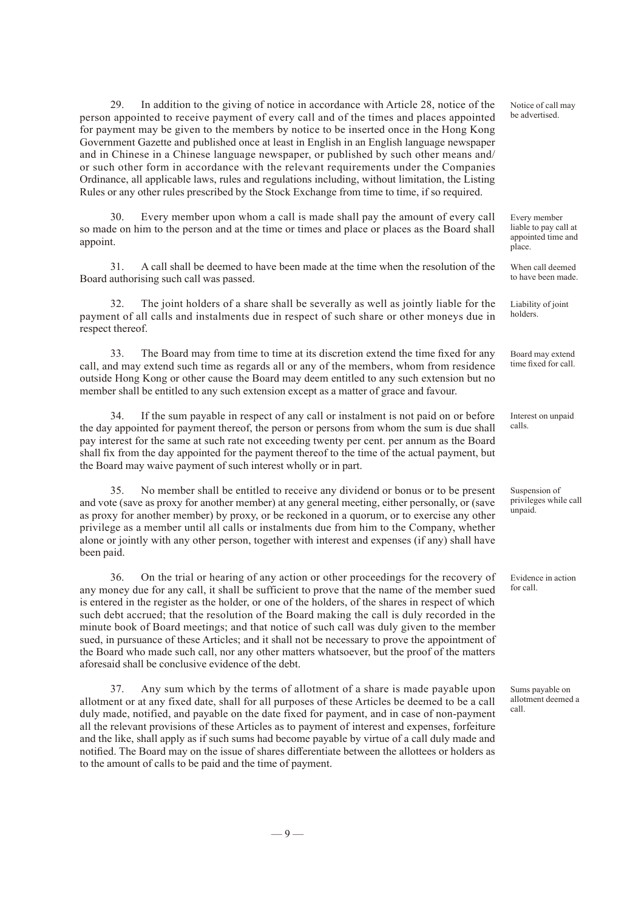29. In addition to the giving of notice in accordance with Article 28, notice of the person appointed to receive payment of every call and of the times and places appointed for payment may be given to the members by notice to be inserted once in the Hong Kong Government Gazette and published once at least in English in an English language newspaper and in Chinese in a Chinese language newspaper, or published by such other means and/ or such other form in accordance with the relevant requirements under the Companies Ordinance, all applicable laws, rules and regulations including, without limitation, the Listing Rules or any other rules prescribed by the Stock Exchange from time to time, if so required.

Every member upon whom a call is made shall pay the amount of every call so made on him to the person and at the time or times and place or places as the Board shall appoint.

31. A call shall be deemed to have been made at the time when the resolution of the Board authorising such call was passed.

32. The joint holders of a share shall be severally as well as jointly liable for the payment of all calls and instalments due in respect of such share or other moneys due in respect thereof.

33. The Board may from time to time at its discretion extend the time fixed for any call, and may extend such time as regards all or any of the members, whom from residence outside Hong Kong or other cause the Board may deem entitled to any such extension but no member shall be entitled to any such extension except as a matter of grace and favour.

34. If the sum payable in respect of any call or instalment is not paid on or before the day appointed for payment thereof, the person or persons from whom the sum is due shall pay interest for the same at such rate not exceeding twenty per cent. per annum as the Board shall fix from the day appointed for the payment thereof to the time of the actual payment, but the Board may waive payment of such interest wholly or in part.

35. No member shall be entitled to receive any dividend or bonus or to be present and vote (save as proxy for another member) at any general meeting, either personally, or (save as proxy for another member) by proxy, or be reckoned in a quorum, or to exercise any other privilege as a member until all calls or instalments due from him to the Company, whether alone or jointly with any other person, together with interest and expenses (if any) shall have been paid.

36. On the trial or hearing of any action or other proceedings for the recovery of any money due for any call, it shall be sufficient to prove that the name of the member sued is entered in the register as the holder, or one of the holders, of the shares in respect of which such debt accrued; that the resolution of the Board making the call is duly recorded in the minute book of Board meetings; and that notice of such call was duly given to the member sued, in pursuance of these Articles; and it shall not be necessary to prove the appointment of the Board who made such call, nor any other matters whatsoever, but the proof of the matters aforesaid shall be conclusive evidence of the debt.

37. Any sum which by the terms of allotment of a share is made payable upon allotment or at any fixed date, shall for all purposes of these Articles be deemed to be a call duly made, notified, and payable on the date fixed for payment, and in case of non-payment all the relevant provisions of these Articles as to payment of interest and expenses, forfeiture and the like, shall apply as if such sums had become payable by virtue of a call duly made and notified. The Board may on the issue of shares differentiate between the allottees or holders as to the amount of calls to be paid and the time of payment.

Notice of call may be advertised.

Every member liable to pay call at appointed time and place.

When call deemed to have been made.

Liability of joint holders.

Board may extend time fixed for call.

Interest on unpaid calls.

Suspension of privileges while call unpaid.

Evidence in action for call.

Sums payable on allotment deemed a call.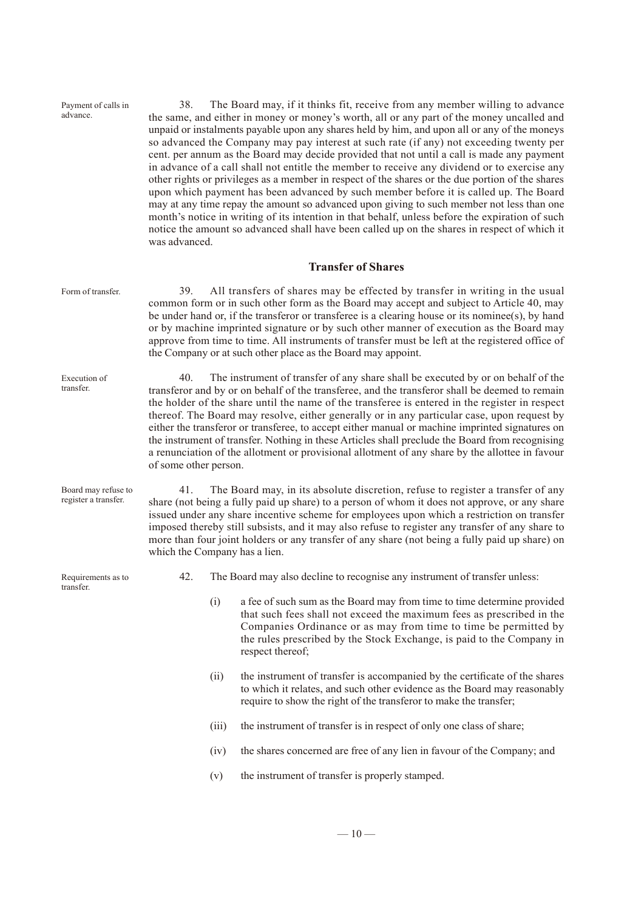| Payment of calls in<br>advance.             | 38.<br>was advanced.                                                                                                                                                                                                                                                                                                                                                                                                                                                                                                                                                                                                                                                                                                         |                                                                                                                                                                                                                                                                                                                                                                                                                                                                                                                      | The Board may, if it thinks fit, receive from any member willing to advance<br>the same, and either in money or money's worth, all or any part of the money uncalled and<br>unpaid or instalments payable upon any shares held by him, and upon all or any of the moneys<br>so advanced the Company may pay interest at such rate (if any) not exceeding twenty per<br>cent. per annum as the Board may decide provided that not until a call is made any payment<br>in advance of a call shall not entitle the member to receive any dividend or to exercise any<br>other rights or privileges as a member in respect of the shares or the due portion of the shares<br>upon which payment has been advanced by such member before it is called up. The Board<br>may at any time repay the amount so advanced upon giving to such member not less than one<br>month's notice in writing of its intention in that behalf, unless before the expiration of such<br>notice the amount so advanced shall have been called up on the shares in respect of which it |  |
|---------------------------------------------|------------------------------------------------------------------------------------------------------------------------------------------------------------------------------------------------------------------------------------------------------------------------------------------------------------------------------------------------------------------------------------------------------------------------------------------------------------------------------------------------------------------------------------------------------------------------------------------------------------------------------------------------------------------------------------------------------------------------------|----------------------------------------------------------------------------------------------------------------------------------------------------------------------------------------------------------------------------------------------------------------------------------------------------------------------------------------------------------------------------------------------------------------------------------------------------------------------------------------------------------------------|----------------------------------------------------------------------------------------------------------------------------------------------------------------------------------------------------------------------------------------------------------------------------------------------------------------------------------------------------------------------------------------------------------------------------------------------------------------------------------------------------------------------------------------------------------------------------------------------------------------------------------------------------------------------------------------------------------------------------------------------------------------------------------------------------------------------------------------------------------------------------------------------------------------------------------------------------------------------------------------------------------------------------------------------------------------|--|
|                                             |                                                                                                                                                                                                                                                                                                                                                                                                                                                                                                                                                                                                                                                                                                                              |                                                                                                                                                                                                                                                                                                                                                                                                                                                                                                                      | <b>Transfer of Shares</b>                                                                                                                                                                                                                                                                                                                                                                                                                                                                                                                                                                                                                                                                                                                                                                                                                                                                                                                                                                                                                                      |  |
| Form of transfer.                           | All transfers of shares may be effected by transfer in writing in the usual<br>39.<br>common form or in such other form as the Board may accept and subject to Article 40, may<br>be under hand or, if the transferor or transferee is a clearing house or its nominee(s), by hand<br>or by machine imprinted signature or by such other manner of execution as the Board may<br>approve from time to time. All instruments of transfer must be left at the registered office of<br>the Company or at such other place as the Board may appoint.                                                                                                                                                                             |                                                                                                                                                                                                                                                                                                                                                                                                                                                                                                                      |                                                                                                                                                                                                                                                                                                                                                                                                                                                                                                                                                                                                                                                                                                                                                                                                                                                                                                                                                                                                                                                                |  |
| Execution of<br>transfer.                   | 40.<br>The instrument of transfer of any share shall be executed by or on behalf of the<br>transferor and by or on behalf of the transferee, and the transferor shall be deemed to remain<br>the holder of the share until the name of the transferee is entered in the register in respect<br>thereof. The Board may resolve, either generally or in any particular case, upon request by<br>either the transferor or transferee, to accept either manual or machine imprinted signatures on<br>the instrument of transfer. Nothing in these Articles shall preclude the Board from recognising<br>a renunciation of the allotment or provisional allotment of any share by the allottee in favour<br>of some other person. |                                                                                                                                                                                                                                                                                                                                                                                                                                                                                                                      |                                                                                                                                                                                                                                                                                                                                                                                                                                                                                                                                                                                                                                                                                                                                                                                                                                                                                                                                                                                                                                                                |  |
| Board may refuse to<br>register a transfer. | 41.                                                                                                                                                                                                                                                                                                                                                                                                                                                                                                                                                                                                                                                                                                                          | The Board may, in its absolute discretion, refuse to register a transfer of any<br>share (not being a fully paid up share) to a person of whom it does not approve, or any share<br>issued under any share incentive scheme for employees upon which a restriction on transfer<br>imposed thereby still subsists, and it may also refuse to register any transfer of any share to<br>more than four joint holders or any transfer of any share (not being a fully paid up share) on<br>which the Company has a lien. |                                                                                                                                                                                                                                                                                                                                                                                                                                                                                                                                                                                                                                                                                                                                                                                                                                                                                                                                                                                                                                                                |  |
| Requirements as to<br>transfer.             | 42.                                                                                                                                                                                                                                                                                                                                                                                                                                                                                                                                                                                                                                                                                                                          |                                                                                                                                                                                                                                                                                                                                                                                                                                                                                                                      | The Board may also decline to recognise any instrument of transfer unless:                                                                                                                                                                                                                                                                                                                                                                                                                                                                                                                                                                                                                                                                                                                                                                                                                                                                                                                                                                                     |  |
|                                             |                                                                                                                                                                                                                                                                                                                                                                                                                                                                                                                                                                                                                                                                                                                              | (i)                                                                                                                                                                                                                                                                                                                                                                                                                                                                                                                  | a fee of such sum as the Board may from time to time determine provided<br>that such fees shall not exceed the maximum fees as prescribed in the<br>Companies Ordinance or as may from time to time be permitted by<br>the rules prescribed by the Stock Exchange, is paid to the Company in<br>respect thereof;                                                                                                                                                                                                                                                                                                                                                                                                                                                                                                                                                                                                                                                                                                                                               |  |
|                                             |                                                                                                                                                                                                                                                                                                                                                                                                                                                                                                                                                                                                                                                                                                                              | (ii)                                                                                                                                                                                                                                                                                                                                                                                                                                                                                                                 | the instrument of transfer is accompanied by the certificate of the shares<br>to which it relates, and such other evidence as the Board may reasonably<br>require to show the right of the transferor to make the transfer;                                                                                                                                                                                                                                                                                                                                                                                                                                                                                                                                                                                                                                                                                                                                                                                                                                    |  |
|                                             |                                                                                                                                                                                                                                                                                                                                                                                                                                                                                                                                                                                                                                                                                                                              | (iii)                                                                                                                                                                                                                                                                                                                                                                                                                                                                                                                | the instrument of transfer is in respect of only one class of share;                                                                                                                                                                                                                                                                                                                                                                                                                                                                                                                                                                                                                                                                                                                                                                                                                                                                                                                                                                                           |  |
|                                             |                                                                                                                                                                                                                                                                                                                                                                                                                                                                                                                                                                                                                                                                                                                              | (iv)                                                                                                                                                                                                                                                                                                                                                                                                                                                                                                                 | the shares concerned are free of any lien in favour of the Company; and                                                                                                                                                                                                                                                                                                                                                                                                                                                                                                                                                                                                                                                                                                                                                                                                                                                                                                                                                                                        |  |
|                                             |                                                                                                                                                                                                                                                                                                                                                                                                                                                                                                                                                                                                                                                                                                                              | (v)                                                                                                                                                                                                                                                                                                                                                                                                                                                                                                                  | the instrument of transfer is properly stamped.                                                                                                                                                                                                                                                                                                                                                                                                                                                                                                                                                                                                                                                                                                                                                                                                                                                                                                                                                                                                                |  |
|                                             |                                                                                                                                                                                                                                                                                                                                                                                                                                                                                                                                                                                                                                                                                                                              |                                                                                                                                                                                                                                                                                                                                                                                                                                                                                                                      |                                                                                                                                                                                                                                                                                                                                                                                                                                                                                                                                                                                                                                                                                                                                                                                                                                                                                                                                                                                                                                                                |  |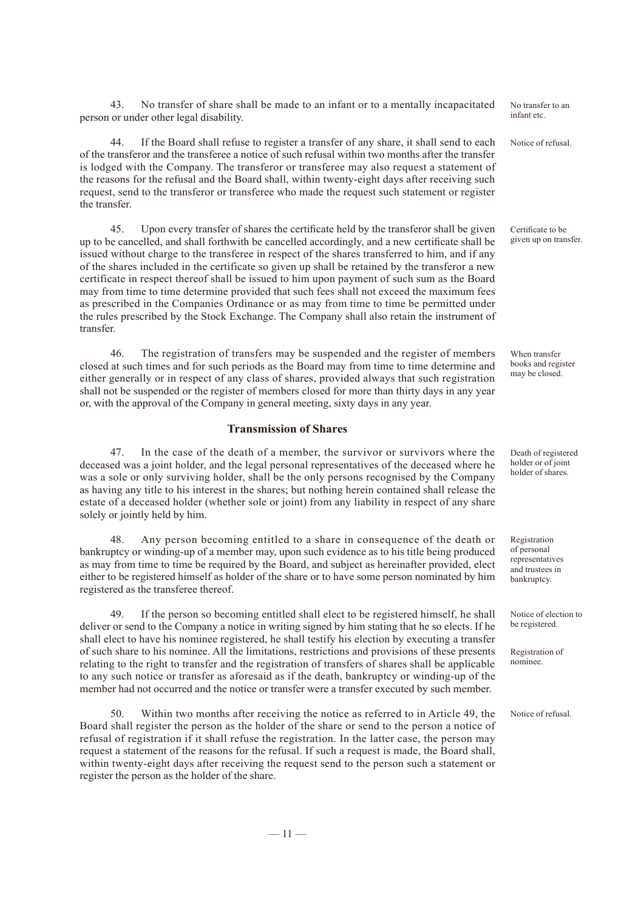43. No transfer of share shall be made to an infant or to a mentally incapacitated person or under other legal disability.

44. If the Board shall refuse to register a transfer of any share, it shall send to each of the transferor and the transferee a notice of such refusal within two months after the transfer is lodged with the Company. The transferor or transferee may also request a statement of the reasons for the refusal and the Board shall, within twenty-eight days after receiving such request, send to the transferor or transferee who made the request such statement or register the transfer.

45. Upon every transfer of shares the certificate held by the transferor shall be given up to be cancelled, and shall forthwith be cancelled accordingly, and a new certificate shall be issued without charge to the transferee in respect of the shares transferred to him, and if any of the shares included in the certificate so given up shall be retained by the transferor a new certificate in respect thereof shall be issued to him upon payment of such sum as the Board may from time to time determine provided that such fees shall not exceed the maximum fees as prescribed in the Companies Ordinance or as may from time to time be permitted under the rules prescribed by the Stock Exchange. The Company shall also retain the instrument of transfer.

46. The registration of transfers may be suspended and the register of members closed at such times and for such periods as the Board may from time to time determine and either generally or in respect of any class of shares, provided always that such registration shall not be suspended or the register of members closed for more than thirty days in any year or, with the approval of the Company in general meeting, sixty days in any year.

#### **Transmission of Shares**

47. In the case of the death of a member, the survivor or survivors where the deceased was a joint holder, and the legal personal representatives of the deceased where he was a sole or only surviving holder, shall be the only persons recognised by the Company as having any title to his interest in the shares; but nothing herein contained shall release the estate of a deceased holder (whether sole or joint) from any liability in respect of any share solely or jointly held by him.

48. Any person becoming entitled to a share in consequence of the death or bankruptcy or winding-up of a member may, upon such evidence as to his title being produced as may from time to time be required by the Board, and subject as hereinafter provided, elect either to be registered himself as holder of the share or to have some person nominated by him registered as the transferee thereof.

49. If the person so becoming entitled shall elect to be registered himself, he shall deliver or send to the Company a notice in writing signed by him stating that he so elects. If he shall elect to have his nominee registered, he shall testify his election by executing a transfer of such share to his nominee. All the limitations, restrictions and provisions of these presents relating to the right to transfer and the registration of transfers of shares shall be applicable to any such notice or transfer as aforesaid as if the death, bankruptcy or winding-up of the member had not occurred and the notice or transfer were a transfer executed by such member.

50. Within two months after receiving the notice as referred to in Article 49, the Board shall register the person as the holder of the share or send to the person a notice of refusal of registration if it shall refuse the registration. In the latter case, the person may request a statement of the reasons for the refusal. If such a request is made, the Board shall, within twenty-eight days after receiving the request send to the person such a statement or register the person as the holder of the share.

No transfer to an infant etc.

Notice of refusal.

Certificate to be given up on transfer.

When transfer books and register may be closed.

Death of registered holder or of joint holder of shares.

Registration of personal representatives and trustees in bankruptcy.

Notice of election to be registered.

Registration of nominee.

Notice of refusal.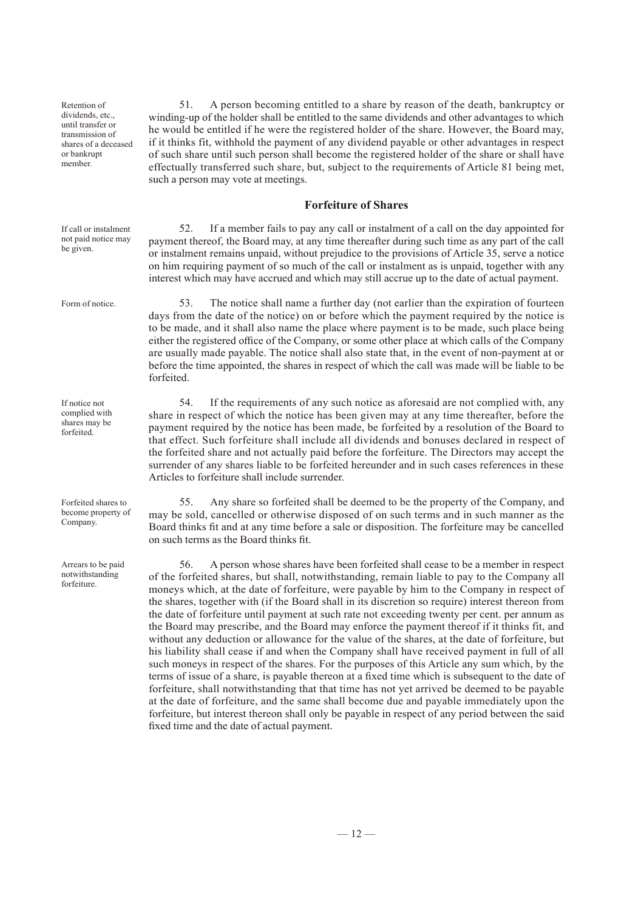Retention of dividends, etc., until transfer or transmission of shares of a deceased or bankrupt member.

If call or instalment not paid notice may be given.

Form of notice.

If notice not complied with shares may be forfeited.

Forfeited shares to become property of Company.

Arrears to be paid notwithstanding forfeiture.

51. A person becoming entitled to a share by reason of the death, bankruptcy or winding-up of the holder shall be entitled to the same dividends and other advantages to which he would be entitled if he were the registered holder of the share. However, the Board may, if it thinks fit, withhold the payment of any dividend payable or other advantages in respect of such share until such person shall become the registered holder of the share or shall have effectually transferred such share, but, subject to the requirements of Article 81 being met, such a person may vote at meetings.

#### **Forfeiture of Shares**

52. If a member fails to pay any call or instalment of a call on the day appointed for payment thereof, the Board may, at any time thereafter during such time as any part of the call or instalment remains unpaid, without prejudice to the provisions of Article 35, serve a notice on him requiring payment of so much of the call or instalment as is unpaid, together with any interest which may have accrued and which may still accrue up to the date of actual payment.

53. The notice shall name a further day (not earlier than the expiration of fourteen days from the date of the notice) on or before which the payment required by the notice is to be made, and it shall also name the place where payment is to be made, such place being either the registered office of the Company, or some other place at which calls of the Company are usually made payable. The notice shall also state that, in the event of non-payment at or before the time appointed, the shares in respect of which the call was made will be liable to be forfeited.

54. If the requirements of any such notice as aforesaid are not complied with, any share in respect of which the notice has been given may at any time thereafter, before the payment required by the notice has been made, be forfeited by a resolution of the Board to that effect. Such forfeiture shall include all dividends and bonuses declared in respect of the forfeited share and not actually paid before the forfeiture. The Directors may accept the surrender of any shares liable to be forfeited hereunder and in such cases references in these Articles to forfeiture shall include surrender.

55. Any share so forfeited shall be deemed to be the property of the Company, and may be sold, cancelled or otherwise disposed of on such terms and in such manner as the Board thinks fit and at any time before a sale or disposition. The forfeiture may be cancelled on such terms as the Board thinks fit.

56. A person whose shares have been forfeited shall cease to be a member in respect of the forfeited shares, but shall, notwithstanding, remain liable to pay to the Company all moneys which, at the date of forfeiture, were payable by him to the Company in respect of the shares, together with (if the Board shall in its discretion so require) interest thereon from the date of forfeiture until payment at such rate not exceeding twenty per cent. per annum as the Board may prescribe, and the Board may enforce the payment thereof if it thinks fit, and without any deduction or allowance for the value of the shares, at the date of forfeiture, but his liability shall cease if and when the Company shall have received payment in full of all such moneys in respect of the shares. For the purposes of this Article any sum which, by the terms of issue of a share, is payable thereon at a fixed time which is subsequent to the date of forfeiture, shall notwithstanding that that time has not yet arrived be deemed to be payable at the date of forfeiture, and the same shall become due and payable immediately upon the forfeiture, but interest thereon shall only be payable in respect of any period between the said fixed time and the date of actual payment.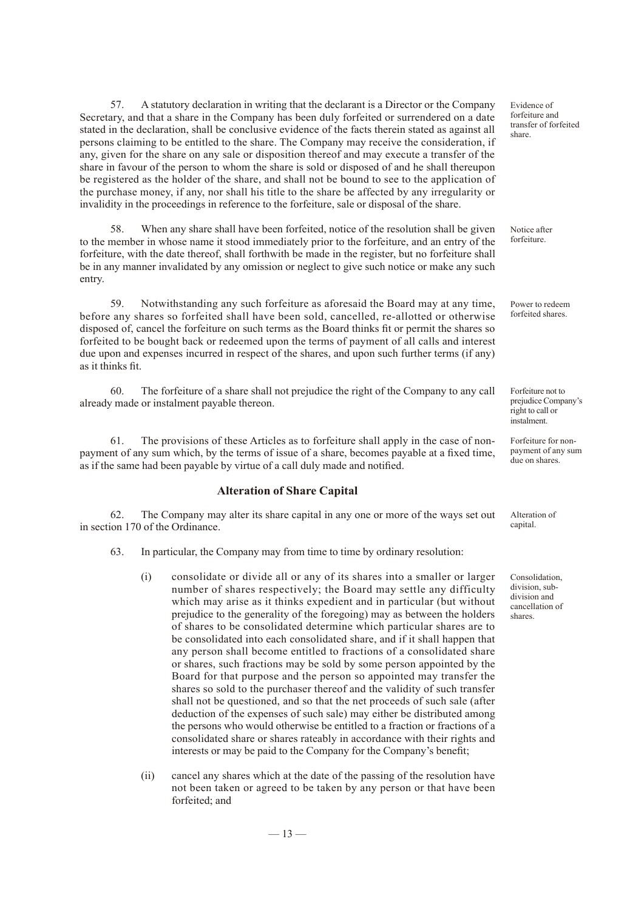57. A statutory declaration in writing that the declarant is a Director or the Company Secretary, and that a share in the Company has been duly forfeited or surrendered on a date stated in the declaration, shall be conclusive evidence of the facts therein stated as against all persons claiming to be entitled to the share. The Company may receive the consideration, if any, given for the share on any sale or disposition thereof and may execute a transfer of the share in favour of the person to whom the share is sold or disposed of and he shall thereupon be registered as the holder of the share, and shall not be bound to see to the application of the purchase money, if any, nor shall his title to the share be affected by any irregularity or invalidity in the proceedings in reference to the forfeiture, sale or disposal of the share.

58. When any share shall have been forfeited, notice of the resolution shall be given to the member in whose name it stood immediately prior to the forfeiture, and an entry of the forfeiture, with the date thereof, shall forthwith be made in the register, but no forfeiture shall be in any manner invalidated by any omission or neglect to give such notice or make any such entry.

59. Notwithstanding any such forfeiture as aforesaid the Board may at any time, before any shares so forfeited shall have been sold, cancelled, re-allotted or otherwise disposed of, cancel the forfeiture on such terms as the Board thinks fit or permit the shares so forfeited to be bought back or redeemed upon the terms of payment of all calls and interest due upon and expenses incurred in respect of the shares, and upon such further terms (if any) as it thinks fit.

60. The forfeiture of a share shall not prejudice the right of the Company to any call already made or instalment payable thereon.

61. The provisions of these Articles as to forfeiture shall apply in the case of nonpayment of any sum which, by the terms of issue of a share, becomes payable at a fixed time, as if the same had been payable by virtue of a call duly made and notified.

#### **Alteration of Share Capital**

62. The Company may alter its share capital in any one or more of the ways set out in section 170 of the Ordinance.

- 63. In particular, the Company may from time to time by ordinary resolution:
	- (i) consolidate or divide all or any of its shares into a smaller or larger number of shares respectively; the Board may settle any difficulty which may arise as it thinks expedient and in particular (but without prejudice to the generality of the foregoing) may as between the holders of shares to be consolidated determine which particular shares are to be consolidated into each consolidated share, and if it shall happen that any person shall become entitled to fractions of a consolidated share or shares, such fractions may be sold by some person appointed by the Board for that purpose and the person so appointed may transfer the shares so sold to the purchaser thereof and the validity of such transfer shall not be questioned, and so that the net proceeds of such sale (after deduction of the expenses of such sale) may either be distributed among the persons who would otherwise be entitled to a fraction or fractions of a consolidated share or shares rateably in accordance with their rights and interests or may be paid to the Company for the Company's benefit;
	- (ii) cancel any shares which at the date of the passing of the resolution have not been taken or agreed to be taken by any person or that have been forfeited; and

Evidence of forfeiture and transfer of forfeited share.

Notice after forfeiture.

Power to redeem forfeited shares.

Forfeiture not to prejudice Company's right to call or instalment.

Forfeiture for nonpayment of any sum due on shares.

Alteration of capital.

Consolidation, division, subdivision and cancellation of shares.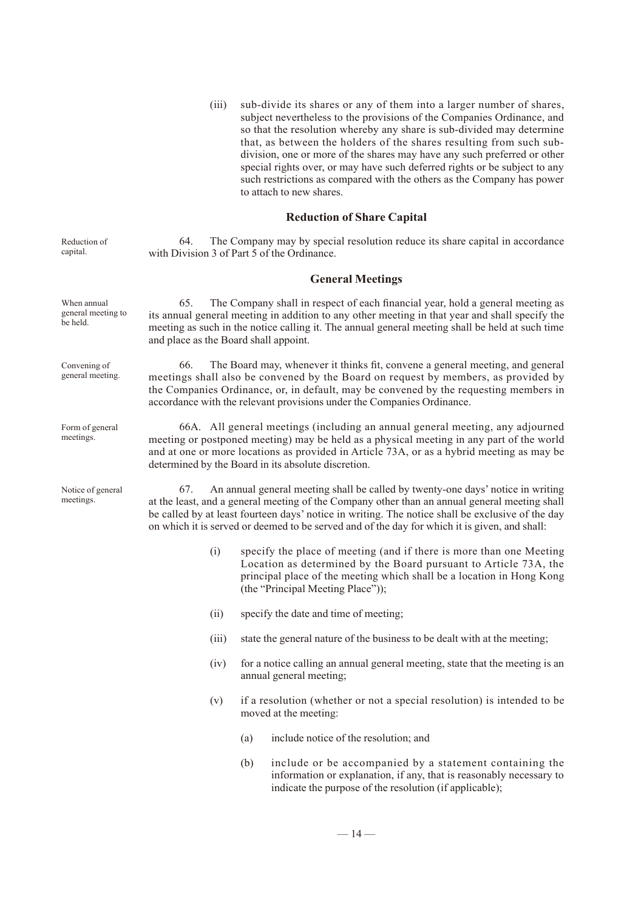(iii) sub-divide its shares or any of them into a larger number of shares, subject nevertheless to the provisions of the Companies Ordinance, and so that the resolution whereby any share is sub-divided may determine that, as between the holders of the shares resulting from such subdivision, one or more of the shares may have any such preferred or other special rights over, or may have such deferred rights or be subject to any such restrictions as compared with the others as the Company has power to attach to new shares.

#### **Reduction of Share Capital**

Reduction of capital.

64. The Company may by special resolution reduce its share capital in accordance with Division 3 of Part 5 of the Ordinance.

#### **General Meetings**

| When annual<br>general meeting to<br>be held. | 65.<br>and place as the Board shall appoint.                                                                                                                                                                                                                                                                                                                                                 | The Company shall in respect of each financial year, hold a general meeting as<br>its annual general meeting in addition to any other meeting in that year and shall specify the<br>meeting as such in the notice calling it. The annual general meeting shall be held at such time                                                    |  |  |
|-----------------------------------------------|----------------------------------------------------------------------------------------------------------------------------------------------------------------------------------------------------------------------------------------------------------------------------------------------------------------------------------------------------------------------------------------------|----------------------------------------------------------------------------------------------------------------------------------------------------------------------------------------------------------------------------------------------------------------------------------------------------------------------------------------|--|--|
| Convening of<br>general meeting.              | 66.                                                                                                                                                                                                                                                                                                                                                                                          | The Board may, whenever it thinks fit, convene a general meeting, and general<br>meetings shall also be convened by the Board on request by members, as provided by<br>the Companies Ordinance, or, in default, may be convened by the requesting members in<br>accordance with the relevant provisions under the Companies Ordinance. |  |  |
| Form of general<br>meetings.                  | 66A. All general meetings (including an annual general meeting, any adjourned<br>meeting or postponed meeting) may be held as a physical meeting in any part of the world<br>and at one or more locations as provided in Article 73A, or as a hybrid meeting as may be<br>determined by the Board in its absolute discretion.                                                                |                                                                                                                                                                                                                                                                                                                                        |  |  |
| Notice of general<br>meetings.                | An annual general meeting shall be called by twenty-one days' notice in writing<br>67.<br>at the least, and a general meeting of the Company other than an annual general meeting shall<br>be called by at least fourteen days' notice in writing. The notice shall be exclusive of the day<br>on which it is served or deemed to be served and of the day for which it is given, and shall: |                                                                                                                                                                                                                                                                                                                                        |  |  |
|                                               | (i)                                                                                                                                                                                                                                                                                                                                                                                          | specify the place of meeting (and if there is more than one Meeting<br>Location as determined by the Board pursuant to Article 73A, the<br>principal place of the meeting which shall be a location in Hong Kong<br>(the "Principal Meeting Place"));                                                                                  |  |  |
|                                               | (ii)                                                                                                                                                                                                                                                                                                                                                                                         | specify the date and time of meeting;                                                                                                                                                                                                                                                                                                  |  |  |
|                                               | (iii)                                                                                                                                                                                                                                                                                                                                                                                        | state the general nature of the business to be dealt with at the meeting;                                                                                                                                                                                                                                                              |  |  |
|                                               | (iv)                                                                                                                                                                                                                                                                                                                                                                                         | for a notice calling an annual general meeting, state that the meeting is an<br>annual general meeting;                                                                                                                                                                                                                                |  |  |
|                                               | (v)                                                                                                                                                                                                                                                                                                                                                                                          | if a resolution (whether or not a special resolution) is intended to be                                                                                                                                                                                                                                                                |  |  |

moved at the meeting:

- (a) include notice of the resolution; and
	- (b) include or be accompanied by a statement containing the information or explanation, if any, that is reasonably necessary to indicate the purpose of the resolution (if applicable);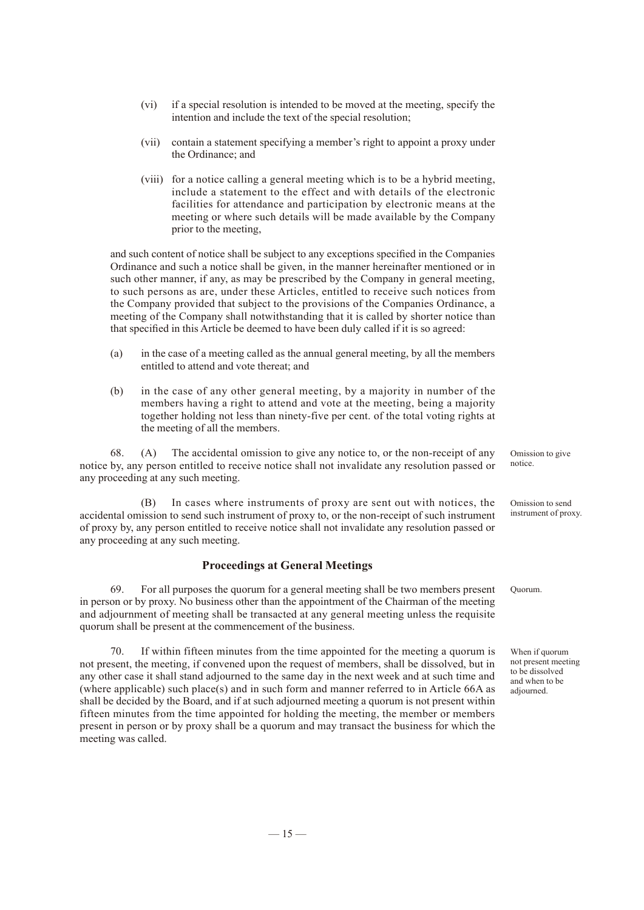- (vi) if a special resolution is intended to be moved at the meeting, specify the intention and include the text of the special resolution;
- (vii) contain a statement specifying a member's right to appoint a proxy under the Ordinance; and
- (viii) for a notice calling a general meeting which is to be a hybrid meeting, include a statement to the effect and with details of the electronic facilities for attendance and participation by electronic means at the meeting or where such details will be made available by the Company prior to the meeting,

and such content of notice shall be subject to any exceptions specified in the Companies Ordinance and such a notice shall be given, in the manner hereinafter mentioned or in such other manner, if any, as may be prescribed by the Company in general meeting, to such persons as are, under these Articles, entitled to receive such notices from the Company provided that subject to the provisions of the Companies Ordinance, a meeting of the Company shall notwithstanding that it is called by shorter notice than that specified in this Article be deemed to have been duly called if it is so agreed:

- (a) in the case of a meeting called as the annual general meeting, by all the members entitled to attend and vote thereat; and
- (b) in the case of any other general meeting, by a majority in number of the members having a right to attend and vote at the meeting, being a majority together holding not less than ninety-five per cent. of the total voting rights at the meeting of all the members.

68. (A) The accidental omission to give any notice to, or the non-receipt of any notice by, any person entitled to receive notice shall not invalidate any resolution passed or any proceeding at any such meeting.

(B) In cases where instruments of proxy are sent out with notices, the accidental omission to send such instrument of proxy to, or the non-receipt of such instrument of proxy by, any person entitled to receive notice shall not invalidate any resolution passed or any proceeding at any such meeting.

#### **Proceedings at General Meetings**

69. For all purposes the quorum for a general meeting shall be two members present in person or by proxy. No business other than the appointment of the Chairman of the meeting and adjournment of meeting shall be transacted at any general meeting unless the requisite quorum shall be present at the commencement of the business.

70. If within fifteen minutes from the time appointed for the meeting a quorum is not present, the meeting, if convened upon the request of members, shall be dissolved, but in any other case it shall stand adjourned to the same day in the next week and at such time and (where applicable) such place(s) and in such form and manner referred to in Article 66A as shall be decided by the Board, and if at such adjourned meeting a quorum is not present within fifteen minutes from the time appointed for holding the meeting, the member or members present in person or by proxy shall be a quorum and may transact the business for which the meeting was called.

Omission to give notice.

Omission to send instrument of proxy.

Quorum.

When if quorum not present meeting to be dissolved and when to be adjourned.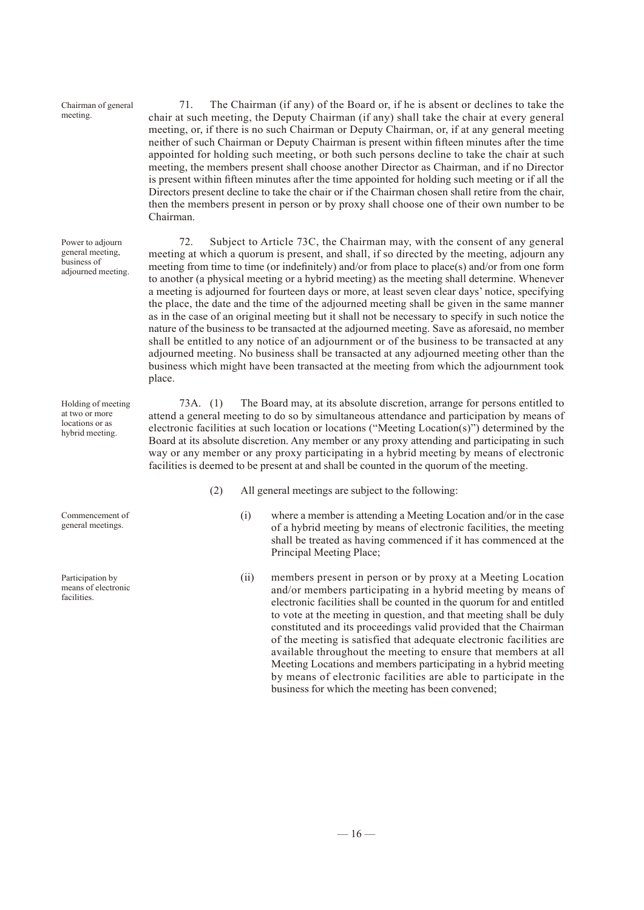Chairman of general meeting.

Power to adjourn general meeting, business of adjourned meeting.

71. The Chairman (if any) of the Board or, if he is absent or declines to take the chair at such meeting, the Deputy Chairman (if any) shall take the chair at every general meeting, or, if there is no such Chairman or Deputy Chairman, or, if at any general meeting neither of such Chairman or Deputy Chairman is present within fifteen minutes after the time appointed for holding such meeting, or both such persons decline to take the chair at such meeting, the members present shall choose another Director as Chairman, and if no Director is present within fifteen minutes after the time appointed for holding such meeting or if all the Directors present decline to take the chair or if the Chairman chosen shall retire from the chair, then the members present in person or by proxy shall choose one of their own number to be Chairman.

72. Subject to Article 73C, the Chairman may, with the consent of any general meeting at which a quorum is present, and shall, if so directed by the meeting, adjourn any meeting from time to time (or indefinitely) and/or from place to place(s) and/or from one form to another (a physical meeting or a hybrid meeting) as the meeting shall determine. Whenever a meeting is adjourned for fourteen days or more, at least seven clear days' notice, specifying the place, the date and the time of the adjourned meeting shall be given in the same manner as in the case of an original meeting but it shall not be necessary to specify in such notice the nature of the business to be transacted at the adjourned meeting. Save as aforesaid, no member shall be entitled to any notice of an adjournment or of the business to be transacted at any adjourned meeting. No business shall be transacted at any adjourned meeting other than the business which might have been transacted at the meeting from which the adjournment took place.

73A. (1) The Board may, at its absolute discretion, arrange for persons entitled to attend a general meeting to do so by simultaneous attendance and participation by means of electronic facilities at such location or locations ("Meeting Location(s)") determined by the Board at its absolute discretion. Any member or any proxy attending and participating in such way or any member or any proxy participating in a hybrid meeting by means of electronic facilities is deemed to be present at and shall be counted in the quorum of the meeting.

- (2) All general meetings are subject to the following:
	- (i) where a member is attending a Meeting Location and/or in the case of a hybrid meeting by means of electronic facilities, the meeting shall be treated as having commenced if it has commenced at the Principal Meeting Place;
	- (ii) members present in person or by proxy at a Meeting Location and/or members participating in a hybrid meeting by means of electronic facilities shall be counted in the quorum for and entitled to vote at the meeting in question, and that meeting shall be duly constituted and its proceedings valid provided that the Chairman of the meeting is satisfied that adequate electronic facilities are available throughout the meeting to ensure that members at all Meeting Locations and members participating in a hybrid meeting by means of electronic facilities are able to participate in the business for which the meeting has been convened;

Holding of meeting at two or more locations or as hybrid meeting.

Commencement of general meetings.

Participation by means of electronic facilities.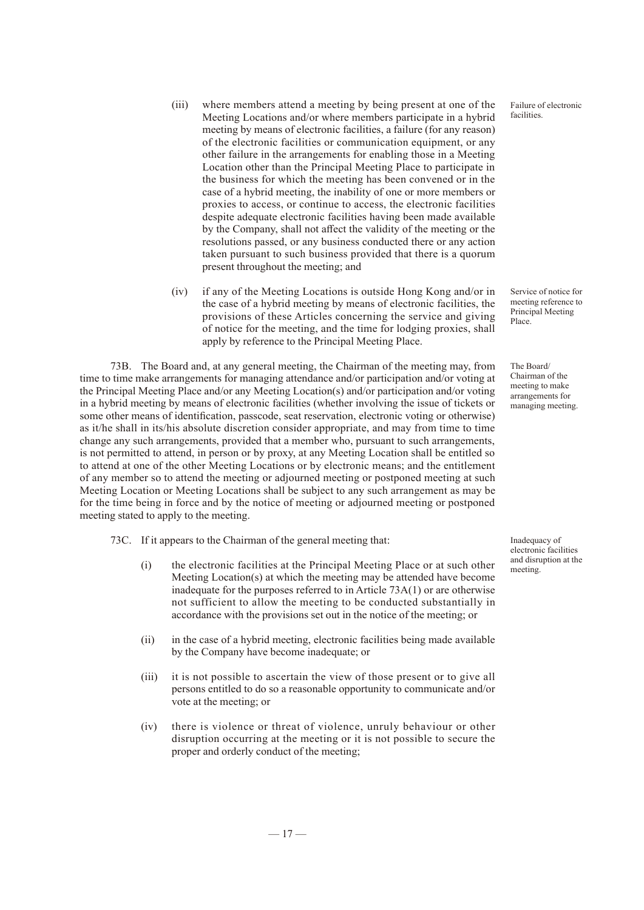- (iii) where members attend a meeting by being present at one of the Meeting Locations and/or where members participate in a hybrid meeting by means of electronic facilities, a failure (for any reason) of the electronic facilities or communication equipment, or any other failure in the arrangements for enabling those in a Meeting Location other than the Principal Meeting Place to participate in the business for which the meeting has been convened or in the case of a hybrid meeting, the inability of one or more members or proxies to access, or continue to access, the electronic facilities despite adequate electronic facilities having been made available by the Company, shall not affect the validity of the meeting or the resolutions passed, or any business conducted there or any action taken pursuant to such business provided that there is a quorum present throughout the meeting; and
- (iv) if any of the Meeting Locations is outside Hong Kong and/or in the case of a hybrid meeting by means of electronic facilities, the provisions of these Articles concerning the service and giving of notice for the meeting, and the time for lodging proxies, shall apply by reference to the Principal Meeting Place.

73B. The Board and, at any general meeting, the Chairman of the meeting may, from time to time make arrangements for managing attendance and/or participation and/or voting at the Principal Meeting Place and/or any Meeting Location(s) and/or participation and/or voting in a hybrid meeting by means of electronic facilities (whether involving the issue of tickets or some other means of identification, passcode, seat reservation, electronic voting or otherwise) as it/he shall in its/his absolute discretion consider appropriate, and may from time to time change any such arrangements, provided that a member who, pursuant to such arrangements, is not permitted to attend, in person or by proxy, at any Meeting Location shall be entitled so to attend at one of the other Meeting Locations or by electronic means; and the entitlement of any member so to attend the meeting or adjourned meeting or postponed meeting at such Meeting Location or Meeting Locations shall be subject to any such arrangement as may be for the time being in force and by the notice of meeting or adjourned meeting or postponed meeting stated to apply to the meeting.

73C. If it appears to the Chairman of the general meeting that:

- (i) the electronic facilities at the Principal Meeting Place or at such other Meeting Location(s) at which the meeting may be attended have become inadequate for the purposes referred to in Article 73A(1) or are otherwise not sufficient to allow the meeting to be conducted substantially in accordance with the provisions set out in the notice of the meeting; or
- (ii) in the case of a hybrid meeting, electronic facilities being made available by the Company have become inadequate; or
- (iii) it is not possible to ascertain the view of those present or to give all persons entitled to do so a reasonable opportunity to communicate and/or vote at the meeting; or
- (iv) there is violence or threat of violence, unruly behaviour or other disruption occurring at the meeting or it is not possible to secure the proper and orderly conduct of the meeting;

Inadequacy of electronic facilities and disruption at the meeting.

Failure of electronic facilities.

Service of notice for meeting reference to Principal Meeting Place.

The Board/ Chairman of the meeting to make arrangements for managing meeting.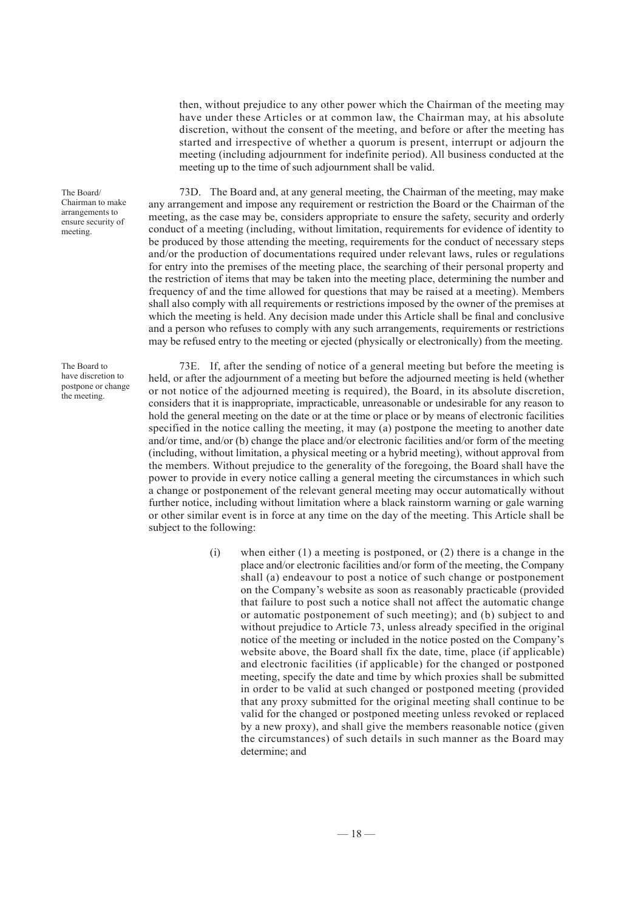then, without prejudice to any other power which the Chairman of the meeting may have under these Articles or at common law, the Chairman may, at his absolute discretion, without the consent of the meeting, and before or after the meeting has started and irrespective of whether a quorum is present, interrupt or adjourn the meeting (including adjournment for indefinite period). All business conducted at the meeting up to the time of such adjournment shall be valid.

73D. The Board and, at any general meeting, the Chairman of the meeting, may make any arrangement and impose any requirement or restriction the Board or the Chairman of the meeting, as the case may be, considers appropriate to ensure the safety, security and orderly conduct of a meeting (including, without limitation, requirements for evidence of identity to be produced by those attending the meeting, requirements for the conduct of necessary steps and/or the production of documentations required under relevant laws, rules or regulations for entry into the premises of the meeting place, the searching of their personal property and the restriction of items that may be taken into the meeting place, determining the number and frequency of and the time allowed for questions that may be raised at a meeting). Members shall also comply with all requirements or restrictions imposed by the owner of the premises at which the meeting is held. Any decision made under this Article shall be final and conclusive and a person who refuses to comply with any such arrangements, requirements or restrictions may be refused entry to the meeting or ejected (physically or electronically) from the meeting.

73E. If, after the sending of notice of a general meeting but before the meeting is held, or after the adjournment of a meeting but before the adjourned meeting is held (whether or not notice of the adjourned meeting is required), the Board, in its absolute discretion, considers that it is inappropriate, impracticable, unreasonable or undesirable for any reason to hold the general meeting on the date or at the time or place or by means of electronic facilities specified in the notice calling the meeting, it may (a) postpone the meeting to another date and/or time, and/or (b) change the place and/or electronic facilities and/or form of the meeting (including, without limitation, a physical meeting or a hybrid meeting), without approval from the members. Without prejudice to the generality of the foregoing, the Board shall have the power to provide in every notice calling a general meeting the circumstances in which such a change or postponement of the relevant general meeting may occur automatically without further notice, including without limitation where a black rainstorm warning or gale warning or other similar event is in force at any time on the day of the meeting. This Article shall be subject to the following:

> (i) when either  $(1)$  a meeting is postponed, or  $(2)$  there is a change in the place and/or electronic facilities and/or form of the meeting, the Company shall (a) endeavour to post a notice of such change or postponement on the Company's website as soon as reasonably practicable (provided that failure to post such a notice shall not affect the automatic change or automatic postponement of such meeting); and (b) subject to and without prejudice to Article 73, unless already specified in the original notice of the meeting or included in the notice posted on the Company's website above, the Board shall fix the date, time, place (if applicable) and electronic facilities (if applicable) for the changed or postponed meeting, specify the date and time by which proxies shall be submitted in order to be valid at such changed or postponed meeting (provided that any proxy submitted for the original meeting shall continue to be valid for the changed or postponed meeting unless revoked or replaced by a new proxy), and shall give the members reasonable notice (given the circumstances) of such details in such manner as the Board may determine; and

The Board/ Chairman to make arrangements to ensure security of meeting.

The Board to have discretion to postpone or change the meeting.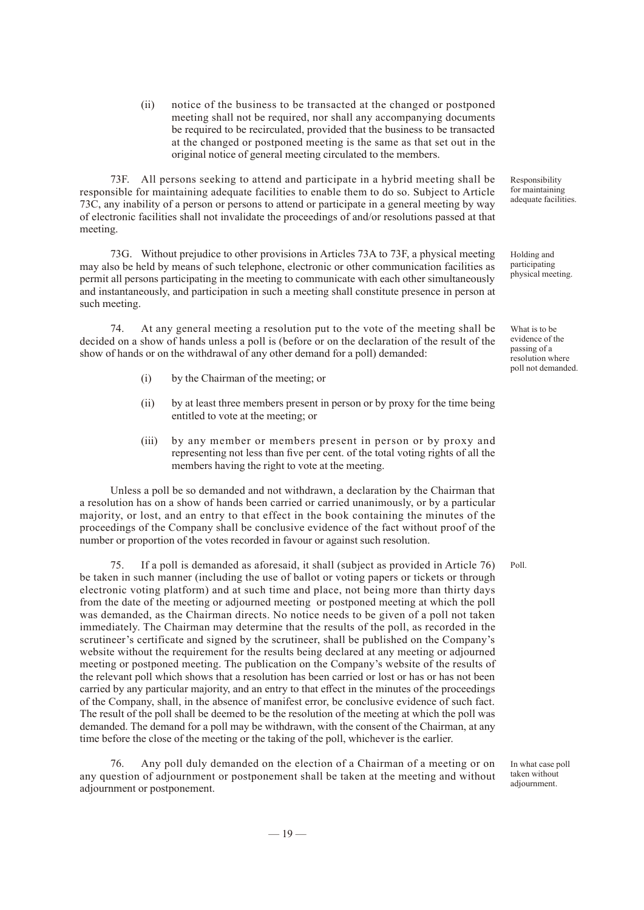(ii) notice of the business to be transacted at the changed or postponed meeting shall not be required, nor shall any accompanying documents be required to be recirculated, provided that the business to be transacted at the changed or postponed meeting is the same as that set out in the original notice of general meeting circulated to the members.

73F. All persons seeking to attend and participate in a hybrid meeting shall be responsible for maintaining adequate facilities to enable them to do so. Subject to Article 73C, any inability of a person or persons to attend or participate in a general meeting by way of electronic facilities shall not invalidate the proceedings of and/or resolutions passed at that meeting.

73G. Without prejudice to other provisions in Articles 73A to 73F, a physical meeting may also be held by means of such telephone, electronic or other communication facilities as permit all persons participating in the meeting to communicate with each other simultaneously and instantaneously, and participation in such a meeting shall constitute presence in person at such meeting.

74. At any general meeting a resolution put to the vote of the meeting shall be decided on a show of hands unless a poll is (before or on the declaration of the result of the show of hands or on the withdrawal of any other demand for a poll) demanded:

- (i) by the Chairman of the meeting; or
- (ii) by at least three members present in person or by proxy for the time being entitled to vote at the meeting; or
- (iii) by any member or members present in person or by proxy and representing not less than five per cent. of the total voting rights of all the members having the right to vote at the meeting.

Unless a poll be so demanded and not withdrawn, a declaration by the Chairman that a resolution has on a show of hands been carried or carried unanimously, or by a particular majority, or lost, and an entry to that effect in the book containing the minutes of the proceedings of the Company shall be conclusive evidence of the fact without proof of the number or proportion of the votes recorded in favour or against such resolution.

75. If a poll is demanded as aforesaid, it shall (subject as provided in Article 76) be taken in such manner (including the use of ballot or voting papers or tickets or through electronic voting platform) and at such time and place, not being more than thirty days from the date of the meeting or adjourned meeting or postponed meeting at which the poll was demanded, as the Chairman directs. No notice needs to be given of a poll not taken immediately. The Chairman may determine that the results of the poll, as recorded in the scrutineer's certificate and signed by the scrutineer, shall be published on the Company's website without the requirement for the results being declared at any meeting or adjourned meeting or postponed meeting. The publication on the Company's website of the results of the relevant poll which shows that a resolution has been carried or lost or has or has not been carried by any particular majority, and an entry to that effect in the minutes of the proceedings of the Company, shall, in the absence of manifest error, be conclusive evidence of such fact. The result of the poll shall be deemed to be the resolution of the meeting at which the poll was demanded. The demand for a poll may be withdrawn, with the consent of the Chairman, at any time before the close of the meeting or the taking of the poll, whichever is the earlier.

Any poll duly demanded on the election of a Chairman of a meeting or on any question of adjournment or postponement shall be taken at the meeting and without adjournment or postponement.

Responsibility for maintaining adequate facilities.

Holding and participating physical meeting.

What is to be evidence of the passing of a resolution where poll not demanded.

Poll.

In what case poll taken without adjournment.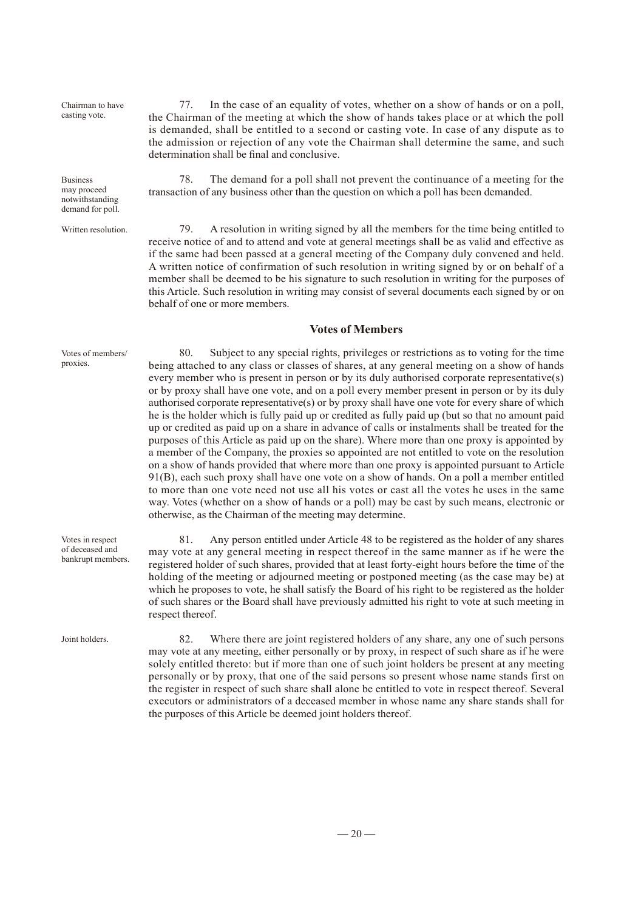Chairman to have casting vote.

Business may proceed notwithstanding demand for poll.

Written resolution.

77. In the case of an equality of votes, whether on a show of hands or on a poll, the Chairman of the meeting at which the show of hands takes place or at which the poll is demanded, shall be entitled to a second or casting vote. In case of any dispute as to the admission or rejection of any vote the Chairman shall determine the same, and such determination shall be final and conclusive.

78. The demand for a poll shall not prevent the continuance of a meeting for the transaction of any business other than the question on which a poll has been demanded.

79. A resolution in writing signed by all the members for the time being entitled to receive notice of and to attend and vote at general meetings shall be as valid and effective as if the same had been passed at a general meeting of the Company duly convened and held. A written notice of confirmation of such resolution in writing signed by or on behalf of a member shall be deemed to be his signature to such resolution in writing for the purposes of this Article. Such resolution in writing may consist of several documents each signed by or on behalf of one or more members.

#### **Votes of Members**

80. Subject to any special rights, privileges or restrictions as to voting for the time being attached to any class or classes of shares, at any general meeting on a show of hands every member who is present in person or by its duly authorised corporate representative(s) or by proxy shall have one vote, and on a poll every member present in person or by its duly authorised corporate representative(s) or by proxy shall have one vote for every share of which he is the holder which is fully paid up or credited as fully paid up (but so that no amount paid up or credited as paid up on a share in advance of calls or instalments shall be treated for the purposes of this Article as paid up on the share). Where more than one proxy is appointed by a member of the Company, the proxies so appointed are not entitled to vote on the resolution on a show of hands provided that where more than one proxy is appointed pursuant to Article 91(B), each such proxy shall have one vote on a show of hands. On a poll a member entitled to more than one vote need not use all his votes or cast all the votes he uses in the same way. Votes (whether on a show of hands or a poll) may be cast by such means, electronic or otherwise, as the Chairman of the meeting may determine.

81. Any person entitled under Article 48 to be registered as the holder of any shares may vote at any general meeting in respect thereof in the same manner as if he were the registered holder of such shares, provided that at least forty-eight hours before the time of the holding of the meeting or adjourned meeting or postponed meeting (as the case may be) at which he proposes to vote, he shall satisfy the Board of his right to be registered as the holder of such shares or the Board shall have previously admitted his right to vote at such meeting in respect thereof.

82. Where there are joint registered holders of any share, any one of such persons may vote at any meeting, either personally or by proxy, in respect of such share as if he were solely entitled thereto: but if more than one of such joint holders be present at any meeting personally or by proxy, that one of the said persons so present whose name stands first on the register in respect of such share shall alone be entitled to vote in respect thereof. Several executors or administrators of a deceased member in whose name any share stands shall for the purposes of this Article be deemed joint holders thereof.

Votes of members/ proxies.

Votes in respect of deceased and bankrupt members.

Joint holders.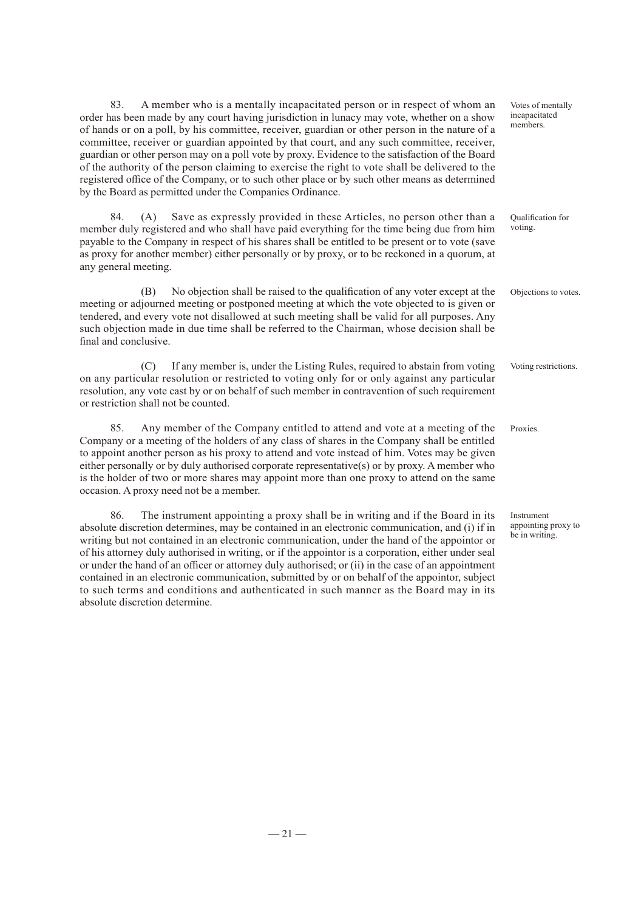83. A member who is a mentally incapacitated person or in respect of whom an order has been made by any court having jurisdiction in lunacy may vote, whether on a show of hands or on a poll, by his committee, receiver, guardian or other person in the nature of a committee, receiver or guardian appointed by that court, and any such committee, receiver, guardian or other person may on a poll vote by proxy. Evidence to the satisfaction of the Board of the authority of the person claiming to exercise the right to vote shall be delivered to the registered office of the Company, or to such other place or by such other means as determined by the Board as permitted under the Companies Ordinance.

84. (A) Save as expressly provided in these Articles, no person other than a member duly registered and who shall have paid everything for the time being due from him payable to the Company in respect of his shares shall be entitled to be present or to vote (save as proxy for another member) either personally or by proxy, or to be reckoned in a quorum, at any general meeting. Qualification for voting.

(B) No objection shall be raised to the qualification of any voter except at the meeting or adjourned meeting or postponed meeting at which the vote objected to is given or tendered, and every vote not disallowed at such meeting shall be valid for all purposes. Any such objection made in due time shall be referred to the Chairman, whose decision shall be final and conclusive. Objections to votes.

(C) If any member is, under the Listing Rules, required to abstain from voting on any particular resolution or restricted to voting only for or only against any particular resolution, any vote cast by or on behalf of such member in contravention of such requirement or restriction shall not be counted.

85. Any member of the Company entitled to attend and vote at a meeting of the Company or a meeting of the holders of any class of shares in the Company shall be entitled to appoint another person as his proxy to attend and vote instead of him. Votes may be given either personally or by duly authorised corporate representative(s) or by proxy. A member who is the holder of two or more shares may appoint more than one proxy to attend on the same occasion. A proxy need not be a member. Proxies.

86. The instrument appointing a proxy shall be in writing and if the Board in its absolute discretion determines, may be contained in an electronic communication, and (i) if in writing but not contained in an electronic communication, under the hand of the appointor or of his attorney duly authorised in writing, or if the appointor is a corporation, either under seal or under the hand of an officer or attorney duly authorised; or (ii) in the case of an appointment contained in an electronic communication, submitted by or on behalf of the appointor, subject to such terms and conditions and authenticated in such manner as the Board may in its absolute discretion determine.

Instrument appointing proxy to be in writing.

Voting restrictions.

Votes of mentally incapacitated members.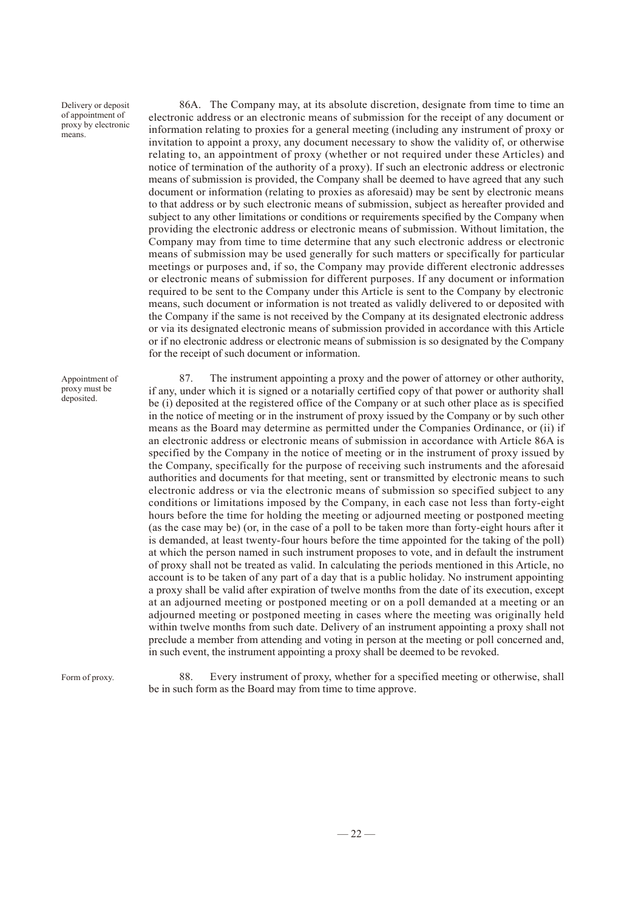Delivery or deposit of appointment of proxy by electronic means.

Appointment of proxy must be deposited.

86A. The Company may, at its absolute discretion, designate from time to time an electronic address or an electronic means of submission for the receipt of any document or information relating to proxies for a general meeting (including any instrument of proxy or invitation to appoint a proxy, any document necessary to show the validity of, or otherwise relating to, an appointment of proxy (whether or not required under these Articles) and notice of termination of the authority of a proxy). If such an electronic address or electronic means of submission is provided, the Company shall be deemed to have agreed that any such document or information (relating to proxies as aforesaid) may be sent by electronic means to that address or by such electronic means of submission, subject as hereafter provided and subject to any other limitations or conditions or requirements specified by the Company when providing the electronic address or electronic means of submission. Without limitation, the Company may from time to time determine that any such electronic address or electronic means of submission may be used generally for such matters or specifically for particular meetings or purposes and, if so, the Company may provide different electronic addresses or electronic means of submission for different purposes. If any document or information required to be sent to the Company under this Article is sent to the Company by electronic means, such document or information is not treated as validly delivered to or deposited with the Company if the same is not received by the Company at its designated electronic address or via its designated electronic means of submission provided in accordance with this Article or if no electronic address or electronic means of submission is so designated by the Company for the receipt of such document or information.

87. The instrument appointing a proxy and the power of attorney or other authority, if any, under which it is signed or a notarially certified copy of that power or authority shall be (i) deposited at the registered office of the Company or at such other place as is specified in the notice of meeting or in the instrument of proxy issued by the Company or by such other means as the Board may determine as permitted under the Companies Ordinance, or (ii) if an electronic address or electronic means of submission in accordance with Article 86A is specified by the Company in the notice of meeting or in the instrument of proxy issued by the Company, specifically for the purpose of receiving such instruments and the aforesaid authorities and documents for that meeting, sent or transmitted by electronic means to such electronic address or via the electronic means of submission so specified subject to any conditions or limitations imposed by the Company, in each case not less than forty-eight hours before the time for holding the meeting or adjourned meeting or postponed meeting (as the case may be) (or, in the case of a poll to be taken more than forty-eight hours after it is demanded, at least twenty-four hours before the time appointed for the taking of the poll) at which the person named in such instrument proposes to vote, and in default the instrument of proxy shall not be treated as valid. In calculating the periods mentioned in this Article, no account is to be taken of any part of a day that is a public holiday. No instrument appointing a proxy shall be valid after expiration of twelve months from the date of its execution, except at an adjourned meeting or postponed meeting or on a poll demanded at a meeting or an adjourned meeting or postponed meeting in cases where the meeting was originally held within twelve months from such date. Delivery of an instrument appointing a proxy shall not preclude a member from attending and voting in person at the meeting or poll concerned and, in such event, the instrument appointing a proxy shall be deemed to be revoked.

Form of proxy.

88. Every instrument of proxy, whether for a specified meeting or otherwise, shall be in such form as the Board may from time to time approve.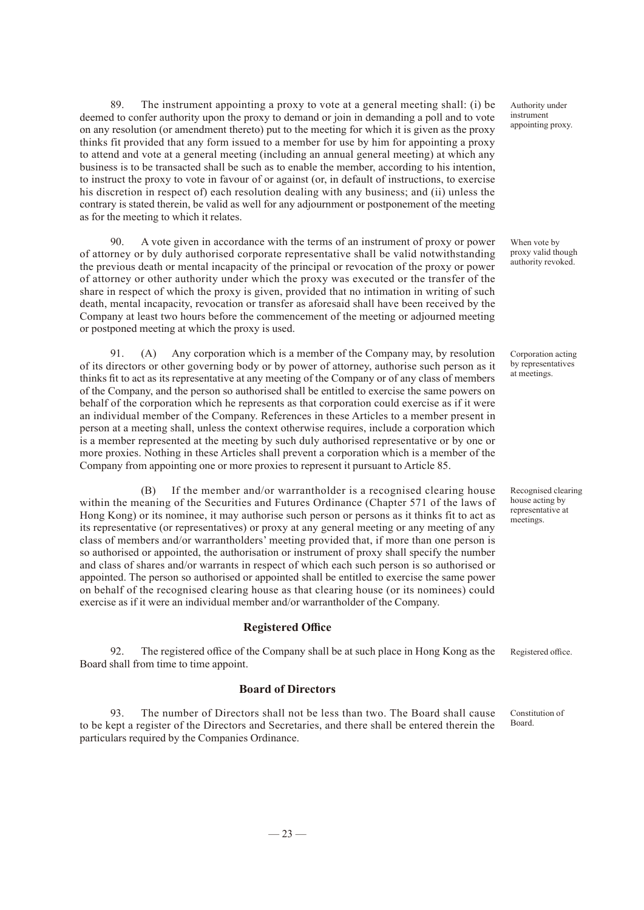89. The instrument appointing a proxy to vote at a general meeting shall: (i) be deemed to confer authority upon the proxy to demand or join in demanding a poll and to vote on any resolution (or amendment thereto) put to the meeting for which it is given as the proxy thinks fit provided that any form issued to a member for use by him for appointing a proxy to attend and vote at a general meeting (including an annual general meeting) at which any business is to be transacted shall be such as to enable the member, according to his intention, to instruct the proxy to vote in favour of or against (or, in default of instructions, to exercise his discretion in respect of) each resolution dealing with any business; and (ii) unless the contrary is stated therein, be valid as well for any adjournment or postponement of the meeting as for the meeting to which it relates.

90. A vote given in accordance with the terms of an instrument of proxy or power of attorney or by duly authorised corporate representative shall be valid notwithstanding the previous death or mental incapacity of the principal or revocation of the proxy or power of attorney or other authority under which the proxy was executed or the transfer of the share in respect of which the proxy is given, provided that no intimation in writing of such death, mental incapacity, revocation or transfer as aforesaid shall have been received by the Company at least two hours before the commencement of the meeting or adjourned meeting or postponed meeting at which the proxy is used.

91. (A) Any corporation which is a member of the Company may, by resolution of its directors or other governing body or by power of attorney, authorise such person as it thinks fit to act as its representative at any meeting of the Company or of any class of members of the Company, and the person so authorised shall be entitled to exercise the same powers on behalf of the corporation which he represents as that corporation could exercise as if it were an individual member of the Company. References in these Articles to a member present in person at a meeting shall, unless the context otherwise requires, include a corporation which is a member represented at the meeting by such duly authorised representative or by one or more proxies. Nothing in these Articles shall prevent a corporation which is a member of the Company from appointing one or more proxies to represent it pursuant to Article 85.

If the member and/or warrantholder is a recognised clearing house within the meaning of the Securities and Futures Ordinance (Chapter 571 of the laws of Hong Kong) or its nominee, it may authorise such person or persons as it thinks fit to act as its representative (or representatives) or proxy at any general meeting or any meeting of any class of members and/or warrantholders' meeting provided that, if more than one person is so authorised or appointed, the authorisation or instrument of proxy shall specify the number and class of shares and/or warrants in respect of which each such person is so authorised or appointed. The person so authorised or appointed shall be entitled to exercise the same power on behalf of the recognised clearing house as that clearing house (or its nominees) could exercise as if it were an individual member and/or warrantholder of the Company.

#### **Registered Office**

92. The registered office of the Company shall be at such place in Hong Kong as the Board shall from time to time appoint.

#### **Board of Directors**

93. The number of Directors shall not be less than two. The Board shall cause to be kept a register of the Directors and Secretaries, and there shall be entered therein the particulars required by the Companies Ordinance.

Authority under instrument appointing proxy.

When vote by proxy valid though authority revoked.

Corporation acting by representatives at meetings.

Recognised clearing house acting by representative at meetings.

Registered office.

Constitution of Board.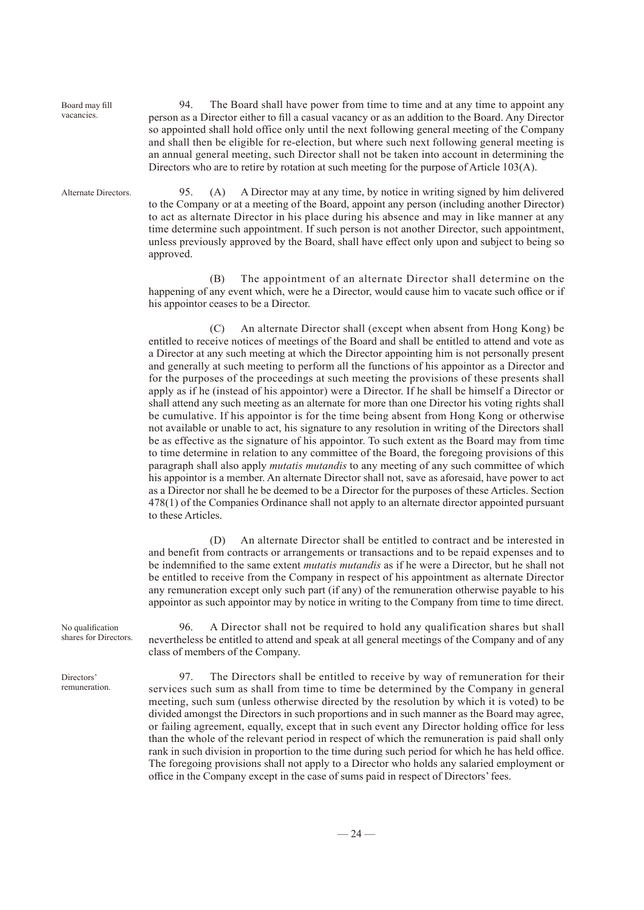Board may fill vacancies.

Alternate Directors.

94. The Board shall have power from time to time and at any time to appoint any person as a Director either to fill a casual vacancy or as an addition to the Board. Any Director so appointed shall hold office only until the next following general meeting of the Company and shall then be eligible for re-election, but where such next following general meeting is an annual general meeting, such Director shall not be taken into account in determining the Directors who are to retire by rotation at such meeting for the purpose of Article 103(A).

95. (A) A Director may at any time, by notice in writing signed by him delivered to the Company or at a meeting of the Board, appoint any person (including another Director) to act as alternate Director in his place during his absence and may in like manner at any time determine such appointment. If such person is not another Director, such appointment, unless previously approved by the Board, shall have effect only upon and subject to being so approved.

(B) The appointment of an alternate Director shall determine on the happening of any event which, were he a Director, would cause him to vacate such office or if his appointor ceases to be a Director.

(C) An alternate Director shall (except when absent from Hong Kong) be entitled to receive notices of meetings of the Board and shall be entitled to attend and vote as a Director at any such meeting at which the Director appointing him is not personally present and generally at such meeting to perform all the functions of his appointor as a Director and for the purposes of the proceedings at such meeting the provisions of these presents shall apply as if he (instead of his appointor) were a Director. If he shall be himself a Director or shall attend any such meeting as an alternate for more than one Director his voting rights shall be cumulative. If his appointor is for the time being absent from Hong Kong or otherwise not available or unable to act, his signature to any resolution in writing of the Directors shall be as effective as the signature of his appointor. To such extent as the Board may from time to time determine in relation to any committee of the Board, the foregoing provisions of this paragraph shall also apply *mutatis mutandis* to any meeting of any such committee of which his appointor is a member. An alternate Director shall not, save as aforesaid, have power to act as a Director nor shall he be deemed to be a Director for the purposes of these Articles. Section 478(1) of the Companies Ordinance shall not apply to an alternate director appointed pursuant to these Articles.

(D) An alternate Director shall be entitled to contract and be interested in and benefit from contracts or arrangements or transactions and to be repaid expenses and to be indemnified to the same extent *mutatis mutandis* as if he were a Director, but he shall not be entitled to receive from the Company in respect of his appointment as alternate Director any remuneration except only such part (if any) of the remuneration otherwise payable to his appointor as such appointor may by notice in writing to the Company from time to time direct.

No qualification shares for Directors.

96. A Director shall not be required to hold any qualification shares but shall nevertheless be entitled to attend and speak at all general meetings of the Company and of any class of members of the Company.

97. The Directors shall be entitled to receive by way of remuneration for their services such sum as shall from time to time be determined by the Company in general meeting, such sum (unless otherwise directed by the resolution by which it is voted) to be divided amongst the Directors in such proportions and in such manner as the Board may agree, or failing agreement, equally, except that in such event any Director holding office for less than the whole of the relevant period in respect of which the remuneration is paid shall only rank in such division in proportion to the time during such period for which he has held office. The foregoing provisions shall not apply to a Director who holds any salaried employment or office in the Company except in the case of sums paid in respect of Directors' fees.

Directors' remuneration.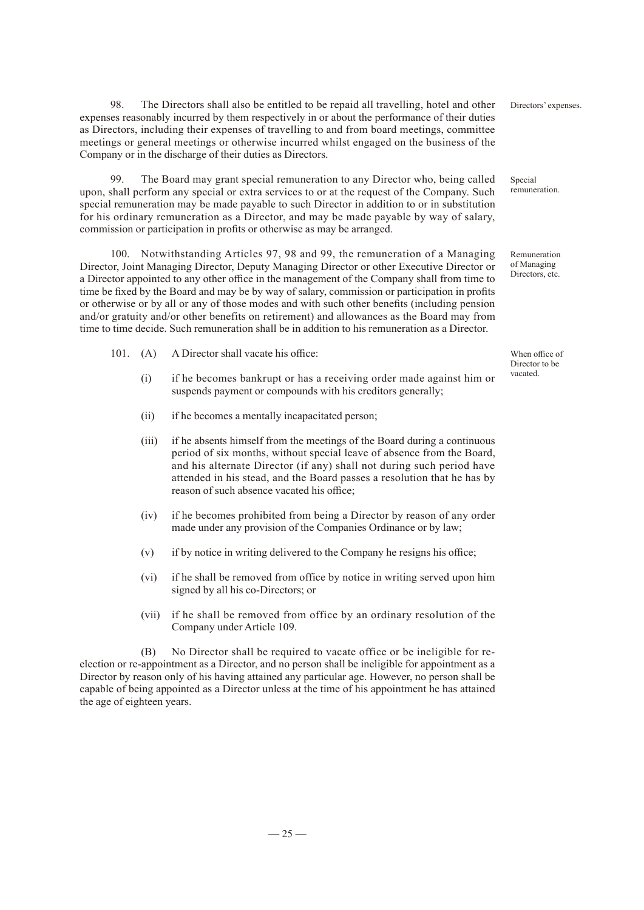98. The Directors shall also be entitled to be repaid all travelling, hotel and other expenses reasonably incurred by them respectively in or about the performance of their duties as Directors, including their expenses of travelling to and from board meetings, committee meetings or general meetings or otherwise incurred whilst engaged on the business of the Company or in the discharge of their duties as Directors.

99. The Board may grant special remuneration to any Director who, being called upon, shall perform any special or extra services to or at the request of the Company. Such special remuneration may be made payable to such Director in addition to or in substitution for his ordinary remuneration as a Director, and may be made payable by way of salary, commission or participation in profits or otherwise as may be arranged.

100. Notwithstanding Articles 97, 98 and 99, the remuneration of a Managing Director, Joint Managing Director, Deputy Managing Director or other Executive Director or a Director appointed to any other office in the management of the Company shall from time to time be fixed by the Board and may be by way of salary, commission or participation in profits or otherwise or by all or any of those modes and with such other benefits (including pension and/or gratuity and/or other benefits on retirement) and allowances as the Board may from time to time decide. Such remuneration shall be in addition to his remuneration as a Director.

- 101. (A) A Director shall vacate his office:
	- (i) if he becomes bankrupt or has a receiving order made against him or suspends payment or compounds with his creditors generally;
	- (ii) if he becomes a mentally incapacitated person;
	- (iii) if he absents himself from the meetings of the Board during a continuous period of six months, without special leave of absence from the Board, and his alternate Director (if any) shall not during such period have attended in his stead, and the Board passes a resolution that he has by reason of such absence vacated his office;
	- (iv) if he becomes prohibited from being a Director by reason of any order made under any provision of the Companies Ordinance or by law;
	- (v) if by notice in writing delivered to the Company he resigns his office;
	- (vi) if he shall be removed from office by notice in writing served upon him signed by all his co-Directors; or
	- (vii) if he shall be removed from office by an ordinary resolution of the Company under Article 109.

(B) No Director shall be required to vacate office or be ineligible for reelection or re-appointment as a Director, and no person shall be ineligible for appointment as a Director by reason only of his having attained any particular age. However, no person shall be capable of being appointed as a Director unless at the time of his appointment he has attained the age of eighteen years.

Directors' expenses.

Special remuneration.

Remuneration of Managing Directors, etc.

When office of Director to be vacated.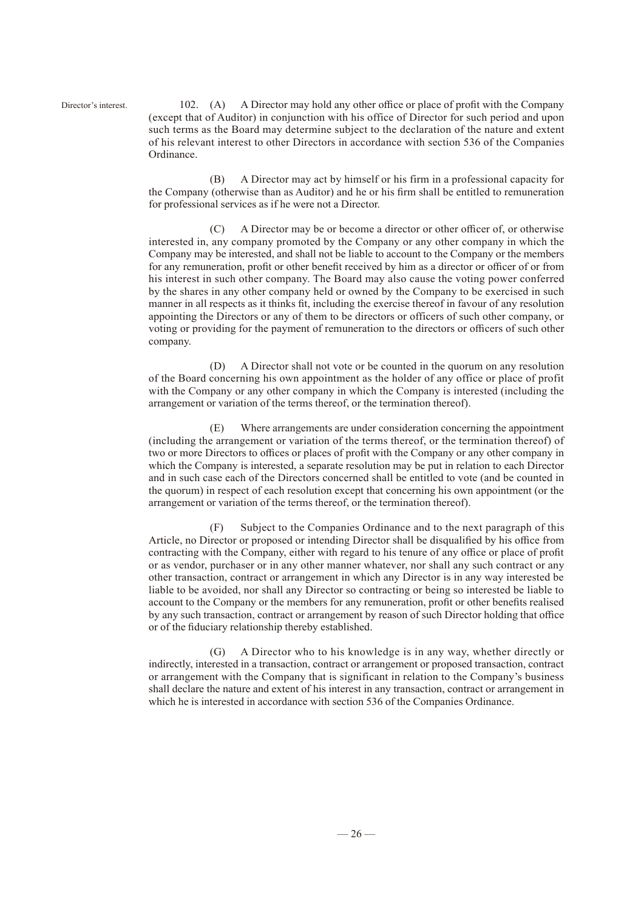Director's interest.

102. (A) A Director may hold any other office or place of profit with the Company (except that of Auditor) in conjunction with his office of Director for such period and upon such terms as the Board may determine subject to the declaration of the nature and extent of his relevant interest to other Directors in accordance with section 536 of the Companies Ordinance.

(B) A Director may act by himself or his firm in a professional capacity for the Company (otherwise than as Auditor) and he or his firm shall be entitled to remuneration for professional services as if he were not a Director.

(C) A Director may be or become a director or other officer of, or otherwise interested in, any company promoted by the Company or any other company in which the Company may be interested, and shall not be liable to account to the Company or the members for any remuneration, profit or other benefit received by him as a director or officer of or from his interest in such other company. The Board may also cause the voting power conferred by the shares in any other company held or owned by the Company to be exercised in such manner in all respects as it thinks fit, including the exercise thereof in favour of any resolution appointing the Directors or any of them to be directors or officers of such other company, or voting or providing for the payment of remuneration to the directors or officers of such other company.

(D) A Director shall not vote or be counted in the quorum on any resolution of the Board concerning his own appointment as the holder of any office or place of profit with the Company or any other company in which the Company is interested (including the arrangement or variation of the terms thereof, or the termination thereof).

(E) Where arrangements are under consideration concerning the appointment (including the arrangement or variation of the terms thereof, or the termination thereof) of two or more Directors to offices or places of profit with the Company or any other company in which the Company is interested, a separate resolution may be put in relation to each Director and in such case each of the Directors concerned shall be entitled to vote (and be counted in the quorum) in respect of each resolution except that concerning his own appointment (or the arrangement or variation of the terms thereof, or the termination thereof).

(F) Subject to the Companies Ordinance and to the next paragraph of this Article, no Director or proposed or intending Director shall be disqualified by his office from contracting with the Company, either with regard to his tenure of any office or place of profit or as vendor, purchaser or in any other manner whatever, nor shall any such contract or any other transaction, contract or arrangement in which any Director is in any way interested be liable to be avoided, nor shall any Director so contracting or being so interested be liable to account to the Company or the members for any remuneration, profit or other benefits realised by any such transaction, contract or arrangement by reason of such Director holding that office or of the fiduciary relationship thereby established.

(G) A Director who to his knowledge is in any way, whether directly or indirectly, interested in a transaction, contract or arrangement or proposed transaction, contract or arrangement with the Company that is significant in relation to the Company's business shall declare the nature and extent of his interest in any transaction, contract or arrangement in which he is interested in accordance with section 536 of the Companies Ordinance.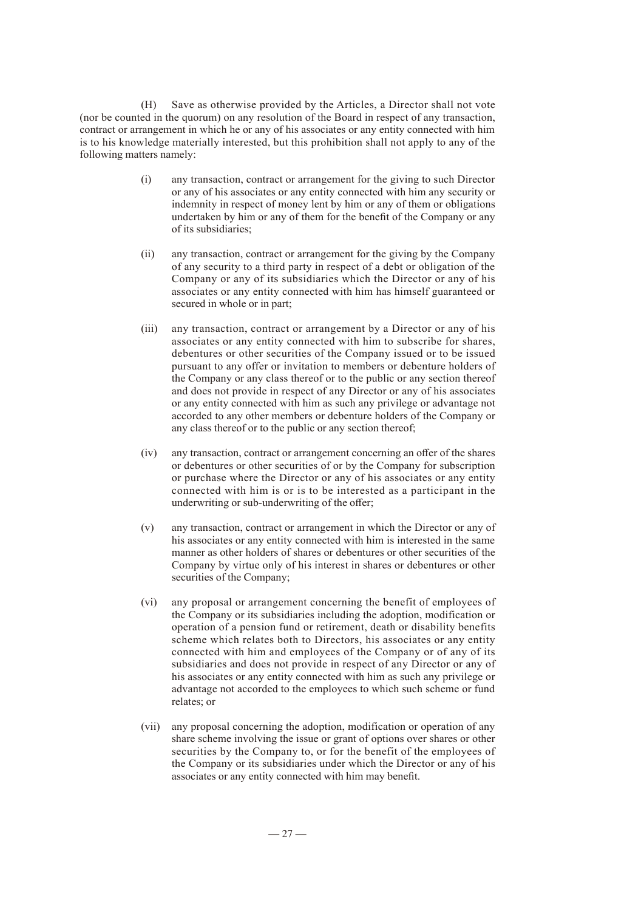(H) Save as otherwise provided by the Articles, a Director shall not vote (nor be counted in the quorum) on any resolution of the Board in respect of any transaction, contract or arrangement in which he or any of his associates or any entity connected with him is to his knowledge materially interested, but this prohibition shall not apply to any of the following matters namely:

- (i) any transaction, contract or arrangement for the giving to such Director or any of his associates or any entity connected with him any security or indemnity in respect of money lent by him or any of them or obligations undertaken by him or any of them for the benefit of the Company or any of its subsidiaries;
- (ii) any transaction, contract or arrangement for the giving by the Company of any security to a third party in respect of a debt or obligation of the Company or any of its subsidiaries which the Director or any of his associates or any entity connected with him has himself guaranteed or secured in whole or in part;
- (iii) any transaction, contract or arrangement by a Director or any of his associates or any entity connected with him to subscribe for shares, debentures or other securities of the Company issued or to be issued pursuant to any offer or invitation to members or debenture holders of the Company or any class thereof or to the public or any section thereof and does not provide in respect of any Director or any of his associates or any entity connected with him as such any privilege or advantage not accorded to any other members or debenture holders of the Company or any class thereof or to the public or any section thereof;
- (iv) any transaction, contract or arrangement concerning an offer of the shares or debentures or other securities of or by the Company for subscription or purchase where the Director or any of his associates or any entity connected with him is or is to be interested as a participant in the underwriting or sub-underwriting of the offer;
- (v) any transaction, contract or arrangement in which the Director or any of his associates or any entity connected with him is interested in the same manner as other holders of shares or debentures or other securities of the Company by virtue only of his interest in shares or debentures or other securities of the Company;
- (vi) any proposal or arrangement concerning the benefit of employees of the Company or its subsidiaries including the adoption, modification or operation of a pension fund or retirement, death or disability benefits scheme which relates both to Directors, his associates or any entity connected with him and employees of the Company or of any of its subsidiaries and does not provide in respect of any Director or any of his associates or any entity connected with him as such any privilege or advantage not accorded to the employees to which such scheme or fund relates; or
- (vii) any proposal concerning the adoption, modification or operation of any share scheme involving the issue or grant of options over shares or other securities by the Company to, or for the benefit of the employees of the Company or its subsidiaries under which the Director or any of his associates or any entity connected with him may benefit.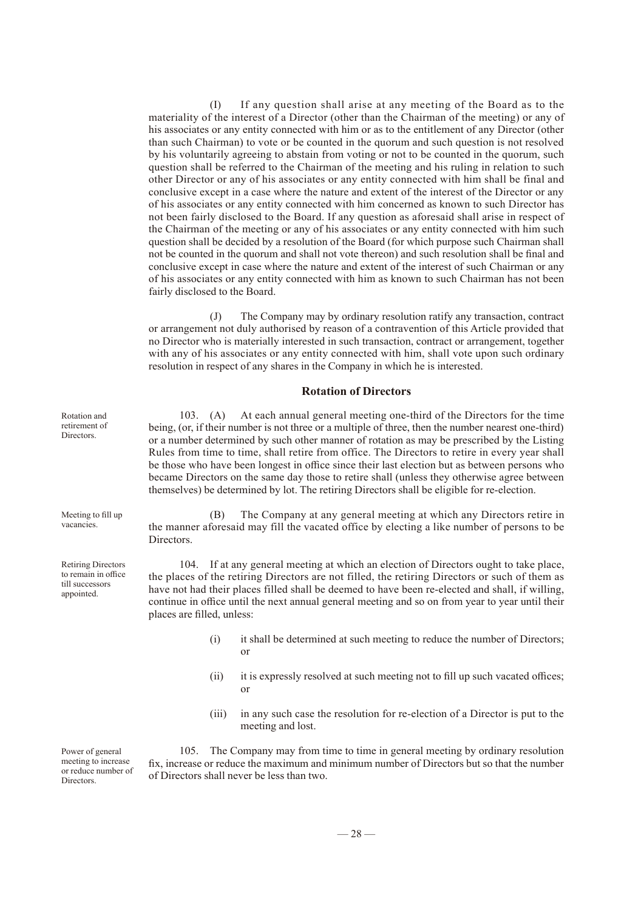(I) If any question shall arise at any meeting of the Board as to the materiality of the interest of a Director (other than the Chairman of the meeting) or any of his associates or any entity connected with him or as to the entitlement of any Director (other than such Chairman) to vote or be counted in the quorum and such question is not resolved by his voluntarily agreeing to abstain from voting or not to be counted in the quorum, such question shall be referred to the Chairman of the meeting and his ruling in relation to such other Director or any of his associates or any entity connected with him shall be final and conclusive except in a case where the nature and extent of the interest of the Director or any of his associates or any entity connected with him concerned as known to such Director has not been fairly disclosed to the Board. If any question as aforesaid shall arise in respect of the Chairman of the meeting or any of his associates or any entity connected with him such question shall be decided by a resolution of the Board (for which purpose such Chairman shall not be counted in the quorum and shall not vote thereon) and such resolution shall be final and conclusive except in case where the nature and extent of the interest of such Chairman or any of his associates or any entity connected with him as known to such Chairman has not been fairly disclosed to the Board.

(J) The Company may by ordinary resolution ratify any transaction, contract or arrangement not duly authorised by reason of a contravention of this Article provided that no Director who is materially interested in such transaction, contract or arrangement, together with any of his associates or any entity connected with him, shall vote upon such ordinary resolution in respect of any shares in the Company in which he is interested.

#### **Rotation of Directors**

103. (A) At each annual general meeting one-third of the Directors for the time being, (or, if their number is not three or a multiple of three, then the number nearest one-third) or a number determined by such other manner of rotation as may be prescribed by the Listing Rules from time to time, shall retire from office. The Directors to retire in every year shall be those who have been longest in office since their last election but as between persons who became Directors on the same day those to retire shall (unless they otherwise agree between themselves) be determined by lot. The retiring Directors shall be eligible for re-election.

(B) The Company at any general meeting at which any Directors retire in the manner aforesaid may fill the vacated office by electing a like number of persons to be Directors.

104. If at any general meeting at which an election of Directors ought to take place, the places of the retiring Directors are not filled, the retiring Directors or such of them as have not had their places filled shall be deemed to have been re-elected and shall, if willing, continue in office until the next annual general meeting and so on from year to year until their places are filled, unless:

- (i) it shall be determined at such meeting to reduce the number of Directors; or
- (ii) it is expressly resolved at such meeting not to fill up such vacated offices; or
- (iii) in any such case the resolution for re-election of a Director is put to the meeting and lost.

105. The Company may from time to time in general meeting by ordinary resolution fix, increase or reduce the maximum and minimum number of Directors but so that the number of Directors shall never be less than two.

Rotation and retirement of **Directors** 

Meeting to fill up vacancies.

Retiring Directors to remain in office till successors appointed.

Power of general meeting to increase or reduce number of Directors.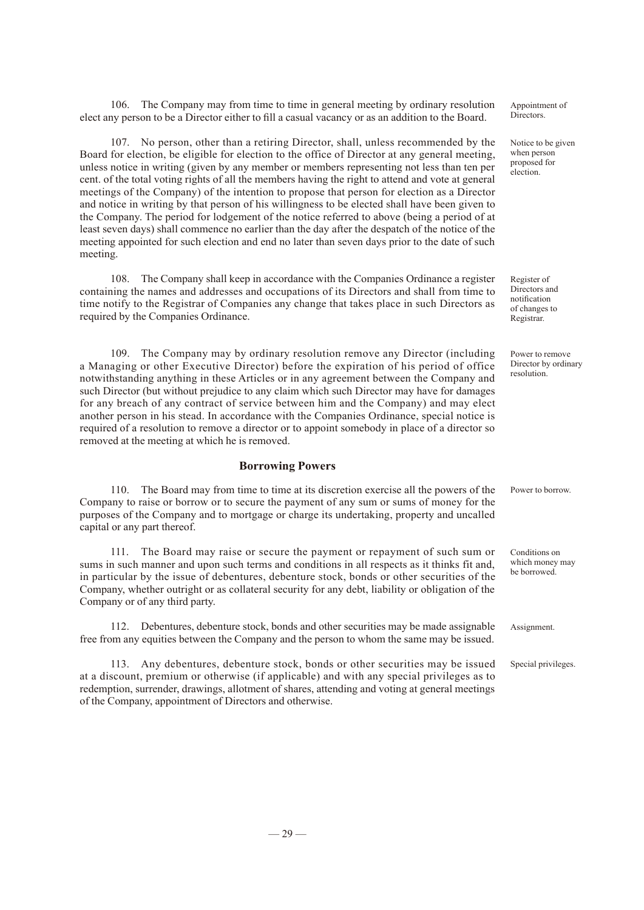106. The Company may from time to time in general meeting by ordinary resolution elect any person to be a Director either to fill a casual vacancy or as an addition to the Board.

107. No person, other than a retiring Director, shall, unless recommended by the Board for election, be eligible for election to the office of Director at any general meeting, unless notice in writing (given by any member or members representing not less than ten per cent. of the total voting rights of all the members having the right to attend and vote at general meetings of the Company) of the intention to propose that person for election as a Director and notice in writing by that person of his willingness to be elected shall have been given to the Company. The period for lodgement of the notice referred to above (being a period of at least seven days) shall commence no earlier than the day after the despatch of the notice of the meeting appointed for such election and end no later than seven days prior to the date of such meeting.

108. The Company shall keep in accordance with the Companies Ordinance a register containing the names and addresses and occupations of its Directors and shall from time to time notify to the Registrar of Companies any change that takes place in such Directors as required by the Companies Ordinance.

109. The Company may by ordinary resolution remove any Director (including a Managing or other Executive Director) before the expiration of his period of office notwithstanding anything in these Articles or in any agreement between the Company and such Director (but without prejudice to any claim which such Director may have for damages for any breach of any contract of service between him and the Company) and may elect another person in his stead. In accordance with the Companies Ordinance, special notice is required of a resolution to remove a director or to appoint somebody in place of a director so removed at the meeting at which he is removed.

#### **Borrowing Powers**

110. The Board may from time to time at its discretion exercise all the powers of the Company to raise or borrow or to secure the payment of any sum or sums of money for the purposes of the Company and to mortgage or charge its undertaking, property and uncalled capital or any part thereof. Power to borrow.

111. The Board may raise or secure the payment or repayment of such sum or sums in such manner and upon such terms and conditions in all respects as it thinks fit and, in particular by the issue of debentures, debenture stock, bonds or other securities of the Company, whether outright or as collateral security for any debt, liability or obligation of the Company or of any third party.

112. Debentures, debenture stock, bonds and other securities may be made assignable free from any equities between the Company and the person to whom the same may be issued.

113. Any debentures, debenture stock, bonds or other securities may be issued at a discount, premium or otherwise (if applicable) and with any special privileges as to redemption, surrender, drawings, allotment of shares, attending and voting at general meetings of the Company, appointment of Directors and otherwise.

Appointment of Directors.

Notice to be given when person proposed for election.

Register of Directors and notification of changes to Registrar.

Power to remove Director by ordinary resolution.

Conditions on which money may be borrowed.

Assignment.

Special privileges.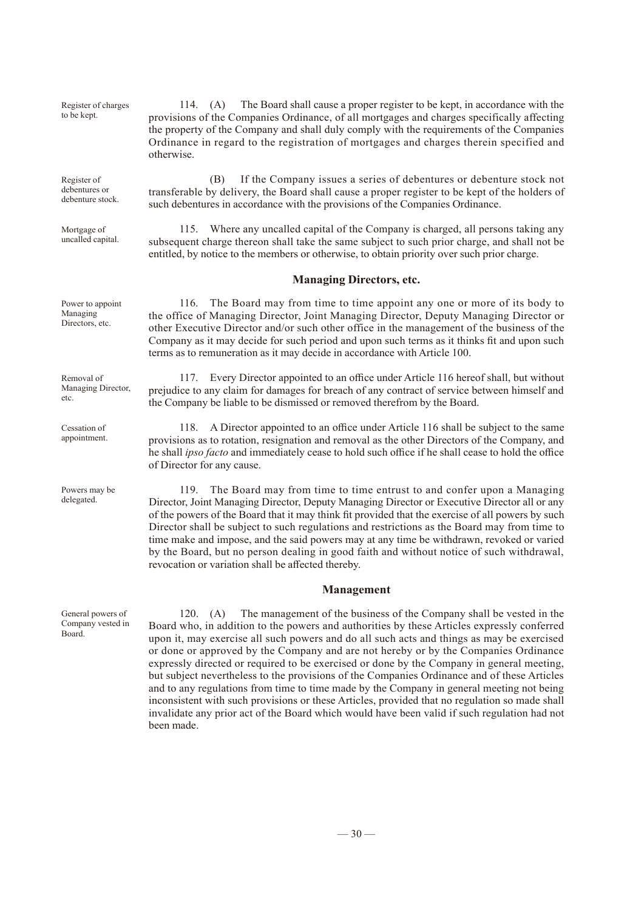Register of charges to be kept.

otherwise.

Register of debentures or debenture stock.

Mortgage of uncalled capital.

115. Where any uncalled capital of the Company is charged, all persons taking any subsequent charge thereon shall take the same subject to such prior charge, and shall not be entitled, by notice to the members or otherwise, to obtain priority over such prior charge.

transferable by delivery, the Board shall cause a proper register to be kept of the holders of

such debentures in accordance with the provisions of the Companies Ordinance.

114. (A) The Board shall cause a proper register to be kept, in accordance with the provisions of the Companies Ordinance, of all mortgages and charges specifically affecting the property of the Company and shall duly comply with the requirements of the Companies Ordinance in regard to the registration of mortgages and charges therein specified and

(B) If the Company issues a series of debentures or debenture stock not

#### **Managing Directors, etc.**

116. The Board may from time to time appoint any one or more of its body to the office of Managing Director, Joint Managing Director, Deputy Managing Director or other Executive Director and/or such other office in the management of the business of the Company as it may decide for such period and upon such terms as it thinks fit and upon such terms as to remuneration as it may decide in accordance with Article 100.

117. Every Director appointed to an office under Article 116 hereof shall, but without prejudice to any claim for damages for breach of any contract of service between himself and the Company be liable to be dismissed or removed therefrom by the Board.

118. A Director appointed to an office under Article 116 shall be subject to the same provisions as to rotation, resignation and removal as the other Directors of the Company, and he shall *ipso facto* and immediately cease to hold such office if he shall cease to hold the office of Director for any cause.

119. The Board may from time to time entrust to and confer upon a Managing Director, Joint Managing Director, Deputy Managing Director or Executive Director all or any of the powers of the Board that it may think fit provided that the exercise of all powers by such Director shall be subject to such regulations and restrictions as the Board may from time to time make and impose, and the said powers may at any time be withdrawn, revoked or varied by the Board, but no person dealing in good faith and without notice of such withdrawal, revocation or variation shall be affected thereby.

#### **Management**

120. (A) The management of the business of the Company shall be vested in the Board who, in addition to the powers and authorities by these Articles expressly conferred upon it, may exercise all such powers and do all such acts and things as may be exercised or done or approved by the Company and are not hereby or by the Companies Ordinance expressly directed or required to be exercised or done by the Company in general meeting, but subject nevertheless to the provisions of the Companies Ordinance and of these Articles and to any regulations from time to time made by the Company in general meeting not being inconsistent with such provisions or these Articles, provided that no regulation so made shall invalidate any prior act of the Board which would have been valid if such regulation had not been made.

Managing Directors, etc.

Power to appoint

Removal of Managing Director, etc.

Cessation of appointment.

Powers may be delegated.

General powers of Company vested in Board.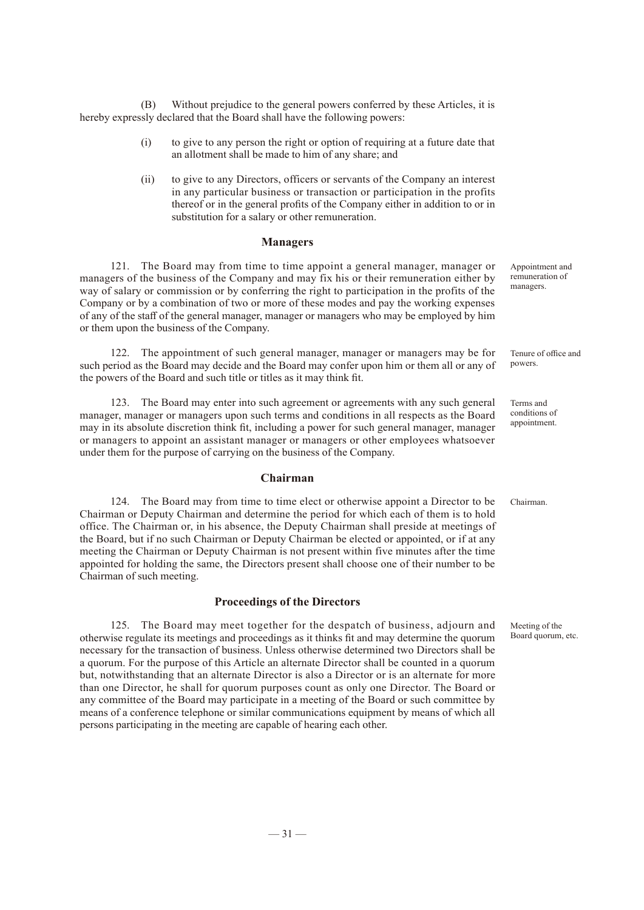(B) Without prejudice to the general powers conferred by these Articles, it is hereby expressly declared that the Board shall have the following powers:

- (i) to give to any person the right or option of requiring at a future date that an allotment shall be made to him of any share; and
- (ii) to give to any Directors, officers or servants of the Company an interest in any particular business or transaction or participation in the profits thereof or in the general profits of the Company either in addition to or in substitution for a salary or other remuneration.

#### **Managers**

121. The Board may from time to time appoint a general manager, manager or managers of the business of the Company and may fix his or their remuneration either by way of salary or commission or by conferring the right to participation in the profits of the Company or by a combination of two or more of these modes and pay the working expenses of any of the staff of the general manager, manager or managers who may be employed by him or them upon the business of the Company.

122. The appointment of such general manager, manager or managers may be for such period as the Board may decide and the Board may confer upon him or them all or any of the powers of the Board and such title or titles as it may think fit.

123. The Board may enter into such agreement or agreements with any such general manager, manager or managers upon such terms and conditions in all respects as the Board may in its absolute discretion think fit, including a power for such general manager, manager or managers to appoint an assistant manager or managers or other employees whatsoever under them for the purpose of carrying on the business of the Company.

#### **Chairman**

124. The Board may from time to time elect or otherwise appoint a Director to be Chairman or Deputy Chairman and determine the period for which each of them is to hold office. The Chairman or, in his absence, the Deputy Chairman shall preside at meetings of the Board, but if no such Chairman or Deputy Chairman be elected or appointed, or if at any meeting the Chairman or Deputy Chairman is not present within five minutes after the time appointed for holding the same, the Directors present shall choose one of their number to be Chairman of such meeting.

#### **Proceedings of the Directors**

125. The Board may meet together for the despatch of business, adjourn and otherwise regulate its meetings and proceedings as it thinks fit and may determine the quorum necessary for the transaction of business. Unless otherwise determined two Directors shall be a quorum. For the purpose of this Article an alternate Director shall be counted in a quorum but, notwithstanding that an alternate Director is also a Director or is an alternate for more than one Director, he shall for quorum purposes count as only one Director. The Board or any committee of the Board may participate in a meeting of the Board or such committee by means of a conference telephone or similar communications equipment by means of which all persons participating in the meeting are capable of hearing each other.

Appointment and remuneration of managers.

Tenure of office and powers.

Terms and conditions of appointment.

Chairman.

Meeting of the Board quorum, etc.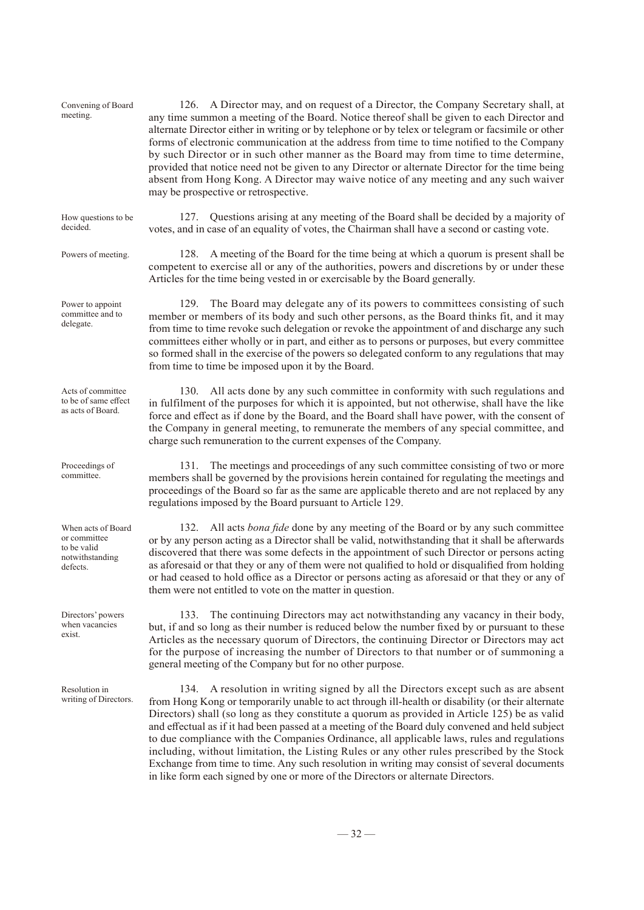| Convening of Board<br>meeting.                                                   | 126. A Director may, and on request of a Director, the Company Secretary shall, at<br>any time summon a meeting of the Board. Notice thereof shall be given to each Director and<br>alternate Director either in writing or by telephone or by telex or telegram or facsimile or other<br>forms of electronic communication at the address from time to time notified to the Company<br>by such Director or in such other manner as the Board may from time to time determine,<br>provided that notice need not be given to any Director or alternate Director for the time being<br>absent from Hong Kong. A Director may waive notice of any meeting and any such waiver<br>may be prospective or retrospective.                                                         |
|----------------------------------------------------------------------------------|----------------------------------------------------------------------------------------------------------------------------------------------------------------------------------------------------------------------------------------------------------------------------------------------------------------------------------------------------------------------------------------------------------------------------------------------------------------------------------------------------------------------------------------------------------------------------------------------------------------------------------------------------------------------------------------------------------------------------------------------------------------------------|
| How questions to be<br>decided.                                                  | Questions arising at any meeting of the Board shall be decided by a majority of<br>127.<br>votes, and in case of an equality of votes, the Chairman shall have a second or casting vote.                                                                                                                                                                                                                                                                                                                                                                                                                                                                                                                                                                                   |
| Powers of meeting.                                                               | 128. A meeting of the Board for the time being at which a quorum is present shall be<br>competent to exercise all or any of the authorities, powers and discretions by or under these<br>Articles for the time being vested in or exercisable by the Board generally.                                                                                                                                                                                                                                                                                                                                                                                                                                                                                                      |
| Power to appoint<br>committee and to<br>delegate.                                | 129. The Board may delegate any of its powers to committees consisting of such<br>member or members of its body and such other persons, as the Board thinks fit, and it may<br>from time to time revoke such delegation or revoke the appointment of and discharge any such<br>committees either wholly or in part, and either as to persons or purposes, but every committee<br>so formed shall in the exercise of the powers so delegated conform to any regulations that may<br>from time to time be imposed upon it by the Board.                                                                                                                                                                                                                                      |
| Acts of committee<br>to be of same effect<br>as acts of Board.                   | All acts done by any such committee in conformity with such regulations and<br>130.<br>in fulfilment of the purposes for which it is appointed, but not otherwise, shall have the like<br>force and effect as if done by the Board, and the Board shall have power, with the consent of<br>the Company in general meeting, to remunerate the members of any special committee, and<br>charge such remuneration to the current expenses of the Company.                                                                                                                                                                                                                                                                                                                     |
| Proceedings of<br>committee.                                                     | 131. The meetings and proceedings of any such committee consisting of two or more<br>members shall be governed by the provisions herein contained for regulating the meetings and<br>proceedings of the Board so far as the same are applicable thereto and are not replaced by any<br>regulations imposed by the Board pursuant to Article 129.                                                                                                                                                                                                                                                                                                                                                                                                                           |
| When acts of Board<br>or committee<br>to be valid<br>notwithstanding<br>defects. | 132. All acts bona fide done by any meeting of the Board or by any such committee<br>or by any person acting as a Director shall be valid, notwithstanding that it shall be afterwards<br>discovered that there was some defects in the appointment of such Director or persons acting<br>as a foresaid or that they or any of them were not qualified to hold or disqualified from holding<br>or had ceased to hold office as a Director or persons acting as aforesaid or that they or any of<br>them were not entitled to vote on the matter in question.                                                                                                                                                                                                               |
| Directors' powers<br>when vacancies<br>exist.                                    | The continuing Directors may act notwithstanding any vacancy in their body,<br>133.<br>but, if and so long as their number is reduced below the number fixed by or pursuant to these<br>Articles as the necessary quorum of Directors, the continuing Director or Directors may act<br>for the purpose of increasing the number of Directors to that number or of summoning a<br>general meeting of the Company but for no other purpose.                                                                                                                                                                                                                                                                                                                                  |
| Resolution in<br>writing of Directors.                                           | 134. A resolution in writing signed by all the Directors except such as are absent<br>from Hong Kong or temporarily unable to act through ill-health or disability (or their alternate<br>Directors) shall (so long as they constitute a quorum as provided in Article 125) be as valid<br>and effectual as if it had been passed at a meeting of the Board duly convened and held subject<br>to due compliance with the Companies Ordinance, all applicable laws, rules and regulations<br>including, without limitation, the Listing Rules or any other rules prescribed by the Stock<br>Exchange from time to time. Any such resolution in writing may consist of several documents<br>in like form each signed by one or more of the Directors or alternate Directors. |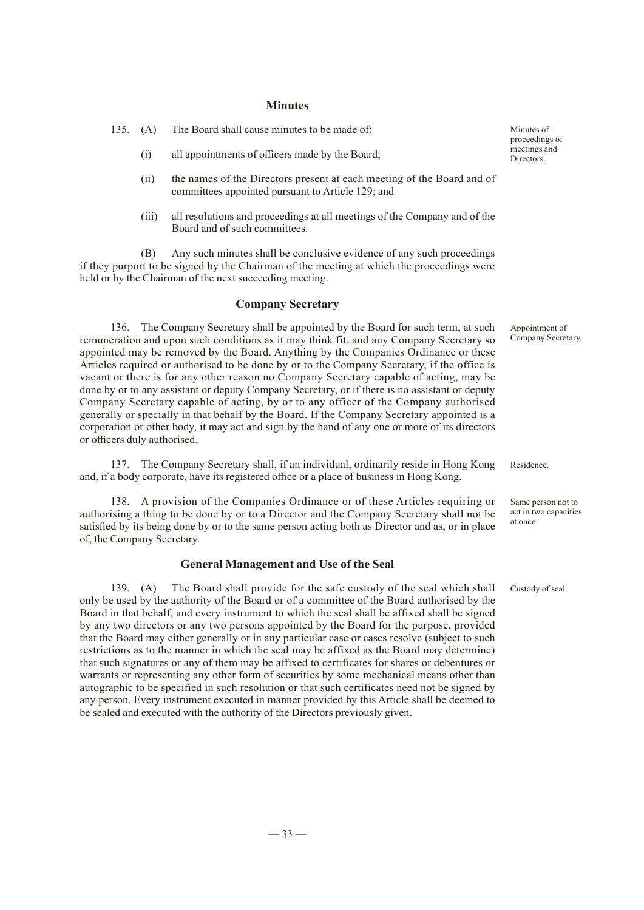#### **Minutes**

- (i) all appointments of officers made by the Board;
- (ii) the names of the Directors present at each meeting of the Board and of committees appointed pursuant to Article 129; and
- (iii) all resolutions and proceedings at all meetings of the Company and of the Board and of such committees.

(B) Any such minutes shall be conclusive evidence of any such proceedings if they purport to be signed by the Chairman of the meeting at which the proceedings were held or by the Chairman of the next succeeding meeting.

#### **Company Secretary**

136. The Company Secretary shall be appointed by the Board for such term, at such remuneration and upon such conditions as it may think fit, and any Company Secretary so appointed may be removed by the Board. Anything by the Companies Ordinance or these Articles required or authorised to be done by or to the Company Secretary, if the office is vacant or there is for any other reason no Company Secretary capable of acting, may be done by or to any assistant or deputy Company Secretary, or if there is no assistant or deputy Company Secretary capable of acting, by or to any officer of the Company authorised generally or specially in that behalf by the Board. If the Company Secretary appointed is a corporation or other body, it may act and sign by the hand of any one or more of its directors or officers duly authorised.

137. The Company Secretary shall, if an individual, ordinarily reside in Hong Kong and, if a body corporate, have its registered office or a place of business in Hong Kong.

138. A provision of the Companies Ordinance or of these Articles requiring or authorising a thing to be done by or to a Director and the Company Secretary shall not be satisfied by its being done by or to the same person acting both as Director and as, or in place of, the Company Secretary.

#### **General Management and Use of the Seal**

139. (A) The Board shall provide for the safe custody of the seal which shall only be used by the authority of the Board or of a committee of the Board authorised by the Board in that behalf, and every instrument to which the seal shall be affixed shall be signed by any two directors or any two persons appointed by the Board for the purpose, provided that the Board may either generally or in any particular case or cases resolve (subject to such restrictions as to the manner in which the seal may be affixed as the Board may determine) that such signatures or any of them may be affixed to certificates for shares or debentures or warrants or representing any other form of securities by some mechanical means other than autographic to be specified in such resolution or that such certificates need not be signed by any person. Every instrument executed in manner provided by this Article shall be deemed to be sealed and executed with the authority of the Directors previously given.

Minutes of proceedings of meetings and Directors.

Appointment of Company Secretary.

Residence.

Same person not to act in two capacities at once.

Custody of seal.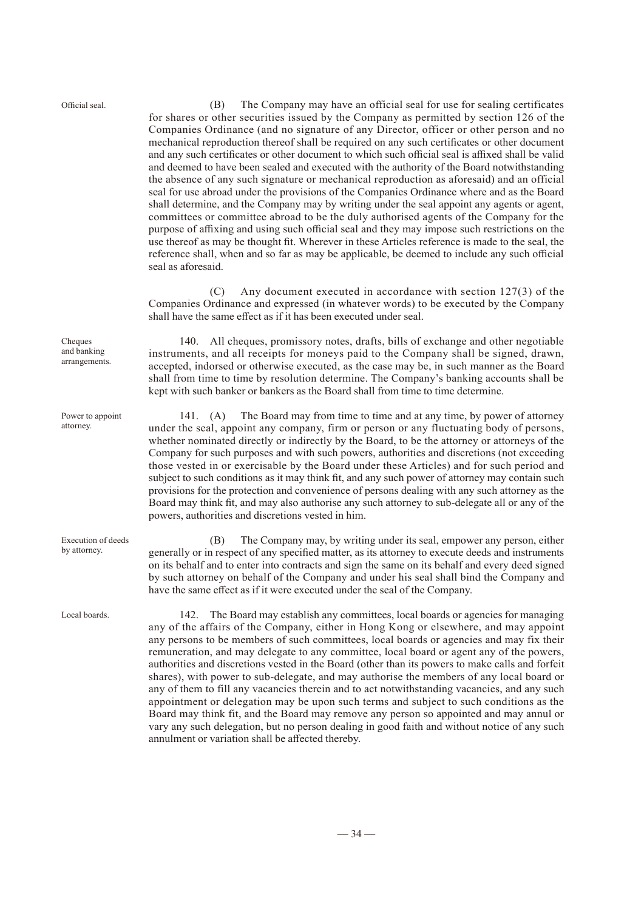Official seal.

(B) The Company may have an official seal for use for sealing certificates for shares or other securities issued by the Company as permitted by section 126 of the Companies Ordinance (and no signature of any Director, officer or other person and no mechanical reproduction thereof shall be required on any such certificates or other document and any such certificates or other document to which such official seal is affixed shall be valid and deemed to have been sealed and executed with the authority of the Board notwithstanding the absence of any such signature or mechanical reproduction as aforesaid) and an official seal for use abroad under the provisions of the Companies Ordinance where and as the Board shall determine, and the Company may by writing under the seal appoint any agents or agent, committees or committee abroad to be the duly authorised agents of the Company for the purpose of affixing and using such official seal and they may impose such restrictions on the use thereof as may be thought fit. Wherever in these Articles reference is made to the seal, the reference shall, when and so far as may be applicable, be deemed to include any such official seal as aforesaid.

(C) Any document executed in accordance with section 127(3) of the Companies Ordinance and expressed (in whatever words) to be executed by the Company shall have the same effect as if it has been executed under seal.

140. All cheques, promissory notes, drafts, bills of exchange and other negotiable instruments, and all receipts for moneys paid to the Company shall be signed, drawn, accepted, indorsed or otherwise executed, as the case may be, in such manner as the Board shall from time to time by resolution determine. The Company's banking accounts shall be kept with such banker or bankers as the Board shall from time to time determine.

141. (A) The Board may from time to time and at any time, by power of attorney under the seal, appoint any company, firm or person or any fluctuating body of persons, whether nominated directly or indirectly by the Board, to be the attorney or attorneys of the Company for such purposes and with such powers, authorities and discretions (not exceeding those vested in or exercisable by the Board under these Articles) and for such period and subject to such conditions as it may think fit, and any such power of attorney may contain such provisions for the protection and convenience of persons dealing with any such attorney as the Board may think fit, and may also authorise any such attorney to sub-delegate all or any of the powers, authorities and discretions vested in him.

(B) The Company may, by writing under its seal, empower any person, either generally or in respect of any specified matter, as its attorney to execute deeds and instruments on its behalf and to enter into contracts and sign the same on its behalf and every deed signed by such attorney on behalf of the Company and under his seal shall bind the Company and have the same effect as if it were executed under the seal of the Company.

142. The Board may establish any committees, local boards or agencies for managing any of the affairs of the Company, either in Hong Kong or elsewhere, and may appoint any persons to be members of such committees, local boards or agencies and may fix their remuneration, and may delegate to any committee, local board or agent any of the powers, authorities and discretions vested in the Board (other than its powers to make calls and forfeit shares), with power to sub-delegate, and may authorise the members of any local board or any of them to fill any vacancies therein and to act notwithstanding vacancies, and any such appointment or delegation may be upon such terms and subject to such conditions as the Board may think fit, and the Board may remove any person so appointed and may annul or vary any such delegation, but no person dealing in good faith and without notice of any such annulment or variation shall be affected thereby.

Cheques and banking arrangements.

Power to appoint attorney.

Local boards.

Execution of deeds by attorney.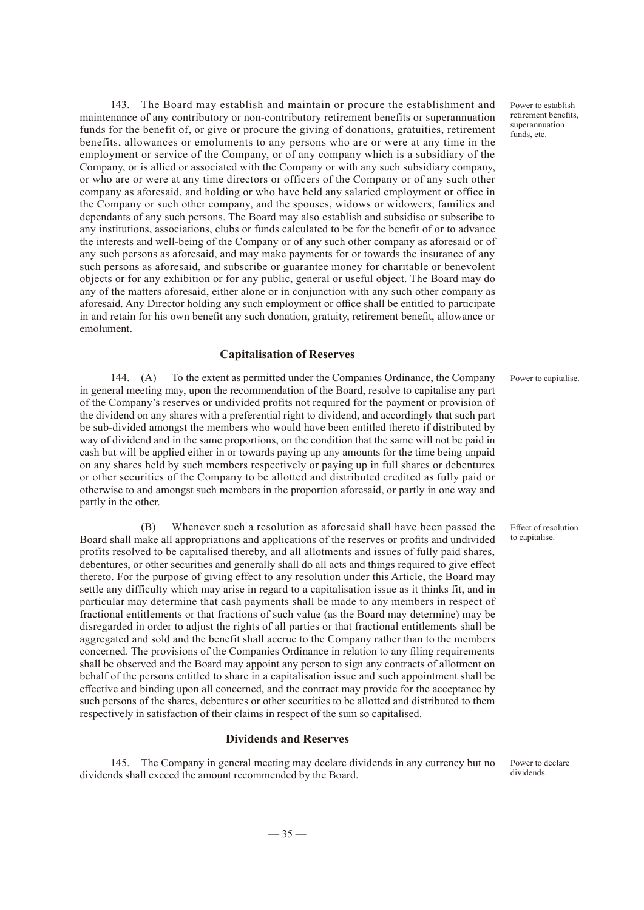143. The Board may establish and maintain or procure the establishment and maintenance of any contributory or non-contributory retirement benefits or superannuation funds for the benefit of, or give or procure the giving of donations, gratuities, retirement benefits, allowances or emoluments to any persons who are or were at any time in the employment or service of the Company, or of any company which is a subsidiary of the Company, or is allied or associated with the Company or with any such subsidiary company, or who are or were at any time directors or officers of the Company or of any such other company as aforesaid, and holding or who have held any salaried employment or office in the Company or such other company, and the spouses, widows or widowers, families and dependants of any such persons. The Board may also establish and subsidise or subscribe to any institutions, associations, clubs or funds calculated to be for the benefit of or to advance the interests and well-being of the Company or of any such other company as aforesaid or of any such persons as aforesaid, and may make payments for or towards the insurance of any such persons as aforesaid, and subscribe or guarantee money for charitable or benevolent objects or for any exhibition or for any public, general or useful object. The Board may do any of the matters aforesaid, either alone or in conjunction with any such other company as aforesaid. Any Director holding any such employment or office shall be entitled to participate in and retain for his own benefit any such donation, gratuity, retirement benefit, allowance or emolument.

#### **Capitalisation of Reserves**

144. (A) To the extent as permitted under the Companies Ordinance, the Company in general meeting may, upon the recommendation of the Board, resolve to capitalise any part of the Company's reserves or undivided profits not required for the payment or provision of the dividend on any shares with a preferential right to dividend, and accordingly that such part be sub-divided amongst the members who would have been entitled thereto if distributed by way of dividend and in the same proportions, on the condition that the same will not be paid in cash but will be applied either in or towards paying up any amounts for the time being unpaid on any shares held by such members respectively or paying up in full shares or debentures or other securities of the Company to be allotted and distributed credited as fully paid or otherwise to and amongst such members in the proportion aforesaid, or partly in one way and partly in the other.

(B) Whenever such a resolution as aforesaid shall have been passed the Board shall make all appropriations and applications of the reserves or profits and undivided profits resolved to be capitalised thereby, and all allotments and issues of fully paid shares, debentures, or other securities and generally shall do all acts and things required to give effect thereto. For the purpose of giving effect to any resolution under this Article, the Board may settle any difficulty which may arise in regard to a capitalisation issue as it thinks fit, and in particular may determine that cash payments shall be made to any members in respect of fractional entitlements or that fractions of such value (as the Board may determine) may be disregarded in order to adjust the rights of all parties or that fractional entitlements shall be aggregated and sold and the benefit shall accrue to the Company rather than to the members concerned. The provisions of the Companies Ordinance in relation to any filing requirements shall be observed and the Board may appoint any person to sign any contracts of allotment on behalf of the persons entitled to share in a capitalisation issue and such appointment shall be effective and binding upon all concerned, and the contract may provide for the acceptance by such persons of the shares, debentures or other securities to be allotted and distributed to them respectively in satisfaction of their claims in respect of the sum so capitalised.

#### **Dividends and Reserves**

145. The Company in general meeting may declare dividends in any currency but no dividends shall exceed the amount recommended by the Board.

Power to establish retirement benefits, superannuation  $finds$ , etc.

Power to capitalise.

Effect of resolution to capitalise.

Power to declare dividends.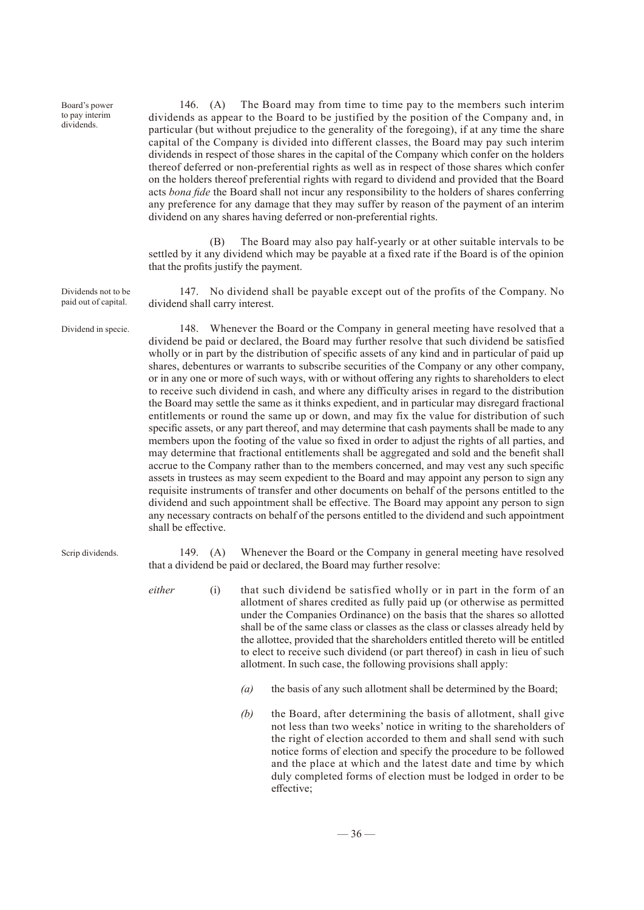Board's power to pay interim dividends.

Dividends not to be paid out of capital.

Dividend in specie.

146. (A) The Board may from time to time pay to the members such interim dividends as appear to the Board to be justified by the position of the Company and, in particular (but without prejudice to the generality of the foregoing), if at any time the share capital of the Company is divided into different classes, the Board may pay such interim dividends in respect of those shares in the capital of the Company which confer on the holders thereof deferred or non-preferential rights as well as in respect of those shares which confer on the holders thereof preferential rights with regard to dividend and provided that the Board acts *bona fide* the Board shall not incur any responsibility to the holders of shares conferring any preference for any damage that they may suffer by reason of the payment of an interim dividend on any shares having deferred or non-preferential rights.

(B) The Board may also pay half-yearly or at other suitable intervals to be settled by it any dividend which may be payable at a fixed rate if the Board is of the opinion that the profits justify the payment.

147. No dividend shall be payable except out of the profits of the Company. No dividend shall carry interest.

148. Whenever the Board or the Company in general meeting have resolved that a dividend be paid or declared, the Board may further resolve that such dividend be satisfied wholly or in part by the distribution of specific assets of any kind and in particular of paid up shares, debentures or warrants to subscribe securities of the Company or any other company, or in any one or more of such ways, with or without offering any rights to shareholders to elect to receive such dividend in cash, and where any difficulty arises in regard to the distribution the Board may settle the same as it thinks expedient, and in particular may disregard fractional entitlements or round the same up or down, and may fix the value for distribution of such specific assets, or any part thereof, and may determine that cash payments shall be made to any members upon the footing of the value so fixed in order to adjust the rights of all parties, and may determine that fractional entitlements shall be aggregated and sold and the benefit shall accrue to the Company rather than to the members concerned, and may vest any such specific assets in trustees as may seem expedient to the Board and may appoint any person to sign any requisite instruments of transfer and other documents on behalf of the persons entitled to the dividend and such appointment shall be effective. The Board may appoint any person to sign any necessary contracts on behalf of the persons entitled to the dividend and such appointment shall be effective.

Scrip dividends.

149. (A) Whenever the Board or the Company in general meeting have resolved that a dividend be paid or declared, the Board may further resolve:

- *either* (i) that such dividend be satisfied wholly or in part in the form of an allotment of shares credited as fully paid up (or otherwise as permitted under the Companies Ordinance) on the basis that the shares so allotted shall be of the same class or classes as the class or classes already held by the allottee, provided that the shareholders entitled thereto will be entitled to elect to receive such dividend (or part thereof) in cash in lieu of such allotment. In such case, the following provisions shall apply:
	- *(a)* the basis of any such allotment shall be determined by the Board;
	- *(b)* the Board, after determining the basis of allotment, shall give not less than two weeks' notice in writing to the shareholders of the right of election accorded to them and shall send with such notice forms of election and specify the procedure to be followed and the place at which and the latest date and time by which duly completed forms of election must be lodged in order to be effective;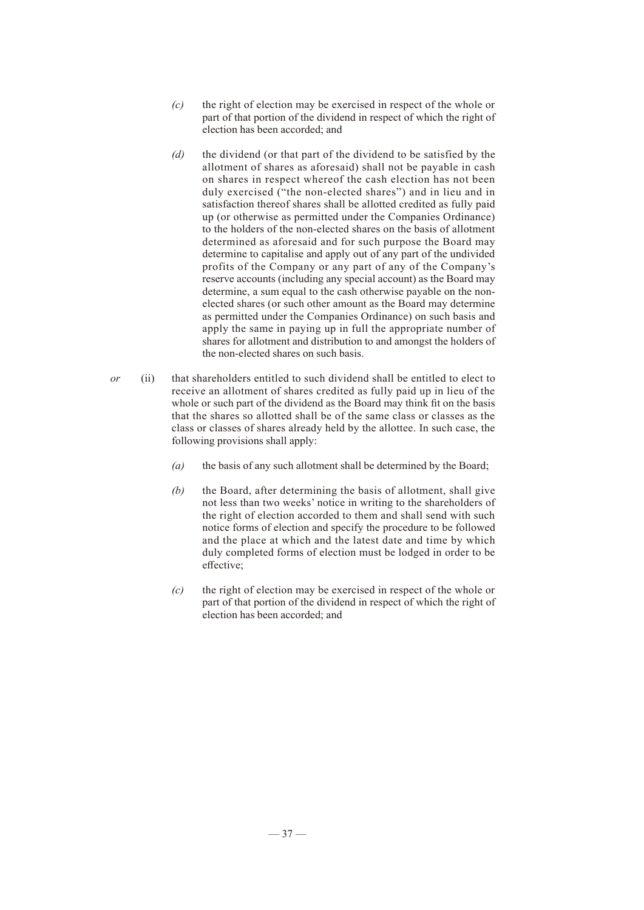- *(c)* the right of election may be exercised in respect of the whole or part of that portion of the dividend in respect of which the right of election has been accorded; and
- *(d)* the dividend (or that part of the dividend to be satisfied by the allotment of shares as aforesaid) shall not be payable in cash on shares in respect whereof the cash election has not been duly exercised ("the non-elected shares") and in lieu and in satisfaction thereof shares shall be allotted credited as fully paid up (or otherwise as permitted under the Companies Ordinance) to the holders of the non-elected shares on the basis of allotment determined as aforesaid and for such purpose the Board may determine to capitalise and apply out of any part of the undivided profits of the Company or any part of any of the Company's reserve accounts (including any special account) as the Board may determine, a sum equal to the cash otherwise payable on the nonelected shares (or such other amount as the Board may determine as permitted under the Companies Ordinance) on such basis and apply the same in paying up in full the appropriate number of shares for allotment and distribution to and amongst the holders of the non-elected shares on such basis.
- *or* (ii) that shareholders entitled to such dividend shall be entitled to elect to receive an allotment of shares credited as fully paid up in lieu of the whole or such part of the dividend as the Board may think fit on the basis that the shares so allotted shall be of the same class or classes as the class or classes of shares already held by the allottee. In such case, the following provisions shall apply:
	- *(a)* the basis of any such allotment shall be determined by the Board;
	- *(b)* the Board, after determining the basis of allotment, shall give not less than two weeks' notice in writing to the shareholders of the right of election accorded to them and shall send with such notice forms of election and specify the procedure to be followed and the place at which and the latest date and time by which duly completed forms of election must be lodged in order to be effective;
	- *(c)* the right of election may be exercised in respect of the whole or part of that portion of the dividend in respect of which the right of election has been accorded; and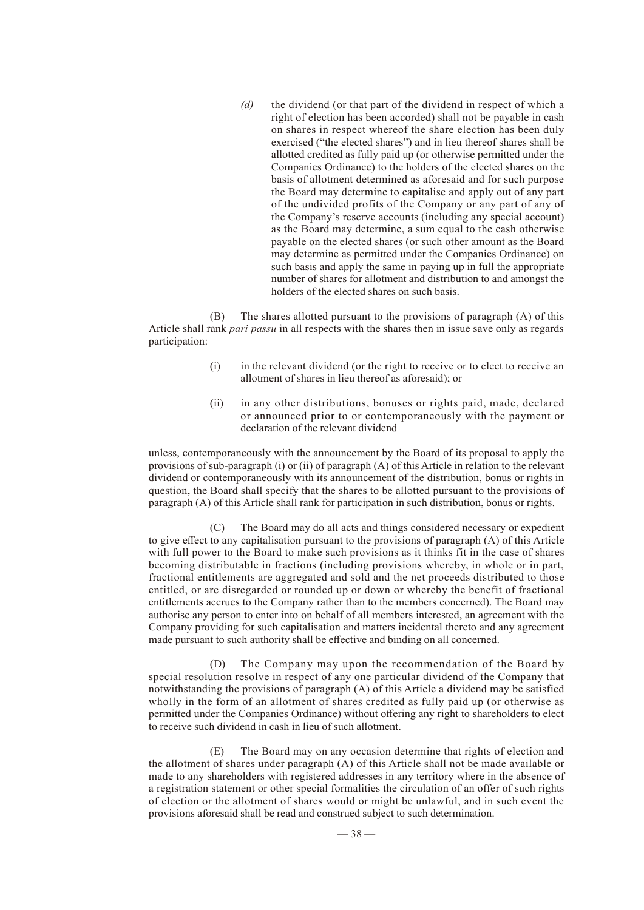*(d)* the dividend (or that part of the dividend in respect of which a right of election has been accorded) shall not be payable in cash on shares in respect whereof the share election has been duly exercised ("the elected shares") and in lieu thereof shares shall be allotted credited as fully paid up (or otherwise permitted under the Companies Ordinance) to the holders of the elected shares on the basis of allotment determined as aforesaid and for such purpose the Board may determine to capitalise and apply out of any part of the undivided profits of the Company or any part of any of the Company's reserve accounts (including any special account) as the Board may determine, a sum equal to the cash otherwise payable on the elected shares (or such other amount as the Board may determine as permitted under the Companies Ordinance) on such basis and apply the same in paying up in full the appropriate number of shares for allotment and distribution to and amongst the holders of the elected shares on such basis.

(B) The shares allotted pursuant to the provisions of paragraph (A) of this Article shall rank *pari passu* in all respects with the shares then in issue save only as regards participation:

- (i) in the relevant dividend (or the right to receive or to elect to receive an allotment of shares in lieu thereof as aforesaid); or
- (ii) in any other distributions, bonuses or rights paid, made, declared or announced prior to or contemporaneously with the payment or declaration of the relevant dividend

unless, contemporaneously with the announcement by the Board of its proposal to apply the provisions of sub-paragraph (i) or (ii) of paragraph (A) of this Article in relation to the relevant dividend or contemporaneously with its announcement of the distribution, bonus or rights in question, the Board shall specify that the shares to be allotted pursuant to the provisions of paragraph (A) of this Article shall rank for participation in such distribution, bonus or rights.

(C) The Board may do all acts and things considered necessary or expedient to give effect to any capitalisation pursuant to the provisions of paragraph (A) of this Article with full power to the Board to make such provisions as it thinks fit in the case of shares becoming distributable in fractions (including provisions whereby, in whole or in part, fractional entitlements are aggregated and sold and the net proceeds distributed to those entitled, or are disregarded or rounded up or down or whereby the benefit of fractional entitlements accrues to the Company rather than to the members concerned). The Board may authorise any person to enter into on behalf of all members interested, an agreement with the Company providing for such capitalisation and matters incidental thereto and any agreement made pursuant to such authority shall be effective and binding on all concerned.

(D) The Company may upon the recommendation of the Board by special resolution resolve in respect of any one particular dividend of the Company that notwithstanding the provisions of paragraph (A) of this Article a dividend may be satisfied wholly in the form of an allotment of shares credited as fully paid up (or otherwise as permitted under the Companies Ordinance) without offering any right to shareholders to elect to receive such dividend in cash in lieu of such allotment.

(E) The Board may on any occasion determine that rights of election and the allotment of shares under paragraph (A) of this Article shall not be made available or made to any shareholders with registered addresses in any territory where in the absence of a registration statement or other special formalities the circulation of an offer of such rights of election or the allotment of shares would or might be unlawful, and in such event the provisions aforesaid shall be read and construed subject to such determination.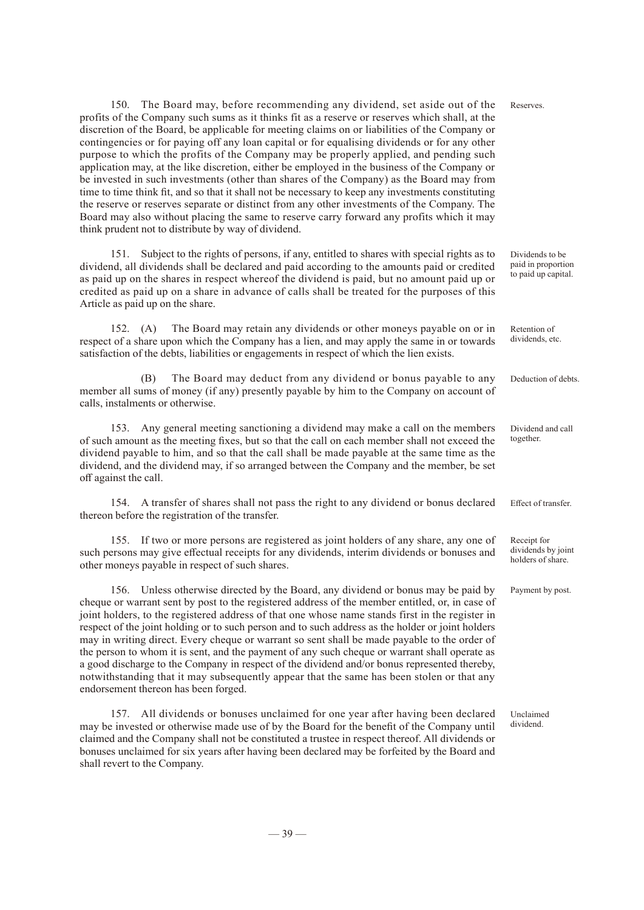150. The Board may, before recommending any dividend, set aside out of the profits of the Company such sums as it thinks fit as a reserve or reserves which shall, at the discretion of the Board, be applicable for meeting claims on or liabilities of the Company or contingencies or for paying off any loan capital or for equalising dividends or for any other purpose to which the profits of the Company may be properly applied, and pending such application may, at the like discretion, either be employed in the business of the Company or be invested in such investments (other than shares of the Company) as the Board may from time to time think fit, and so that it shall not be necessary to keep any investments constituting the reserve or reserves separate or distinct from any other investments of the Company. The Board may also without placing the same to reserve carry forward any profits which it may think prudent not to distribute by way of dividend. Reserves.

151. Subject to the rights of persons, if any, entitled to shares with special rights as to dividend, all dividends shall be declared and paid according to the amounts paid or credited as paid up on the shares in respect whereof the dividend is paid, but no amount paid up or credited as paid up on a share in advance of calls shall be treated for the purposes of this Article as paid up on the share.

152. (A) The Board may retain any dividends or other moneys payable on or in respect of a share upon which the Company has a lien, and may apply the same in or towards satisfaction of the debts, liabilities or engagements in respect of which the lien exists.

(B) The Board may deduct from any dividend or bonus payable to any member all sums of money (if any) presently payable by him to the Company on account of calls, instalments or otherwise.

153. Any general meeting sanctioning a dividend may make a call on the members of such amount as the meeting fixes, but so that the call on each member shall not exceed the dividend payable to him, and so that the call shall be made payable at the same time as the dividend, and the dividend may, if so arranged between the Company and the member, be set off against the call.

154. A transfer of shares shall not pass the right to any dividend or bonus declared thereon before the registration of the transfer.

155. If two or more persons are registered as joint holders of any share, any one of such persons may give effectual receipts for any dividends, interim dividends or bonuses and other moneys payable in respect of such shares.

156. Unless otherwise directed by the Board, any dividend or bonus may be paid by cheque or warrant sent by post to the registered address of the member entitled, or, in case of joint holders, to the registered address of that one whose name stands first in the register in respect of the joint holding or to such person and to such address as the holder or joint holders may in writing direct. Every cheque or warrant so sent shall be made payable to the order of the person to whom it is sent, and the payment of any such cheque or warrant shall operate as a good discharge to the Company in respect of the dividend and/or bonus represented thereby, notwithstanding that it may subsequently appear that the same has been stolen or that any endorsement thereon has been forged.

157. All dividends or bonuses unclaimed for one year after having been declared may be invested or otherwise made use of by the Board for the benefit of the Company until claimed and the Company shall not be constituted a trustee in respect thereof. All dividends or bonuses unclaimed for six years after having been declared may be forfeited by the Board and shall revert to the Company.

Deduction of debts.

Retention of dividends, etc.

Dividends to be paid in proportion to paid up capital.

Dividend and call together.

Effect of transfer.

Receipt for dividends by joint holders of share.

Payment by post.

Unclaimed dividend.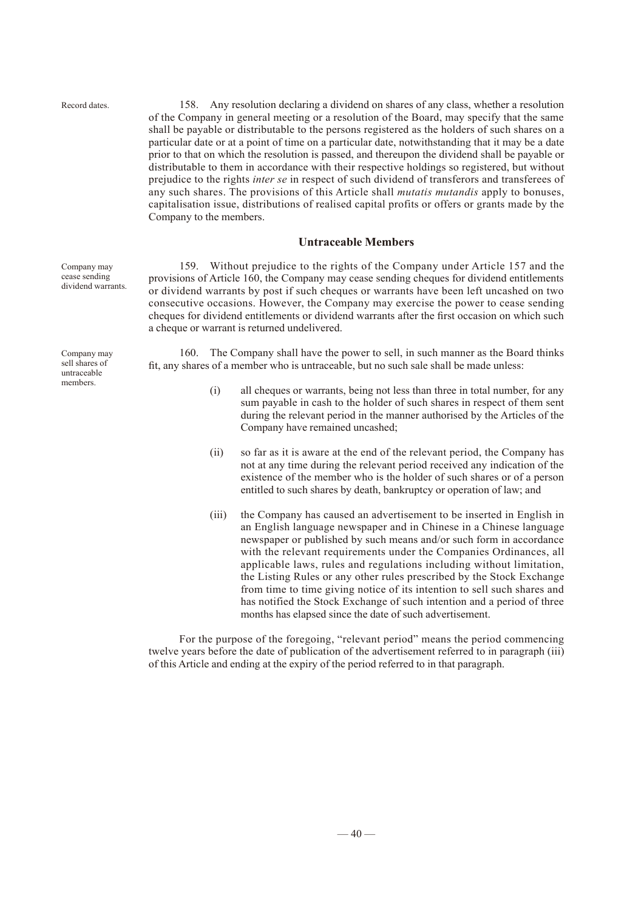Record dates.

Company may cease sending dividend warrants.

Company may sell shares of untraceable members.

158. Any resolution declaring a dividend on shares of any class, whether a resolution of the Company in general meeting or a resolution of the Board, may specify that the same shall be payable or distributable to the persons registered as the holders of such shares on a particular date or at a point of time on a particular date, notwithstanding that it may be a date prior to that on which the resolution is passed, and thereupon the dividend shall be payable or distributable to them in accordance with their respective holdings so registered, but without prejudice to the rights *inter se* in respect of such dividend of transferors and transferees of any such shares. The provisions of this Article shall *mutatis mutandis* apply to bonuses, capitalisation issue, distributions of realised capital profits or offers or grants made by the Company to the members.

#### **Untraceable Members**

159. Without prejudice to the rights of the Company under Article 157 and the provisions of Article 160, the Company may cease sending cheques for dividend entitlements or dividend warrants by post if such cheques or warrants have been left uncashed on two consecutive occasions. However, the Company may exercise the power to cease sending cheques for dividend entitlements or dividend warrants after the first occasion on which such a cheque or warrant is returned undelivered.

160. The Company shall have the power to sell, in such manner as the Board thinks fit, any shares of a member who is untraceable, but no such sale shall be made unless:

- (i) all cheques or warrants, being not less than three in total number, for any sum payable in cash to the holder of such shares in respect of them sent during the relevant period in the manner authorised by the Articles of the Company have remained uncashed;
- (ii) so far as it is aware at the end of the relevant period, the Company has not at any time during the relevant period received any indication of the existence of the member who is the holder of such shares or of a person entitled to such shares by death, bankruptcy or operation of law; and
- (iii) the Company has caused an advertisement to be inserted in English in an English language newspaper and in Chinese in a Chinese language newspaper or published by such means and/or such form in accordance with the relevant requirements under the Companies Ordinances, all applicable laws, rules and regulations including without limitation, the Listing Rules or any other rules prescribed by the Stock Exchange from time to time giving notice of its intention to sell such shares and has notified the Stock Exchange of such intention and a period of three months has elapsed since the date of such advertisement.

For the purpose of the foregoing, "relevant period" means the period commencing twelve years before the date of publication of the advertisement referred to in paragraph (iii) of this Article and ending at the expiry of the period referred to in that paragraph.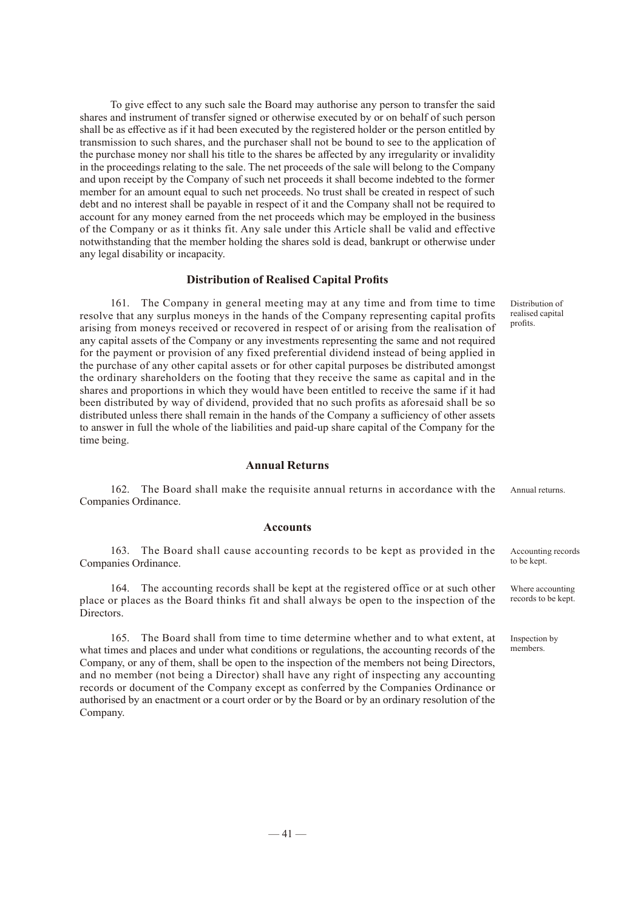To give effect to any such sale the Board may authorise any person to transfer the said shares and instrument of transfer signed or otherwise executed by or on behalf of such person shall be as effective as if it had been executed by the registered holder or the person entitled by transmission to such shares, and the purchaser shall not be bound to see to the application of the purchase money nor shall his title to the shares be affected by any irregularity or invalidity in the proceedings relating to the sale. The net proceeds of the sale will belong to the Company and upon receipt by the Company of such net proceeds it shall become indebted to the former member for an amount equal to such net proceeds. No trust shall be created in respect of such debt and no interest shall be payable in respect of it and the Company shall not be required to account for any money earned from the net proceeds which may be employed in the business of the Company or as it thinks fit. Any sale under this Article shall be valid and effective notwithstanding that the member holding the shares sold is dead, bankrupt or otherwise under any legal disability or incapacity.

#### **Distribution of Realised Capital Profits**

161. The Company in general meeting may at any time and from time to time resolve that any surplus moneys in the hands of the Company representing capital profits arising from moneys received or recovered in respect of or arising from the realisation of any capital assets of the Company or any investments representing the same and not required for the payment or provision of any fixed preferential dividend instead of being applied in the purchase of any other capital assets or for other capital purposes be distributed amongst the ordinary shareholders on the footing that they receive the same as capital and in the shares and proportions in which they would have been entitled to receive the same if it had been distributed by way of dividend, provided that no such profits as aforesaid shall be so distributed unless there shall remain in the hands of the Company a sufficiency of other assets to answer in full the whole of the liabilities and paid-up share capital of the Company for the time being.

#### **Annual Returns**

162. The Board shall make the requisite annual returns in accordance with the Companies Ordinance. Annual returns.

#### **Accounts**

163. The Board shall cause accounting records to be kept as provided in the Companies Ordinance.

164. The accounting records shall be kept at the registered office or at such other place or places as the Board thinks fit and shall always be open to the inspection of the Directors.

165. The Board shall from time to time determine whether and to what extent, at what times and places and under what conditions or regulations, the accounting records of the Company, or any of them, shall be open to the inspection of the members not being Directors, and no member (not being a Director) shall have any right of inspecting any accounting records or document of the Company except as conferred by the Companies Ordinance or authorised by an enactment or a court order or by the Board or by an ordinary resolution of the Company.

Distribution of realised capital profits.

Accounting records to be kept.

Where accounting records to be kept.

Inspection by members.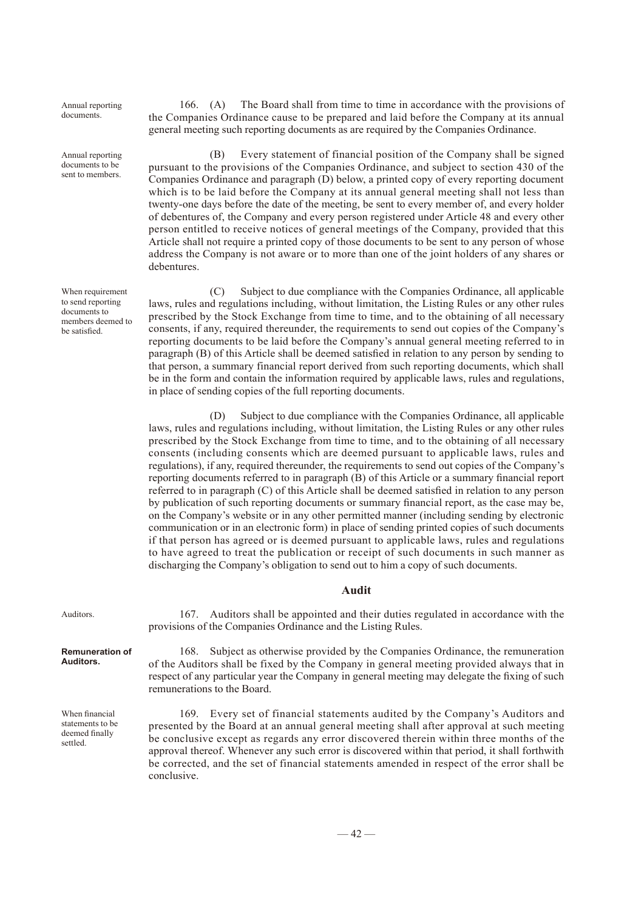Annual reporting documents.

Annual reporting documents to be sent to members.

When requirement to send reporting documents to members deemed to be satisfied.

166. (A) The Board shall from time to time in accordance with the provisions of the Companies Ordinance cause to be prepared and laid before the Company at its annual general meeting such reporting documents as are required by the Companies Ordinance.

(B) Every statement of financial position of the Company shall be signed pursuant to the provisions of the Companies Ordinance, and subject to section 430 of the Companies Ordinance and paragraph (D) below, a printed copy of every reporting document which is to be laid before the Company at its annual general meeting shall not less than twenty-one days before the date of the meeting, be sent to every member of, and every holder of debentures of, the Company and every person registered under Article 48 and every other person entitled to receive notices of general meetings of the Company, provided that this Article shall not require a printed copy of those documents to be sent to any person of whose address the Company is not aware or to more than one of the joint holders of any shares or debentures.

(C) Subject to due compliance with the Companies Ordinance, all applicable laws, rules and regulations including, without limitation, the Listing Rules or any other rules prescribed by the Stock Exchange from time to time, and to the obtaining of all necessary consents, if any, required thereunder, the requirements to send out copies of the Company's reporting documents to be laid before the Company's annual general meeting referred to in paragraph (B) of this Article shall be deemed satisfied in relation to any person by sending to that person, a summary financial report derived from such reporting documents, which shall be in the form and contain the information required by applicable laws, rules and regulations, in place of sending copies of the full reporting documents.

(D) Subject to due compliance with the Companies Ordinance, all applicable laws, rules and regulations including, without limitation, the Listing Rules or any other rules prescribed by the Stock Exchange from time to time, and to the obtaining of all necessary consents (including consents which are deemed pursuant to applicable laws, rules and regulations), if any, required thereunder, the requirements to send out copies of the Company's reporting documents referred to in paragraph (B) of this Article or a summary financial report referred to in paragraph (C) of this Article shall be deemed satisfied in relation to any person by publication of such reporting documents or summary financial report, as the case may be, on the Company's website or in any other permitted manner (including sending by electronic communication or in an electronic form) in place of sending printed copies of such documents if that person has agreed or is deemed pursuant to applicable laws, rules and regulations to have agreed to treat the publication or receipt of such documents in such manner as discharging the Company's obligation to send out to him a copy of such documents.

#### **Audit**

167. Auditors shall be appointed and their duties regulated in accordance with the provisions of the Companies Ordinance and the Listing Rules.

#### **Remuneration of Auditors.**

Auditors.

When financial statements to be deemed finally settled.

168. Subject as otherwise provided by the Companies Ordinance, the remuneration of the Auditors shall be fixed by the Company in general meeting provided always that in respect of any particular year the Company in general meeting may delegate the fixing of such remunerations to the Board.

169. Every set of financial statements audited by the Company's Auditors and presented by the Board at an annual general meeting shall after approval at such meeting be conclusive except as regards any error discovered therein within three months of the approval thereof. Whenever any such error is discovered within that period, it shall forthwith be corrected, and the set of financial statements amended in respect of the error shall be conclusive.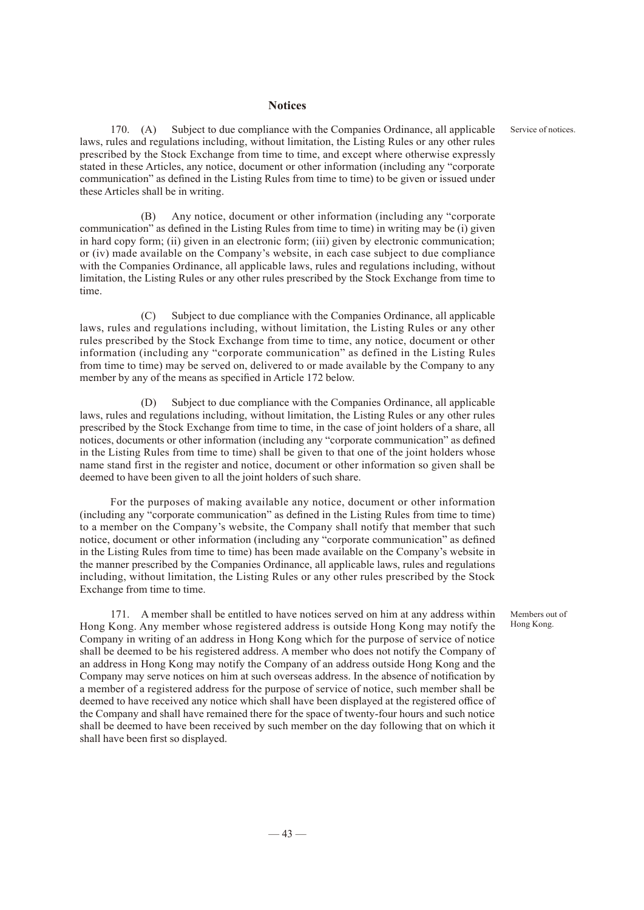#### **Notices**

communication" as defined in the Listing Rules from time to time) to be given or issued under

these Articles shall be in writing.

170. (A) Subject to due compliance with the Companies Ordinance, all applicable laws, rules and regulations including, without limitation, the Listing Rules or any other rules prescribed by the Stock Exchange from time to time, and except where otherwise expressly stated in these Articles, any notice, document or other information (including any "corporate

Service of notices.

(B) Any notice, document or other information (including any "corporate communication" as defined in the Listing Rules from time to time) in writing may be (i) given in hard copy form; (ii) given in an electronic form; (iii) given by electronic communication; or (iv) made available on the Company's website, in each case subject to due compliance with the Companies Ordinance, all applicable laws, rules and regulations including, without limitation, the Listing Rules or any other rules prescribed by the Stock Exchange from time to time.

(C) Subject to due compliance with the Companies Ordinance, all applicable laws, rules and regulations including, without limitation, the Listing Rules or any other rules prescribed by the Stock Exchange from time to time, any notice, document or other information (including any "corporate communication" as defined in the Listing Rules from time to time) may be served on, delivered to or made available by the Company to any member by any of the means as specified in Article 172 below.

(D) Subject to due compliance with the Companies Ordinance, all applicable laws, rules and regulations including, without limitation, the Listing Rules or any other rules prescribed by the Stock Exchange from time to time, in the case of joint holders of a share, all notices, documents or other information (including any "corporate communication" as defined in the Listing Rules from time to time) shall be given to that one of the joint holders whose name stand first in the register and notice, document or other information so given shall be deemed to have been given to all the joint holders of such share.

For the purposes of making available any notice, document or other information (including any "corporate communication" as defined in the Listing Rules from time to time) to a member on the Company's website, the Company shall notify that member that such notice, document or other information (including any "corporate communication" as defined in the Listing Rules from time to time) has been made available on the Company's website in the manner prescribed by the Companies Ordinance, all applicable laws, rules and regulations including, without limitation, the Listing Rules or any other rules prescribed by the Stock Exchange from time to time.

171. A member shall be entitled to have notices served on him at any address within Hong Kong. Any member whose registered address is outside Hong Kong may notify the Company in writing of an address in Hong Kong which for the purpose of service of notice shall be deemed to be his registered address. A member who does not notify the Company of an address in Hong Kong may notify the Company of an address outside Hong Kong and the Company may serve notices on him at such overseas address. In the absence of notification by a member of a registered address for the purpose of service of notice, such member shall be deemed to have received any notice which shall have been displayed at the registered office of the Company and shall have remained there for the space of twenty-four hours and such notice shall be deemed to have been received by such member on the day following that on which it shall have been first so displayed.

Members out of Hong Kong.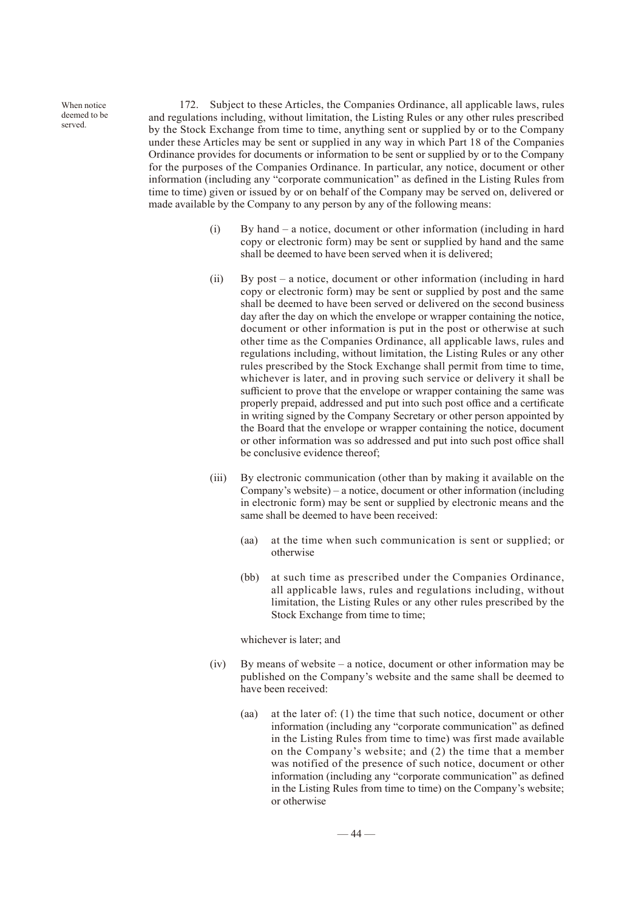When notice deemed to be served.

172. Subject to these Articles, the Companies Ordinance, all applicable laws, rules and regulations including, without limitation, the Listing Rules or any other rules prescribed by the Stock Exchange from time to time, anything sent or supplied by or to the Company under these Articles may be sent or supplied in any way in which Part 18 of the Companies Ordinance provides for documents or information to be sent or supplied by or to the Company for the purposes of the Companies Ordinance. In particular, any notice, document or other information (including any "corporate communication" as defined in the Listing Rules from time to time) given or issued by or on behalf of the Company may be served on, delivered or made available by the Company to any person by any of the following means:

- (i) By hand a notice, document or other information (including in hard copy or electronic form) may be sent or supplied by hand and the same shall be deemed to have been served when it is delivered;
- (ii) By post a notice, document or other information (including in hard copy or electronic form) may be sent or supplied by post and the same shall be deemed to have been served or delivered on the second business day after the day on which the envelope or wrapper containing the notice, document or other information is put in the post or otherwise at such other time as the Companies Ordinance, all applicable laws, rules and regulations including, without limitation, the Listing Rules or any other rules prescribed by the Stock Exchange shall permit from time to time, whichever is later, and in proving such service or delivery it shall be sufficient to prove that the envelope or wrapper containing the same was properly prepaid, addressed and put into such post office and a certificate in writing signed by the Company Secretary or other person appointed by the Board that the envelope or wrapper containing the notice, document or other information was so addressed and put into such post office shall be conclusive evidence thereof;
- (iii) By electronic communication (other than by making it available on the Company's website) – a notice, document or other information (including in electronic form) may be sent or supplied by electronic means and the same shall be deemed to have been received:
	- (aa) at the time when such communication is sent or supplied; or otherwise
	- (bb) at such time as prescribed under the Companies Ordinance, all applicable laws, rules and regulations including, without limitation, the Listing Rules or any other rules prescribed by the Stock Exchange from time to time;

#### whichever is later; and

- (iv) By means of website a notice, document or other information may be published on the Company's website and the same shall be deemed to have been received:
	- (aa) at the later of: (1) the time that such notice, document or other information (including any "corporate communication" as defined in the Listing Rules from time to time) was first made available on the Company's website; and (2) the time that a member was notified of the presence of such notice, document or other information (including any "corporate communication" as defined in the Listing Rules from time to time) on the Company's website; or otherwise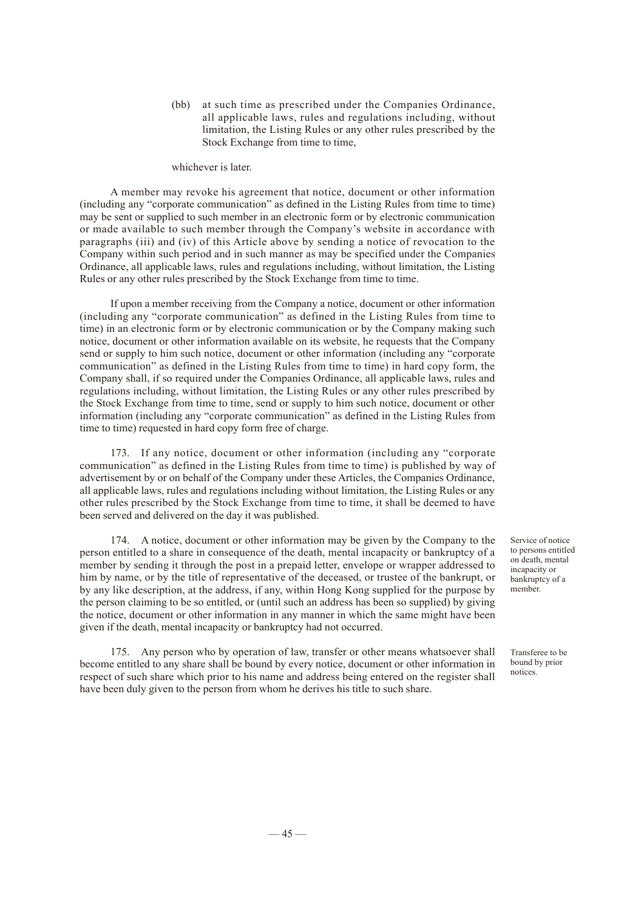(bb) at such time as prescribed under the Companies Ordinance, all applicable laws, rules and regulations including, without limitation, the Listing Rules or any other rules prescribed by the Stock Exchange from time to time,

#### whichever is later.

A member may revoke his agreement that notice, document or other information (including any "corporate communication" as defined in the Listing Rules from time to time) may be sent or supplied to such member in an electronic form or by electronic communication or made available to such member through the Company's website in accordance with paragraphs (iii) and (iv) of this Article above by sending a notice of revocation to the Company within such period and in such manner as may be specified under the Companies Ordinance, all applicable laws, rules and regulations including, without limitation, the Listing Rules or any other rules prescribed by the Stock Exchange from time to time.

If upon a member receiving from the Company a notice, document or other information (including any "corporate communication" as defined in the Listing Rules from time to time) in an electronic form or by electronic communication or by the Company making such notice, document or other information available on its website, he requests that the Company send or supply to him such notice, document or other information (including any "corporate communication" as defined in the Listing Rules from time to time) in hard copy form, the Company shall, if so required under the Companies Ordinance, all applicable laws, rules and regulations including, without limitation, the Listing Rules or any other rules prescribed by the Stock Exchange from time to time, send or supply to him such notice, document or other information (including any "corporate communication" as defined in the Listing Rules from time to time) requested in hard copy form free of charge.

173. If any notice, document or other information (including any "corporate communication" as defined in the Listing Rules from time to time) is published by way of advertisement by or on behalf of the Company under these Articles, the Companies Ordinance, all applicable laws, rules and regulations including without limitation, the Listing Rules or any other rules prescribed by the Stock Exchange from time to time, it shall be deemed to have been served and delivered on the day it was published.

174. A notice, document or other information may be given by the Company to the person entitled to a share in consequence of the death, mental incapacity or bankruptcy of a member by sending it through the post in a prepaid letter, envelope or wrapper addressed to him by name, or by the title of representative of the deceased, or trustee of the bankrupt, or by any like description, at the address, if any, within Hong Kong supplied for the purpose by the person claiming to be so entitled, or (until such an address has been so supplied) by giving the notice, document or other information in any manner in which the same might have been given if the death, mental incapacity or bankruptcy had not occurred.

175. Any person who by operation of law, transfer or other means whatsoever shall become entitled to any share shall be bound by every notice, document or other information in respect of such share which prior to his name and address being entered on the register shall have been duly given to the person from whom he derives his title to such share.

Service of notice to persons entitled on death, mental incapacity or bankruptcy of a member.

Transferee to be bound by prior notices.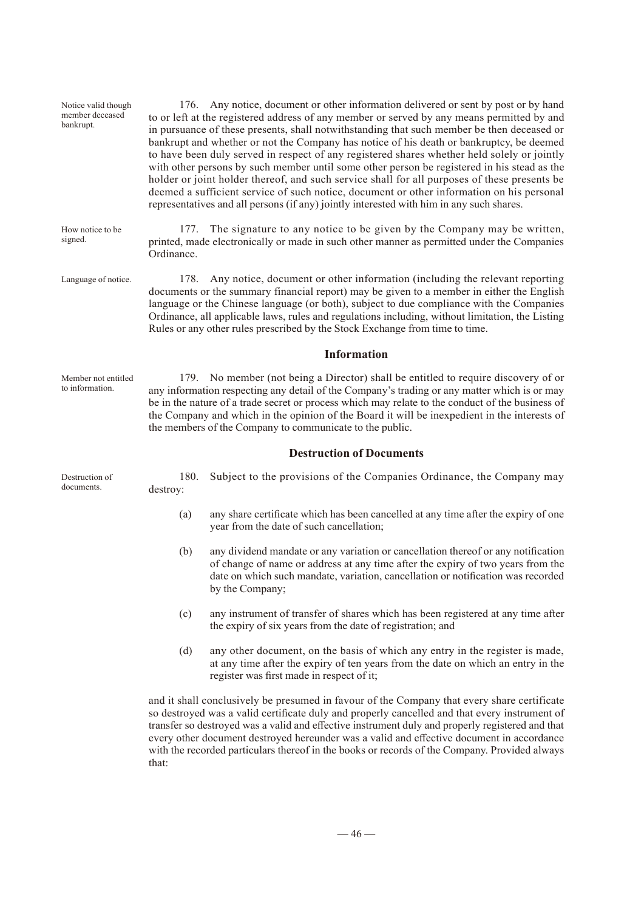| Notice valid though<br>member deceased<br>bankrupt. | 176. Any notice, document or other information delivered or sent by post or by hand<br>to or left at the registered address of any member or served by any means permitted by and<br>in pursuance of these presents, shall notwithstanding that such member be then deceased or<br>bankrupt and whether or not the Company has notice of his death or bankruptcy, be deemed<br>to have been duly served in respect of any registered shares whether held solely or jointly<br>with other persons by such member until some other person be registered in his stead as the<br>holder or joint holder thereof, and such service shall for all purposes of these presents be<br>deemed a sufficient service of such notice, document or other information on his personal<br>representatives and all persons (if any) jointly interested with him in any such shares. |                                                                                                                                                                                                                                                                             |  |
|-----------------------------------------------------|--------------------------------------------------------------------------------------------------------------------------------------------------------------------------------------------------------------------------------------------------------------------------------------------------------------------------------------------------------------------------------------------------------------------------------------------------------------------------------------------------------------------------------------------------------------------------------------------------------------------------------------------------------------------------------------------------------------------------------------------------------------------------------------------------------------------------------------------------------------------|-----------------------------------------------------------------------------------------------------------------------------------------------------------------------------------------------------------------------------------------------------------------------------|--|
| How notice to be<br>signed.                         | The signature to any notice to be given by the Company may be written,<br>177.<br>printed, made electronically or made in such other manner as permitted under the Companies<br>Ordinance.                                                                                                                                                                                                                                                                                                                                                                                                                                                                                                                                                                                                                                                                         |                                                                                                                                                                                                                                                                             |  |
| Language of notice.                                 | Any notice, document or other information (including the relevant reporting<br>178.<br>documents or the summary financial report) may be given to a member in either the English<br>language or the Chinese language (or both), subject to due compliance with the Companies<br>Ordinance, all applicable laws, rules and regulations including, without limitation, the Listing<br>Rules or any other rules prescribed by the Stock Exchange from time to time.                                                                                                                                                                                                                                                                                                                                                                                                   |                                                                                                                                                                                                                                                                             |  |
|                                                     | Information                                                                                                                                                                                                                                                                                                                                                                                                                                                                                                                                                                                                                                                                                                                                                                                                                                                        |                                                                                                                                                                                                                                                                             |  |
| Member not entitled<br>to information.              | 179. No member (not being a Director) shall be entitled to require discovery of or<br>any information respecting any detail of the Company's trading or any matter which is or may<br>be in the nature of a trade secret or process which may relate to the conduct of the business of<br>the Company and which in the opinion of the Board it will be inexpedient in the interests of<br>the members of the Company to communicate to the public.                                                                                                                                                                                                                                                                                                                                                                                                                 |                                                                                                                                                                                                                                                                             |  |
|                                                     |                                                                                                                                                                                                                                                                                                                                                                                                                                                                                                                                                                                                                                                                                                                                                                                                                                                                    | <b>Destruction of Documents</b>                                                                                                                                                                                                                                             |  |
| Destruction of<br>documents.                        | 180.<br>destroy:                                                                                                                                                                                                                                                                                                                                                                                                                                                                                                                                                                                                                                                                                                                                                                                                                                                   | Subject to the provisions of the Companies Ordinance, the Company may                                                                                                                                                                                                       |  |
|                                                     | (a)                                                                                                                                                                                                                                                                                                                                                                                                                                                                                                                                                                                                                                                                                                                                                                                                                                                                | any share certificate which has been cancelled at any time after the expiry of one<br>year from the date of such cancellation;                                                                                                                                              |  |
|                                                     | (b)                                                                                                                                                                                                                                                                                                                                                                                                                                                                                                                                                                                                                                                                                                                                                                                                                                                                | any dividend mandate or any variation or cancellation thereof or any notification<br>of change of name or address at any time after the expiry of two years from the<br>date on which such mandate, variation, cancellation or notification was recorded<br>by the Company; |  |
|                                                     | (c)                                                                                                                                                                                                                                                                                                                                                                                                                                                                                                                                                                                                                                                                                                                                                                                                                                                                | any instrument of transfer of shares which has been registered at any time after<br>the expiry of six years from the date of registration; and                                                                                                                              |  |
|                                                     | (d)                                                                                                                                                                                                                                                                                                                                                                                                                                                                                                                                                                                                                                                                                                                                                                                                                                                                | any other document, on the basis of which any entry in the register is made,<br>at any time after the expiry of ten years from the date on which an entry in the<br>register was first made in respect of it;                                                               |  |
|                                                     | and it shall conclusively be presumed in favour of the Company that every share certificate<br>so destroyed was a valid certificate duly and properly cancelled and that every instrument of<br>transfer so destroyed was a valid and effective instrument duly and properly registered and that<br>every other document destroyed hereunder was a valid and effective document in accordance<br>with the recorded particulars thereof in the books or records of the Company. Provided always<br>that:                                                                                                                                                                                                                                                                                                                                                            |                                                                                                                                                                                                                                                                             |  |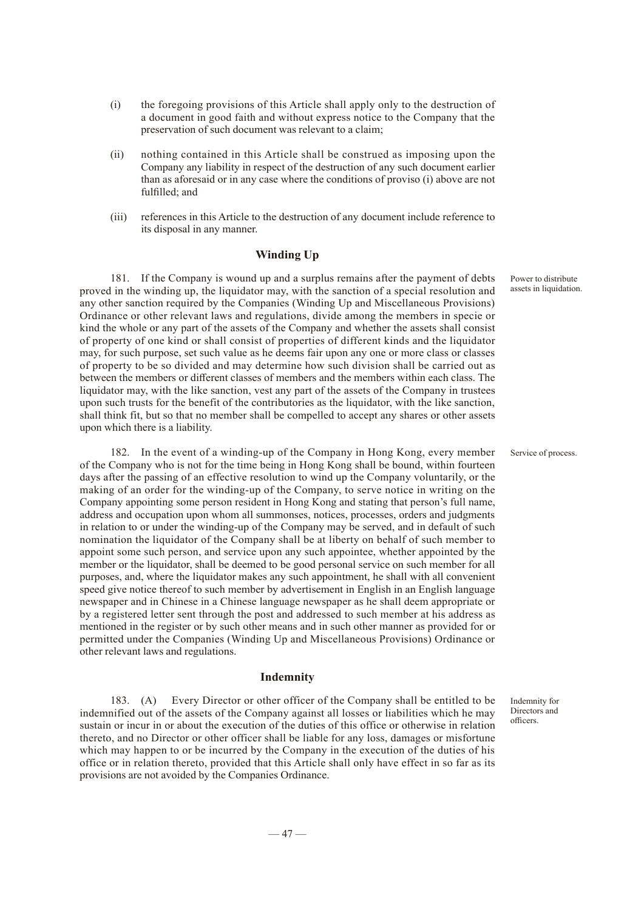- (i) the foregoing provisions of this Article shall apply only to the destruction of a document in good faith and without express notice to the Company that the preservation of such document was relevant to a claim;
- (ii) nothing contained in this Article shall be construed as imposing upon the Company any liability in respect of the destruction of any such document earlier than as aforesaid or in any case where the conditions of proviso (i) above are not fulfilled; and
- (iii) references in this Article to the destruction of any document include reference to its disposal in any manner.

#### **Winding Up**

181. If the Company is wound up and a surplus remains after the payment of debts proved in the winding up, the liquidator may, with the sanction of a special resolution and any other sanction required by the Companies (Winding Up and Miscellaneous Provisions) Ordinance or other relevant laws and regulations, divide among the members in specie or kind the whole or any part of the assets of the Company and whether the assets shall consist of property of one kind or shall consist of properties of different kinds and the liquidator may, for such purpose, set such value as he deems fair upon any one or more class or classes of property to be so divided and may determine how such division shall be carried out as between the members or different classes of members and the members within each class. The liquidator may, with the like sanction, vest any part of the assets of the Company in trustees upon such trusts for the benefit of the contributories as the liquidator, with the like sanction, shall think fit, but so that no member shall be compelled to accept any shares or other assets upon which there is a liability.

182. In the event of a winding-up of the Company in Hong Kong, every member of the Company who is not for the time being in Hong Kong shall be bound, within fourteen days after the passing of an effective resolution to wind up the Company voluntarily, or the making of an order for the winding-up of the Company, to serve notice in writing on the Company appointing some person resident in Hong Kong and stating that person's full name, address and occupation upon whom all summonses, notices, processes, orders and judgments in relation to or under the winding-up of the Company may be served, and in default of such nomination the liquidator of the Company shall be at liberty on behalf of such member to appoint some such person, and service upon any such appointee, whether appointed by the member or the liquidator, shall be deemed to be good personal service on such member for all purposes, and, where the liquidator makes any such appointment, he shall with all convenient speed give notice thereof to such member by advertisement in English in an English language newspaper and in Chinese in a Chinese language newspaper as he shall deem appropriate or by a registered letter sent through the post and addressed to such member at his address as mentioned in the register or by such other means and in such other manner as provided for or permitted under the Companies (Winding Up and Miscellaneous Provisions) Ordinance or other relevant laws and regulations.

#### **Indemnity**

183. (A) Every Director or other officer of the Company shall be entitled to be indemnified out of the assets of the Company against all losses or liabilities which he may sustain or incur in or about the execution of the duties of this office or otherwise in relation thereto, and no Director or other officer shall be liable for any loss, damages or misfortune which may happen to or be incurred by the Company in the execution of the duties of his office or in relation thereto, provided that this Article shall only have effect in so far as its provisions are not avoided by the Companies Ordinance.

Power to distribute assets in liquidation.

Service of process.

Indemnity for Directors and officers.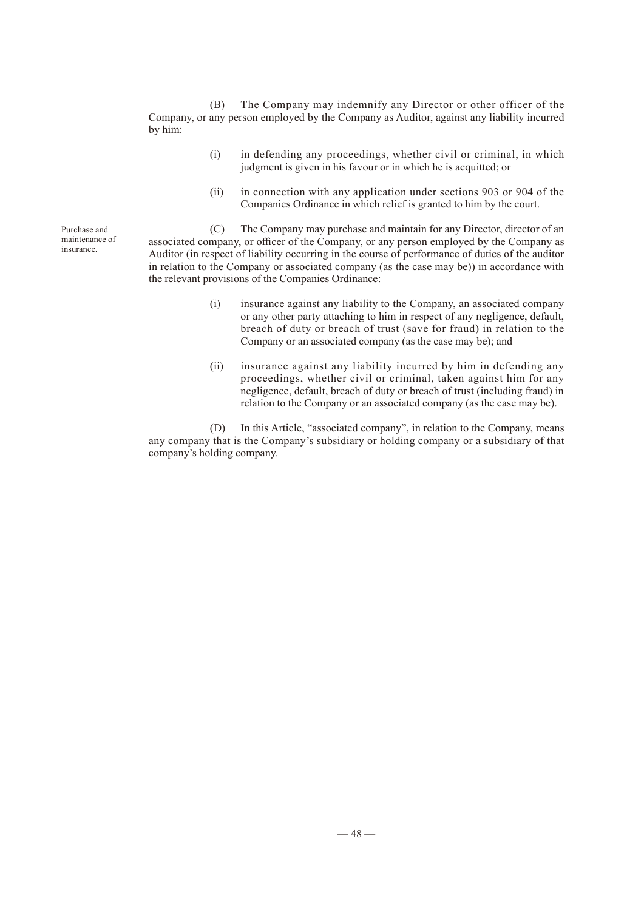(B) The Company may indemnify any Director or other officer of the Company, or any person employed by the Company as Auditor, against any liability incurred by him:

- (i) in defending any proceedings, whether civil or criminal, in which judgment is given in his favour or in which he is acquitted; or
- (ii) in connection with any application under sections 903 or 904 of the Companies Ordinance in which relief is granted to him by the court.

(C) The Company may purchase and maintain for any Director, director of an associated company, or officer of the Company, or any person employed by the Company as Auditor (in respect of liability occurring in the course of performance of duties of the auditor in relation to the Company or associated company (as the case may be)) in accordance with the relevant provisions of the Companies Ordinance:

- (i) insurance against any liability to the Company, an associated company or any other party attaching to him in respect of any negligence, default, breach of duty or breach of trust (save for fraud) in relation to the Company or an associated company (as the case may be); and
- (ii) insurance against any liability incurred by him in defending any proceedings, whether civil or criminal, taken against him for any negligence, default, breach of duty or breach of trust (including fraud) in relation to the Company or an associated company (as the case may be).

(D) In this Article, "associated company", in relation to the Company, means any company that is the Company's subsidiary or holding company or a subsidiary of that company's holding company.

Purchase and maintenance of insurance.